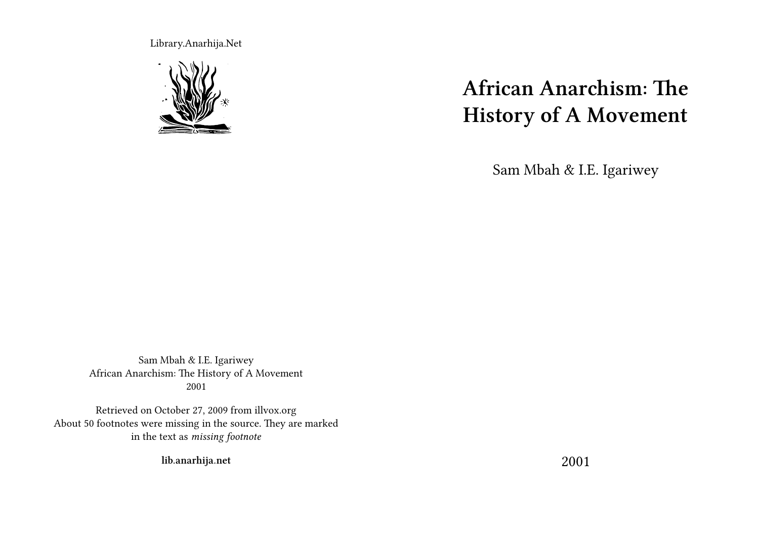Library.Anarhija.Net



## **African Anarchism: The History of A Movement**

Sam Mbah & I.E. Igariwey

Sam Mbah & I.E. Igariwey African Anarchism: The History of A Movement 2001

Retrieved on October 27, 2009 from illvox.org About 50 footnotes were missing in the source. They are marked in the text as *missing footnote*

**lib.anarhija.net**

2001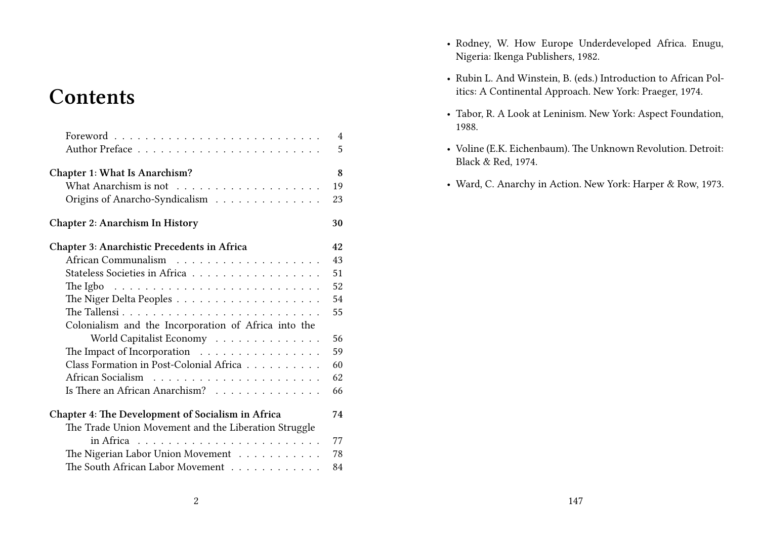## **Contents**

|                                                                            | $\overline{4}$ |
|----------------------------------------------------------------------------|----------------|
|                                                                            | 5              |
| <b>Chapter 1: What Is Anarchism?</b>                                       | 8              |
|                                                                            | 19             |
| Origins of Anarcho-Syndicalism                                             | 23             |
| <b>Chapter 2: Anarchism In History</b>                                     | 30             |
| <b>Chapter 3: Anarchistic Precedents in Africa</b>                         | 42             |
|                                                                            | 43             |
| Stateless Societies in Africa                                              | 51             |
| The Igbo $\ldots \ldots \ldots \ldots \ldots \ldots \ldots \ldots \ldots$  | 52             |
| The Niger Delta Peoples $\ldots \ldots \ldots \ldots \ldots \ldots \ldots$ | 54             |
|                                                                            | 55             |
| Colonialism and the Incorporation of Africa into the                       |                |
| World Capitalist Economy                                                   | 56             |
| The Impact of Incorporation $\ldots \ldots \ldots \ldots \ldots$           | 59             |
| Class Formation in Post-Colonial Africa                                    | 60             |
|                                                                            | 62             |
| Is There an African Anarchism?                                             | 66             |
| <b>Chapter 4: The Development of Socialism in Africa</b>                   | 74             |
| The Trade Union Movement and the Liberation Struggle                       |                |
|                                                                            | 77             |
| The Nigerian Labor Union Movement                                          | 78             |
| The South African Labor Movement                                           | 84             |

- Rodney, W. How Europe Underdeveloped Africa. Enugu, Nigeria: Ikenga Publishers, 1982.
- Rubin L. And Winstein, B. (eds.) Introduction to African Politics: A Continental Approach. New York: Praeger, 1974.
- Tabor, R. A Look at Leninism. New York: Aspect Foundation, 1988.
- Voline (E.K. Eichenbaum). The Unknown Revolution. Detroit: Black & Red, 1974.
- Ward, C. Anarchy in Action. New York: Harper & Row, 1973.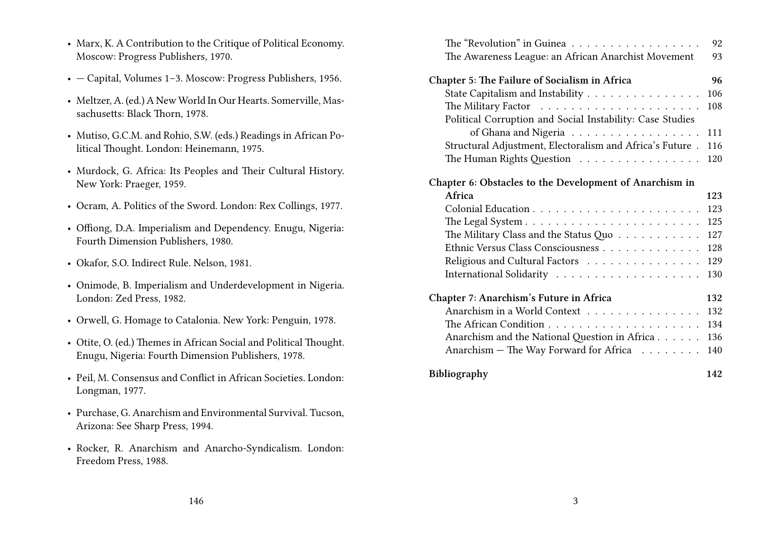|  | • Orwell, G. Homage to Catalonia. New York: Penguin, 1978. |  |  |
|--|------------------------------------------------------------|--|--|

Fourth Dimension Publishers, 1980.

• Okafor, S.O. Indirect Rule. Nelson, 1981.

• Otite, O. (ed.) Themes in African Social and Political Thought. Enugu, Nigeria: Fourth Dimension Publishers, 1978.

• Marx, K. A Contribution to the Critique of Political Economy.

• — Capital, Volumes 1–3. Moscow: Progress Publishers, 1956.

• Meltzer, A. (ed.) A New World In Our Hearts. Somerville, Mas-

• Mutiso, G.C.M. and Rohio, S.W. (eds.) Readings in African Po-

• Murdock, G. Africa: Its Peoples and Their Cultural History.

• Ocram, A. Politics of the Sword. London: Rex Collings, 1977.

• Offiong, D.A. Imperialism and Dependency. Enugu, Nigeria:

• Onimode, B. Imperialism and Underdevelopment in Nigeria.

Moscow: Progress Publishers, 1970.

litical Thought. London: Heinemann, 1975.

sachusetts: Black Thorn, 1978.

New York: Praeger, 1959.

London: Zed Press, 1982.

- Peil, M. Consensus and Conflict in African Societies. London: Longman, 1977.
- Purchase, G. Anarchism and Environmental Survival. Tucson, Arizona: See Sharp Press, 1994.
- Rocker, R. Anarchism and Anarcho-Syndicalism. London: Freedom Press, 1988.

| The "Revolution" in Guinea                                                 |     |  |  |  |  |  |
|----------------------------------------------------------------------------|-----|--|--|--|--|--|
| The Awareness League: an African Anarchist Movement                        | 93  |  |  |  |  |  |
| <b>Chapter 5: The Failure of Socialism in Africa</b>                       | 96  |  |  |  |  |  |
| State Capitalism and Instability                                           | 106 |  |  |  |  |  |
| The Military Factor $\ldots \ldots \ldots \ldots \ldots \ldots$            | 108 |  |  |  |  |  |
| Political Corruption and Social Instability: Case Studies                  |     |  |  |  |  |  |
|                                                                            | 111 |  |  |  |  |  |
| of Ghana and Nigeria                                                       | 116 |  |  |  |  |  |
| Structural Adjustment, Electoralism and Africa's Future.                   |     |  |  |  |  |  |
| The Human Rights Question                                                  | 120 |  |  |  |  |  |
| Chapter 6: Obstacles to the Development of Anarchism in                    |     |  |  |  |  |  |
| Africa                                                                     | 123 |  |  |  |  |  |
|                                                                            | 123 |  |  |  |  |  |
| The Legal System $\ldots \ldots \ldots \ldots \ldots \ldots \ldots \ldots$ | 125 |  |  |  |  |  |
| The Military Class and the Status Quo                                      | 127 |  |  |  |  |  |
| Ethnic Versus Class Consciousness                                          | 128 |  |  |  |  |  |
| Religious and Cultural Factors                                             | 129 |  |  |  |  |  |
|                                                                            | 130 |  |  |  |  |  |
|                                                                            |     |  |  |  |  |  |
| Chapter 7: Anarchism's Future in Africa                                    | 132 |  |  |  |  |  |
| Anarchism in a World Context                                               | 132 |  |  |  |  |  |
|                                                                            | 134 |  |  |  |  |  |
| Anarchism and the National Question in Africa                              | 136 |  |  |  |  |  |
| Anarchism – The Way Forward for Africa                                     | 140 |  |  |  |  |  |
| <b>Bibliography</b>                                                        | 142 |  |  |  |  |  |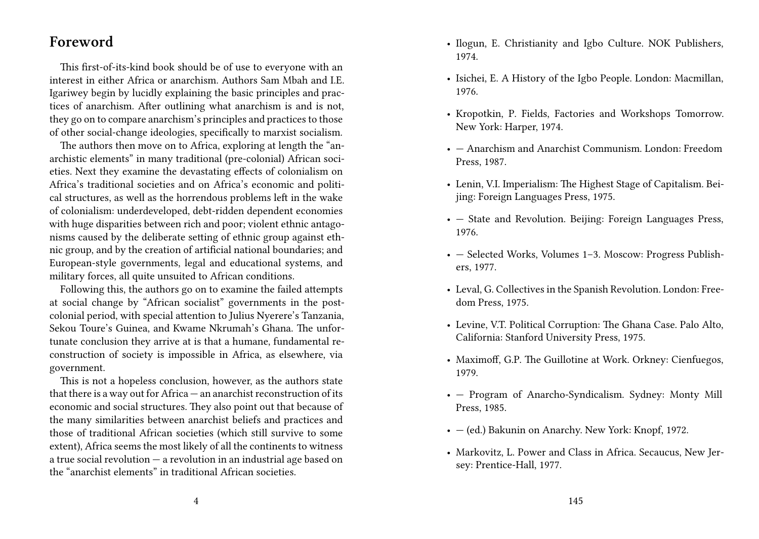#### **Foreword**

This first-of-its-kind book should be of use to everyone with an interest in either Africa or anarchism. Authors Sam Mbah and I.E. Igariwey begin by lucidly explaining the basic principles and practices of anarchism. After outlining what anarchism is and is not, they go on to compare anarchism's principles and practices to those of other social-change ideologies, specifically to marxist socialism.

The authors then move on to Africa, exploring at length the "anarchistic elements" in many traditional (pre-colonial) African societies. Next they examine the devastating effects of colonialism on Africa's traditional societies and on Africa's economic and political structures, as well as the horrendous problems left in the wake of colonialism: underdeveloped, debt-ridden dependent economies with huge disparities between rich and poor; violent ethnic antagonisms caused by the deliberate setting of ethnic group against ethnic group, and by the creation of artificial national boundaries; and European-style governments, legal and educational systems, and military forces, all quite unsuited to African conditions.

Following this, the authors go on to examine the failed attempts at social change by "African socialist" governments in the postcolonial period, with special attention to Julius Nyerere's Tanzania, Sekou Toure's Guinea, and Kwame Nkrumah's Ghana. The unfortunate conclusion they arrive at is that a humane, fundamental reconstruction of society is impossible in Africa, as elsewhere, via government.

This is not a hopeless conclusion, however, as the authors state that there is a way out for Africa — an anarchist reconstruction of its economic and social structures. They also point out that because of the many similarities between anarchist beliefs and practices and those of traditional African societies (which still survive to some extent), Africa seems the most likely of all the continents to witness a true social revolution — a revolution in an industrial age based on the "anarchist elements" in traditional African societies.

- Ilogun, E. Christianity and Igbo Culture. NOK Publishers, 1974.
- Isichei, E. A History of the Igbo People. London: Macmillan, 1976.
- Kropotkin, P. Fields, Factories and Workshops Tomorrow. New York: Harper, 1974.
- — Anarchism and Anarchist Communism. London: Freedom Press, 1987.
- Lenin, V.I. Imperialism: The Highest Stage of Capitalism. Beijing: Foreign Languages Press, 1975.
- — State and Revolution. Beijing: Foreign Languages Press, 1976.
- — Selected Works, Volumes 1–3. Moscow: Progress Publishers, 1977.
- Leval, G. Collectives in the Spanish Revolution. London: Freedom Press, 1975.
- Levine, V.T. Political Corruption: The Ghana Case. Palo Alto, California: Stanford University Press, 1975.
- Maximoff, G.P. The Guillotine at Work. Orkney: Cienfuegos, 1979.
- — Program of Anarcho-Syndicalism. Sydney: Monty Mill Press, 1985.
- — (ed.) Bakunin on Anarchy. New York: Knopf, 1972.
- Markovitz, L. Power and Class in Africa. Secaucus, New Jersey: Prentice-Hall, 1977.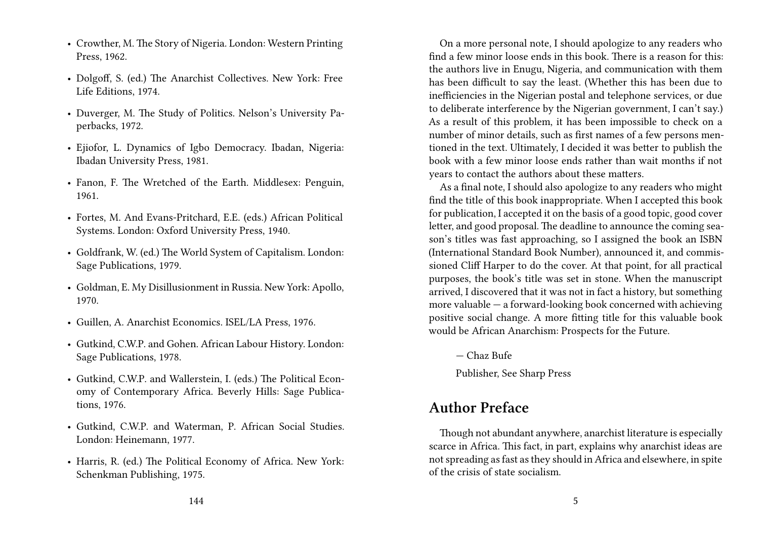- Crowther, M. The Story of Nigeria. London: Western Printing Press, 1962.
- Dolgoff, S. (ed.) The Anarchist Collectives. New York: Free Life Editions, 1974.
- Duverger, M. The Study of Politics. Nelson's University Paperbacks, 1972.
- Ejiofor, L. Dynamics of Igbo Democracy. Ibadan, Nigeria: Ibadan University Press, 1981.
- Fanon, F. The Wretched of the Earth. Middlesex: Penguin, 1961.
- Fortes, M. And Evans-Pritchard, E.E. (eds.) African Political Systems. London: Oxford University Press, 1940.
- Goldfrank, W. (ed.) The World System of Capitalism. London: Sage Publications, 1979.
- Goldman, E. My Disillusionment in Russia. New York: Apollo, 1970.
- Guillen, A. Anarchist Economics. ISEL/LA Press, 1976.
- Gutkind, C.W.P. and Gohen. African Labour History. London: Sage Publications, 1978.
- Gutkind, C.W.P. and Wallerstein, I. (eds.) The Political Economy of Contemporary Africa. Beverly Hills: Sage Publications, 1976.
- Gutkind, C.W.P. and Waterman, P. African Social Studies. London: Heinemann, 1977.
- Harris, R. (ed.) The Political Economy of Africa. New York: Schenkman Publishing, 1975.

On a more personal note, I should apologize to any readers who find a few minor loose ends in this book. There is a reason for this: the authors live in Enugu, Nigeria, and communication with them has been difficult to say the least. (Whether this has been due to inefficiencies in the Nigerian postal and telephone services, or due to deliberate interference by the Nigerian government, I can't say.) As a result of this problem, it has been impossible to check on a number of minor details, such as first names of a few persons mentioned in the text. Ultimately, I decided it was better to publish the book with a few minor loose ends rather than wait months if not years to contact the authors about these matters.

As a final note, I should also apologize to any readers who might find the title of this book inappropriate. When I accepted this book for publication, I accepted it on the basis of a good topic, good cover letter, and good proposal. The deadline to announce the coming season's titles was fast approaching, so I assigned the book an ISBN (International Standard Book Number), announced it, and commissioned Cliff Harper to do the cover. At that point, for all practical purposes, the book's title was set in stone. When the manuscript arrived, I discovered that it was not in fact a history, but something more valuable — a forward-looking book concerned with achieving positive social change. A more fitting title for this valuable book would be African Anarchism: Prospects for the Future.

— Chaz Bufe

Publisher, See Sharp Press

### **Author Preface**

Though not abundant anywhere, anarchist literature is especially scarce in Africa. This fact, in part, explains why anarchist ideas are not spreading as fast as they should in Africa and elsewhere, in spite of the crisis of state socialism.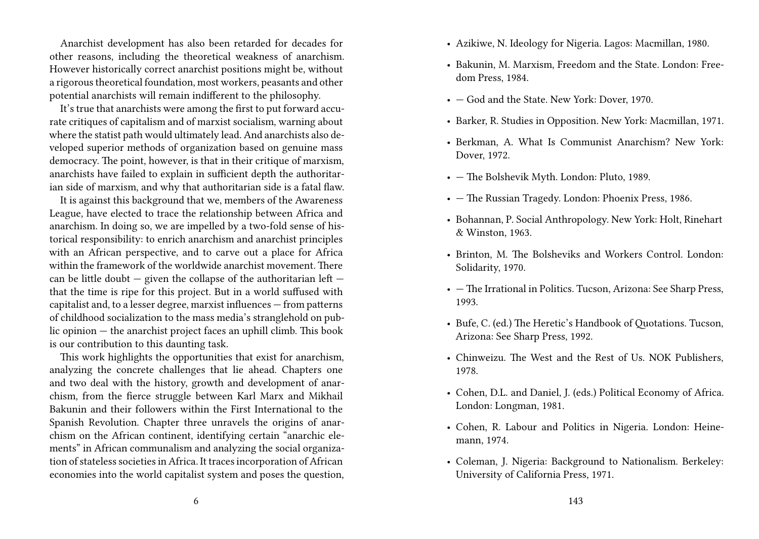Anarchist development has also been retarded for decades for other reasons, including the theoretical weakness of anarchism. However historically correct anarchist positions might be, without a rigorous theoretical foundation, most workers, peasants and other potential anarchists will remain indifferent to the philosophy.

It's true that anarchists were among the first to put forward accurate critiques of capitalism and of marxist socialism, warning about where the statist path would ultimately lead. And anarchists also developed superior methods of organization based on genuine mass democracy. The point, however, is that in their critique of marxism, anarchists have failed to explain in sufficient depth the authoritarian side of marxism, and why that authoritarian side is a fatal flaw.

It is against this background that we, members of the Awareness League, have elected to trace the relationship between Africa and anarchism. In doing so, we are impelled by a two-fold sense of historical responsibility: to enrich anarchism and anarchist principles with an African perspective, and to carve out a place for Africa within the framework of the worldwide anarchist movement. There can be little doubt  $-$  given the collapse of the authoritarian left  $$ that the time is ripe for this project. But in a world suffused with capitalist and, to a lesser degree, marxist influences — from patterns of childhood socialization to the mass media's stranglehold on public opinion — the anarchist project faces an uphill climb. This book is our contribution to this daunting task.

This work highlights the opportunities that exist for anarchism, analyzing the concrete challenges that lie ahead. Chapters one and two deal with the history, growth and development of anarchism, from the fierce struggle between Karl Marx and Mikhail Bakunin and their followers within the First International to the Spanish Revolution. Chapter three unravels the origins of anarchism on the African continent, identifying certain "anarchic elements" in African communalism and analyzing the social organization of stateless societies in Africa. It traces incorporation of African economies into the world capitalist system and poses the question,

- Azikiwe, N. Ideology for Nigeria. Lagos: Macmillan, 1980.
- Bakunin, M. Marxism, Freedom and the State. London: Freedom Press, 1984.
- — God and the State. New York: Dover, 1970.
- Barker, R. Studies in Opposition. New York: Macmillan, 1971.
- Berkman, A. What Is Communist Anarchism? New York: Dover, 1972.
- — The Bolshevik Myth. London: Pluto, 1989.
- — The Russian Tragedy. London: Phoenix Press, 1986.
- Bohannan, P. Social Anthropology. New York: Holt, Rinehart & Winston, 1963.
- Brinton, M. The Bolsheviks and Workers Control. London: Solidarity, 1970.
- — The Irrational in Politics. Tucson, Arizona: See Sharp Press, 1993.
- Bufe, C. (ed.) The Heretic's Handbook of Quotations. Tucson, Arizona: See Sharp Press, 1992.
- Chinweizu. The West and the Rest of Us. NOK Publishers, 1978.
- Cohen, D.L. and Daniel, J. (eds.) Political Economy of Africa. London: Longman, 1981.
- Cohen, R. Labour and Politics in Nigeria. London: Heinemann, 1974.
- Coleman, J. Nigeria: Background to Nationalism. Berkeley: University of California Press, 1971.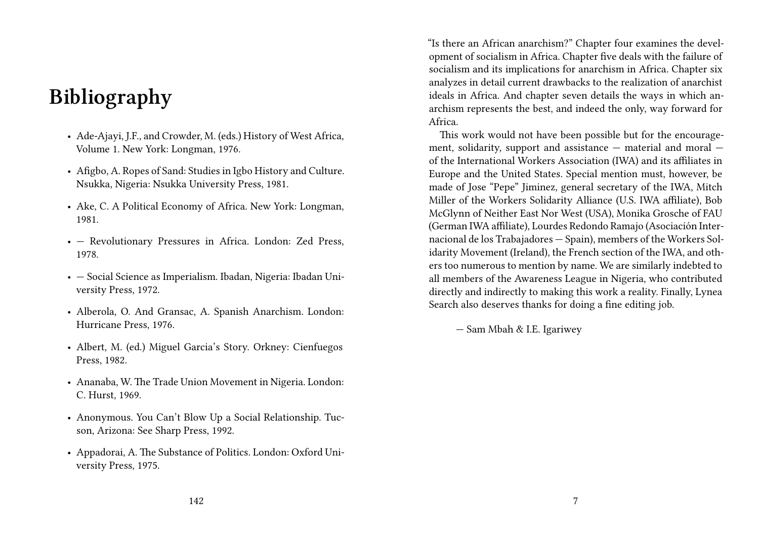## **Bibliography**

- Ade-Ajayi, J.F., and Crowder, M. (eds.) History of West Africa, Volume 1. New York: Longman, 1976.
- Afigbo, A. Ropes of Sand: Studies in Igbo History and Culture. Nsukka, Nigeria: Nsukka University Press, 1981.
- Ake, C. A Political Economy of Africa. New York: Longman, 1981.
- — Revolutionary Pressures in Africa. London: Zed Press, 1978.
- — Social Science as Imperialism. Ibadan, Nigeria: Ibadan University Press, 1972.
- Alberola, O. And Gransac, A. Spanish Anarchism. London: Hurricane Press, 1976.
- Albert, M. (ed.) Miguel Garcia's Story. Orkney: Cienfuegos Press, 1982.
- Ananaba, W. The Trade Union Movement in Nigeria. London: C. Hurst, 1969.
- Anonymous. You Can't Blow Up a Social Relationship. Tucson, Arizona: See Sharp Press, 1992.
- Appadorai, A. The Substance of Politics. London: Oxford University Press, 1975.

"Is there an African anarchism?" Chapter four examines the development of socialism in Africa. Chapter five deals with the failure of socialism and its implications for anarchism in Africa. Chapter six analyzes in detail current drawbacks to the realization of anarchist ideals in Africa. And chapter seven details the ways in which anarchism represents the best, and indeed the only, way forward for Africa.

This work would not have been possible but for the encouragement, solidarity, support and assistance — material and moral of the International Workers Association (IWA) and its affiliates in Europe and the United States. Special mention must, however, be made of Jose "Pepe" Jiminez, general secretary of the IWA, Mitch Miller of the Workers Solidarity Alliance (U.S. IWA affiliate), Bob McGlynn of Neither East Nor West (USA), Monika Grosche of FAU (German IWA affiliate), Lourdes Redondo Ramajo (Asociación Internacional de los Trabajadores — Spain), members of the Workers Solidarity Movement (Ireland), the French section of the IWA, and others too numerous to mention by name. We are similarly indebted to all members of the Awareness League in Nigeria, who contributed directly and indirectly to making this work a reality. Finally, Lynea Search also deserves thanks for doing a fine editing job.

— Sam Mbah & I.E. Igariwey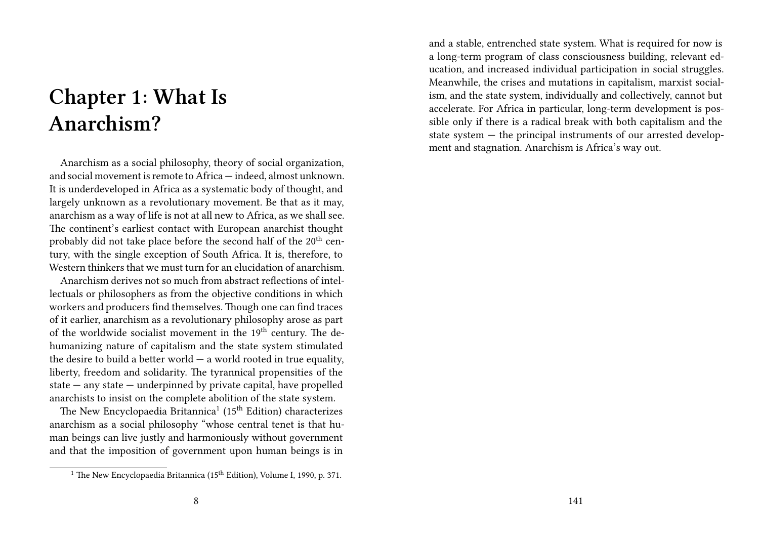## **Chapter 1: What Is Anarchism?**

Anarchism as a social philosophy, theory of social organization, and social movement is remote to Africa — indeed, almost unknown. It is underdeveloped in Africa as a systematic body of thought, and largely unknown as a revolutionary movement. Be that as it may, anarchism as a way of life is not at all new to Africa, as we shall see. The continent's earliest contact with European anarchist thought probably did not take place before the second half of the 20<sup>th</sup> century, with the single exception of South Africa. It is, therefore, to Western thinkers that we must turn for an elucidation of anarchism.

Anarchism derives not so much from abstract reflections of intellectuals or philosophers as from the objective conditions in which workers and producers find themselves. Though one can find traces of it earlier, anarchism as a revolutionary philosophy arose as part of the worldwide socialist movement in the 19<sup>th</sup> century. The dehumanizing nature of capitalism and the state system stimulated the desire to build a better world  $-$  a world rooted in true equality, liberty, freedom and solidarity. The tyrannical propensities of the state  $-$  any state  $-$  underpinned by private capital, have propelled anarchists to insist on the complete abolition of the state system.

The New Encyclopaedia Britannica $^1$  (15<sup>th</sup> Edition) characterizes anarchism as a social philosophy "whose central tenet is that human beings can live justly and harmoniously without government and that the imposition of government upon human beings is in

and a stable, entrenched state system. What is required for now is a long-term program of class consciousness building, relevant education, and increased individual participation in social struggles. Meanwhile, the crises and mutations in capitalism, marxist socialism, and the state system, individually and collectively, cannot but accelerate. For Africa in particular, long-term development is possible only if there is a radical break with both capitalism and the state system — the principal instruments of our arrested development and stagnation. Anarchism is Africa's way out.

<sup>&</sup>lt;sup>1</sup> The New Encyclopaedia Britannica (15<sup>th</sup> Edition), Volume I, 1990, p. 371.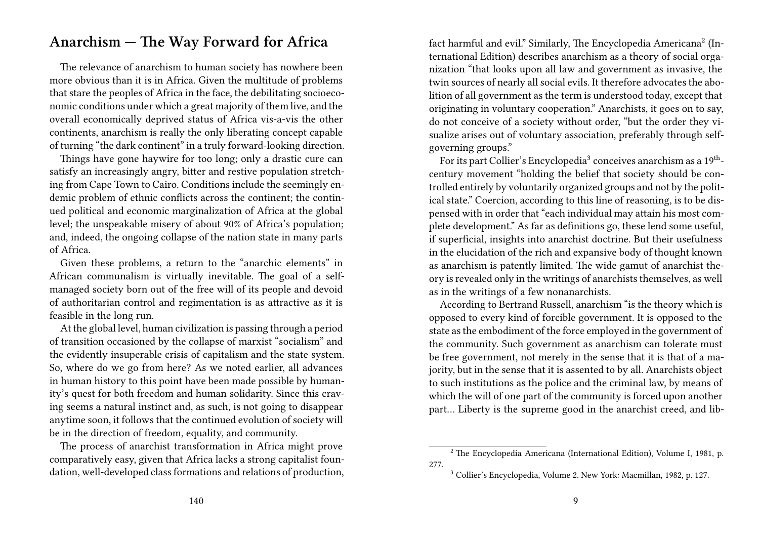### **Anarchism — The Way Forward for Africa**

The relevance of anarchism to human society has nowhere been more obvious than it is in Africa. Given the multitude of problems that stare the peoples of Africa in the face, the debilitating socioeconomic conditions under which a great majority of them live, and the overall economically deprived status of Africa vis-a-vis the other continents, anarchism is really the only liberating concept capable of turning "the dark continent" in a truly forward-looking direction.

Things have gone haywire for too long; only a drastic cure can satisfy an increasingly angry, bitter and restive population stretching from Cape Town to Cairo. Conditions include the seemingly endemic problem of ethnic conflicts across the continent; the continued political and economic marginalization of Africa at the global level; the unspeakable misery of about 90% of Africa's population; and, indeed, the ongoing collapse of the nation state in many parts of Africa.

Given these problems, a return to the "anarchic elements" in African communalism is virtually inevitable. The goal of a selfmanaged society born out of the free will of its people and devoid of authoritarian control and regimentation is as attractive as it is feasible in the long run.

At the global level, human civilization is passing through a period of transition occasioned by the collapse of marxist "socialism" and the evidently insuperable crisis of capitalism and the state system. So, where do we go from here? As we noted earlier, all advances in human history to this point have been made possible by humanity's quest for both freedom and human solidarity. Since this craving seems a natural instinct and, as such, is not going to disappear anytime soon, it follows that the continued evolution of society will be in the direction of freedom, equality, and community.

The process of anarchist transformation in Africa might prove comparatively easy, given that Africa lacks a strong capitalist foundation, well-developed class formations and relations of production,

fact harmful and evil." Similarly, The Encyclopedia Americana<sup>2</sup> (International Edition) describes anarchism as a theory of social organization "that looks upon all law and government as invasive, the twin sources of nearly all social evils. It therefore advocates the abolition of all government as the term is understood today, except that originating in voluntary cooperation." Anarchists, it goes on to say, do not conceive of a society without order, "but the order they visualize arises out of voluntary association, preferably through selfgoverning groups."

For its part Collier's Encyclopedia<sup>3</sup> conceives anarchism as a 19<sup>th</sup>century movement "holding the belief that society should be controlled entirely by voluntarily organized groups and not by the political state." Coercion, according to this line of reasoning, is to be dispensed with in order that "each individual may attain his most complete development." As far as definitions go, these lend some useful, if superficial, insights into anarchist doctrine. But their usefulness in the elucidation of the rich and expansive body of thought known as anarchism is patently limited. The wide gamut of anarchist theory is revealed only in the writings of anarchists themselves, as well as in the writings of a few nonanarchists.

According to Bertrand Russell, anarchism "is the theory which is opposed to every kind of forcible government. It is opposed to the state as the embodiment of the force employed in the government of the community. Such government as anarchism can tolerate must be free government, not merely in the sense that it is that of a majority, but in the sense that it is assented to by all. Anarchists object to such institutions as the police and the criminal law, by means of which the will of one part of the community is forced upon another part… Liberty is the supreme good in the anarchist creed, and lib-

<sup>2</sup> The Encyclopedia Americana (International Edition), Volume I, 1981, p. 277.

<sup>3</sup> Collier's Encyclopedia, Volume 2. New York: Macmillan, 1982, p. 127.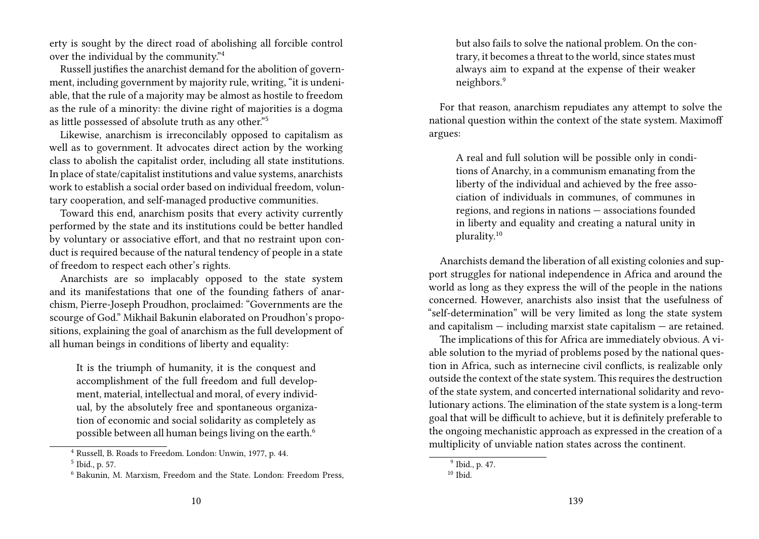erty is sought by the direct road of abolishing all forcible control over the individual by the community."<sup>4</sup>

Russell justifies the anarchist demand for the abolition of government, including government by majority rule, writing, "it is undeniable, that the rule of a majority may be almost as hostile to freedom as the rule of a minority: the divine right of majorities is a dogma as little possessed of absolute truth as any other."<sup>5</sup>

Likewise, anarchism is irreconcilably opposed to capitalism as well as to government. It advocates direct action by the working class to abolish the capitalist order, including all state institutions. In place of state/capitalist institutions and value systems, anarchists work to establish a social order based on individual freedom, voluntary cooperation, and self-managed productive communities.

Toward this end, anarchism posits that every activity currently performed by the state and its institutions could be better handled by voluntary or associative effort, and that no restraint upon conduct is required because of the natural tendency of people in a state of freedom to respect each other's rights.

Anarchists are so implacably opposed to the state system and its manifestations that one of the founding fathers of anarchism, Pierre-Joseph Proudhon, proclaimed: "Governments are the scourge of God." Mikhail Bakunin elaborated on Proudhon's propositions, explaining the goal of anarchism as the full development of all human beings in conditions of liberty and equality:

It is the triumph of humanity, it is the conquest and accomplishment of the full freedom and full development, material, intellectual and moral, of every individual, by the absolutely free and spontaneous organization of economic and social solidarity as completely as possible between all human beings living on the earth.<sup>6</sup>

but also fails to solve the national problem. On the contrary, it becomes a threat to the world, since states must always aim to expand at the expense of their weaker neighbors.<sup>9</sup>

For that reason, anarchism repudiates any attempt to solve the national question within the context of the state system. Maximoff argues:

A real and full solution will be possible only in conditions of Anarchy, in a communism emanating from the liberty of the individual and achieved by the free association of individuals in communes, of communes in regions, and regions in nations — associations founded in liberty and equality and creating a natural unity in plurality.<sup>10</sup>

Anarchists demand the liberation of all existing colonies and support struggles for national independence in Africa and around the world as long as they express the will of the people in the nations concerned. However, anarchists also insist that the usefulness of "self-determination" will be very limited as long the state system and capitalism  $-$  including marxist state capitalism  $-$  are retained.

The implications of this for Africa are immediately obvious. A viable solution to the myriad of problems posed by the national question in Africa, such as internecine civil conflicts, is realizable only outside the context of the state system. This requires the destruction of the state system, and concerted international solidarity and revolutionary actions. The elimination of the state system is a long-term goal that will be difficult to achieve, but it is definitely preferable to the ongoing mechanistic approach as expressed in the creation of a multiplicity of unviable nation states across the continent.

<sup>4</sup> Russell, B. Roads to Freedom. London: Unwin, 1977, p. 44.

<sup>5</sup> Ibid., p. 57.

<sup>6</sup> Bakunin, M. Marxism, Freedom and the State. London: Freedom Press,

<sup>9</sup> Ibid., p. 47.

 $10$  Ibid.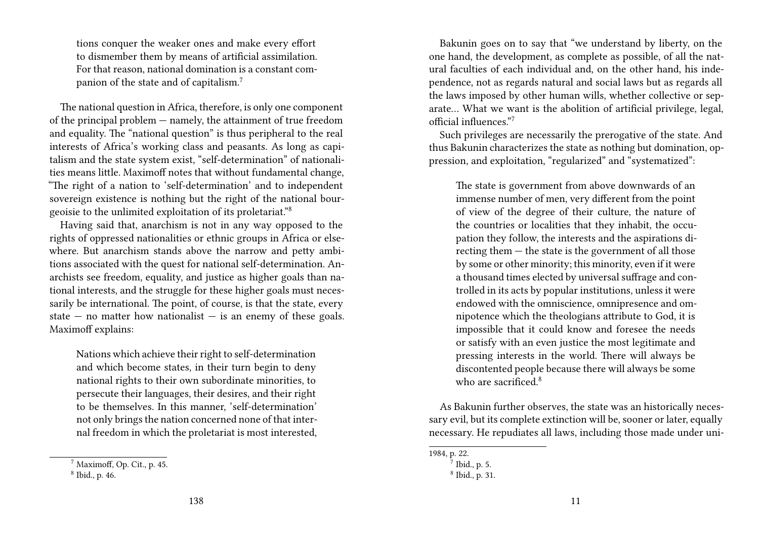tions conquer the weaker ones and make every effort to dismember them by means of artificial assimilation. For that reason, national domination is a constant companion of the state and of capitalism.<sup>7</sup>

The national question in Africa, therefore, is only one component of the principal problem — namely, the attainment of true freedom and equality. The "national question" is thus peripheral to the real interests of Africa's working class and peasants. As long as capitalism and the state system exist, "self-determination" of nationalities means little. Maximoff notes that without fundamental change, "The right of a nation to 'self-determination' and to independent sovereign existence is nothing but the right of the national bourgeoisie to the unlimited exploitation of its proletariat."<sup>8</sup>

Having said that, anarchism is not in any way opposed to the rights of oppressed nationalities or ethnic groups in Africa or elsewhere. But anarchism stands above the narrow and petty ambitions associated with the quest for national self-determination. Anarchists see freedom, equality, and justice as higher goals than national interests, and the struggle for these higher goals must necessarily be international. The point, of course, is that the state, every state  $-$  no matter how nationalist  $-$  is an enemy of these goals. Maximoff explains:

Nations which achieve their right to self-determination and which become states, in their turn begin to deny national rights to their own subordinate minorities, to persecute their languages, their desires, and their right to be themselves. In this manner, 'self-determination' not only brings the nation concerned none of that internal freedom in which the proletariat is most interested,

Bakunin goes on to say that "we understand by liberty, on the one hand, the development, as complete as possible, of all the natural faculties of each individual and, on the other hand, his independence, not as regards natural and social laws but as regards all the laws imposed by other human wills, whether collective or separate… What we want is the abolition of artificial privilege, legal, official influences."<sup>7</sup>

Such privileges are necessarily the prerogative of the state. And thus Bakunin characterizes the state as nothing but domination, oppression, and exploitation, "regularized" and "systematized":

The state is government from above downwards of an immense number of men, very different from the point of view of the degree of their culture, the nature of the countries or localities that they inhabit, the occupation they follow, the interests and the aspirations directing them — the state is the government of all those by some or other minority; this minority, even if it were a thousand times elected by universal suffrage and controlled in its acts by popular institutions, unless it were endowed with the omniscience, omnipresence and omnipotence which the theologians attribute to God, it is impossible that it could know and foresee the needs or satisfy with an even justice the most legitimate and pressing interests in the world. There will always be discontented people because there will always be some who are sacrificed  $8$ 

As Bakunin further observes, the state was an historically necessary evil, but its complete extinction will be, sooner or later, equally necessary. He repudiates all laws, including those made under uni-

 $<sup>7</sup>$  Maximoff, Op. Cit., p. 45.</sup>

<sup>8</sup> Ibid., p. 46.

<sup>1984,</sup> p. 22.

<sup>7</sup> Ibid., p. 5.

<sup>8</sup> Ibid., p. 31.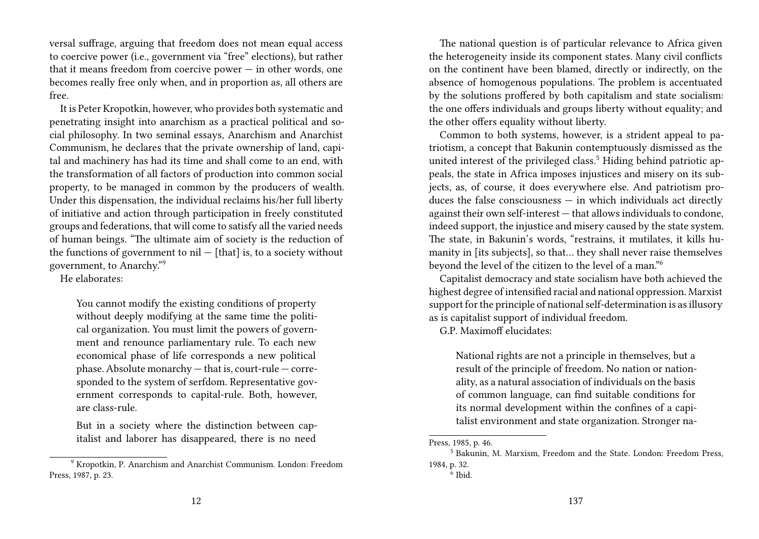versal suffrage, arguing that freedom does not mean equal access to coercive power (i.e., government via "free" elections), but rather that it means freedom from coercive power — in other words, one becomes really free only when, and in proportion as, all others are free.

It is Peter Kropotkin, however, who provides both systematic and penetrating insight into anarchism as a practical political and social philosophy. In two seminal essays, Anarchism and Anarchist Communism, he declares that the private ownership of land, capital and machinery has had its time and shall come to an end, with the transformation of all factors of production into common social property, to be managed in common by the producers of wealth. Under this dispensation, the individual reclaims his/her full liberty of initiative and action through participation in freely constituted groups and federations, that will come to satisfy all the varied needs of human beings. "The ultimate aim of society is the reduction of the functions of government to  $nil - [that]$  is, to a society without government, to Anarchy."<sup>9</sup>

He elaborates:

You cannot modify the existing conditions of property without deeply modifying at the same time the political organization. You must limit the powers of government and renounce parliamentary rule. To each new economical phase of life corresponds a new political phase. Absolute monarchy — that is, court-rule — corresponded to the system of serfdom. Representative government corresponds to capital-rule. Both, however, are class-rule.

But in a society where the distinction between capitalist and laborer has disappeared, there is no need

The national question is of particular relevance to Africa given the heterogeneity inside its component states. Many civil conflicts on the continent have been blamed, directly or indirectly, on the absence of homogenous populations. The problem is accentuated by the solutions proffered by both capitalism and state socialism: the one offers individuals and groups liberty without equality; and the other offers equality without liberty.

Common to both systems, however, is a strident appeal to patriotism, a concept that Bakunin contemptuously dismissed as the united interest of the privileged class.<sup>5</sup> Hiding behind patriotic appeals, the state in Africa imposes injustices and misery on its subjects, as, of course, it does everywhere else. And patriotism produces the false consciousness  $-$  in which individuals act directly against their own self-interest — that allows individuals to condone, indeed support, the injustice and misery caused by the state system. The state, in Bakunin's words, "restrains, it mutilates, it kills humanity in [its subjects], so that… they shall never raise themselves beyond the level of the citizen to the level of a man."<sup>6</sup>

Capitalist democracy and state socialism have both achieved the highest degree of intensified racial and national oppression. Marxist support for the principle of national self-determination is as illusory as is capitalist support of individual freedom.

G.P. Maximoff elucidates:

National rights are not a principle in themselves, but a result of the principle of freedom. No nation or nationality, as a natural association of individuals on the basis of common language, can find suitable conditions for its normal development within the confines of a capitalist environment and state organization. Stronger na-

<sup>9</sup> Kropotkin, P. Anarchism and Anarchist Communism. London: Freedom Press, 1987, p. 23.

Press, 1985, p. 46.

<sup>5</sup> Bakunin, M. Marxism, Freedom and the State. London: Freedom Press, 1984, p. 32.

<sup>6</sup> Ibid.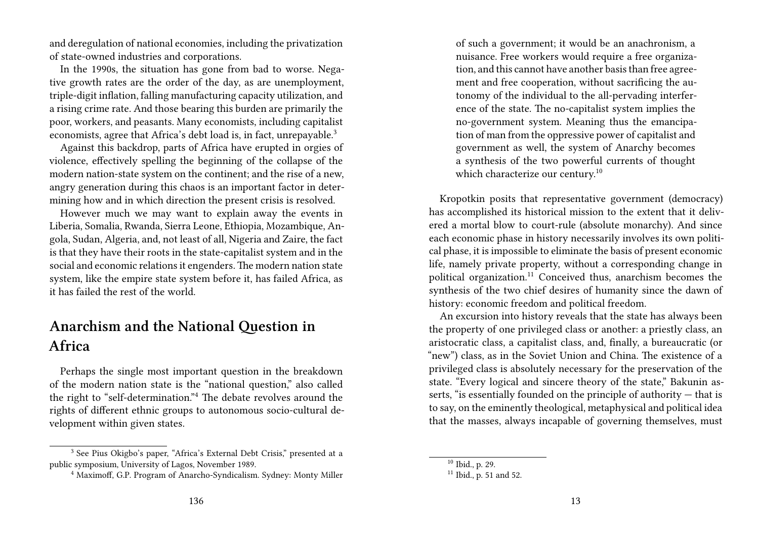and deregulation of national economies, including the privatization of state-owned industries and corporations.

In the 1990s, the situation has gone from bad to worse. Negative growth rates are the order of the day, as are unemployment, triple-digit inflation, falling manufacturing capacity utilization, and a rising crime rate. And those bearing this burden are primarily the poor, workers, and peasants. Many economists, including capitalist economists, agree that Africa's debt load is, in fact, unrepayable.<sup>3</sup>

Against this backdrop, parts of Africa have erupted in orgies of violence, effectively spelling the beginning of the collapse of the modern nation-state system on the continent; and the rise of a new, angry generation during this chaos is an important factor in determining how and in which direction the present crisis is resolved.

However much we may want to explain away the events in Liberia, Somalia, Rwanda, Sierra Leone, Ethiopia, Mozambique, Angola, Sudan, Algeria, and, not least of all, Nigeria and Zaire, the fact is that they have their roots in the state-capitalist system and in the social and economic relations it engenders. The modern nation state system, like the empire state system before it, has failed Africa, as it has failed the rest of the world.

### **Anarchism and the National Question in Africa**

Perhaps the single most important question in the breakdown of the modern nation state is the "national question," also called the right to "self-determination."<sup>4</sup> The debate revolves around the rights of different ethnic groups to autonomous socio-cultural development within given states.

of such a government; it would be an anachronism, a nuisance. Free workers would require a free organization, and this cannot have another basis than free agreement and free cooperation, without sacrificing the autonomy of the individual to the all-pervading interference of the state. The no-capitalist system implies the no-government system. Meaning thus the emancipation of man from the oppressive power of capitalist and government as well, the system of Anarchy becomes a synthesis of the two powerful currents of thought which characterize our century.<sup>10</sup>

Kropotkin posits that representative government (democracy) has accomplished its historical mission to the extent that it delivered a mortal blow to court-rule (absolute monarchy). And since each economic phase in history necessarily involves its own political phase, it is impossible to eliminate the basis of present economic life, namely private property, without a corresponding change in political organization.<sup>11</sup> Conceived thus, anarchism becomes the synthesis of the two chief desires of humanity since the dawn of history: economic freedom and political freedom.

An excursion into history reveals that the state has always been the property of one privileged class or another: a priestly class, an aristocratic class, a capitalist class, and, finally, a bureaucratic (or "new") class, as in the Soviet Union and China. The existence of a privileged class is absolutely necessary for the preservation of the state. "Every logical and sincere theory of the state," Bakunin asserts, "is essentially founded on the principle of authority — that is to say, on the eminently theological, metaphysical and political idea that the masses, always incapable of governing themselves, must

<sup>3</sup> See Pius Okigbo's paper, "Africa's External Debt Crisis," presented at a public symposium, University of Lagos, November 1989.

<sup>4</sup> Maximoff, G.P. Program of Anarcho-Syndicalism. Sydney: Monty Miller

<sup>10</sup> Ibid., p. 29.

<sup>&</sup>lt;sup>11</sup> Ibid., p. 51 and 52.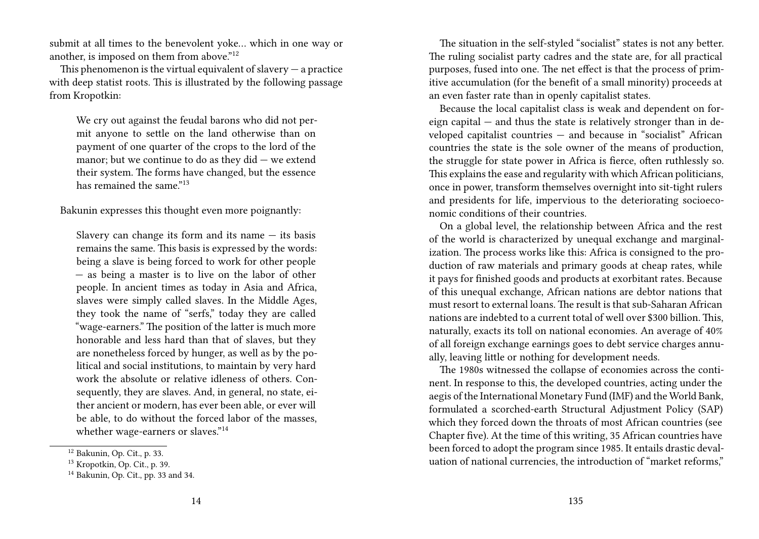submit at all times to the benevolent yoke… which in one way or another, is imposed on them from above."<sup>12</sup>

This phenomenon is the virtual equivalent of slavery  $-$  a practice with deep statist roots. This is illustrated by the following passage from Kropotkin:

We cry out against the feudal barons who did not permit anyone to settle on the land otherwise than on payment of one quarter of the crops to the lord of the manor; but we continue to do as they  $\text{did} - \text{we extend}$ their system. The forms have changed, but the essence has remained the same $^{913}$ 

Bakunin expresses this thought even more poignantly:

Slavery can change its form and its name  $-$  its basis remains the same. This basis is expressed by the words: being a slave is being forced to work for other people — as being a master is to live on the labor of other people. In ancient times as today in Asia and Africa, slaves were simply called slaves. In the Middle Ages, they took the name of "serfs," today they are called "wage-earners." The position of the latter is much more honorable and less hard than that of slaves, but they are nonetheless forced by hunger, as well as by the political and social institutions, to maintain by very hard work the absolute or relative idleness of others. Consequently, they are slaves. And, in general, no state, either ancient or modern, has ever been able, or ever will be able, to do without the forced labor of the masses, whether wage-earners or slaves."<sup>14</sup>

The situation in the self-styled "socialist" states is not any better. The ruling socialist party cadres and the state are, for all practical purposes, fused into one. The net effect is that the process of primitive accumulation (for the benefit of a small minority) proceeds at an even faster rate than in openly capitalist states.

Because the local capitalist class is weak and dependent on foreign capital  $-$  and thus the state is relatively stronger than in developed capitalist countries — and because in "socialist" African countries the state is the sole owner of the means of production, the struggle for state power in Africa is fierce, often ruthlessly so. This explains the ease and regularity with which African politicians, once in power, transform themselves overnight into sit-tight rulers and presidents for life, impervious to the deteriorating socioeconomic conditions of their countries.

On a global level, the relationship between Africa and the rest of the world is characterized by unequal exchange and marginalization. The process works like this: Africa is consigned to the production of raw materials and primary goods at cheap rates, while it pays for finished goods and products at exorbitant rates. Because of this unequal exchange, African nations are debtor nations that must resort to external loans. The result is that sub-Saharan African nations are indebted to a current total of well over \$300 billion. This, naturally, exacts its toll on national economies. An average of 40% of all foreign exchange earnings goes to debt service charges annually, leaving little or nothing for development needs.

The 1980s witnessed the collapse of economies across the continent. In response to this, the developed countries, acting under the aegis of the International Monetary Fund (IMF) and the World Bank, formulated a scorched-earth Structural Adjustment Policy (SAP) which they forced down the throats of most African countries (see Chapter five). At the time of this writing, 35 African countries have been forced to adopt the program since 1985. It entails drastic devaluation of national currencies, the introduction of "market reforms,"

<sup>12</sup> Bakunin, Op. Cit., p. 33.

 $13$  Kropotkin, Op. Cit., p. 39.

<sup>14</sup> Bakunin, Op. Cit., pp. 33 and 34.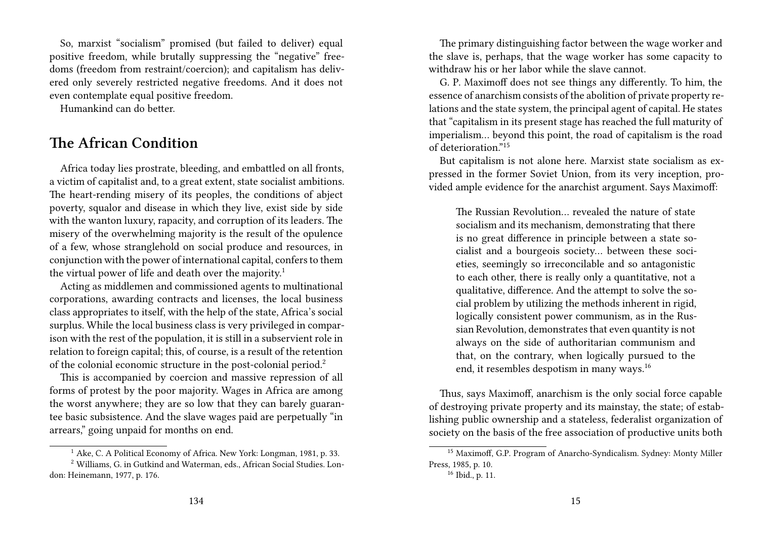So, marxist "socialism" promised (but failed to deliver) equal positive freedom, while brutally suppressing the "negative" freedoms (freedom from restraint/coercion); and capitalism has delivered only severely restricted negative freedoms. And it does not even contemplate equal positive freedom.

Humankind can do better.

#### **The African Condition**

Africa today lies prostrate, bleeding, and embattled on all fronts, a victim of capitalist and, to a great extent, state socialist ambitions. The heart-rending misery of its peoples, the conditions of abject poverty, squalor and disease in which they live, exist side by side with the wanton luxury, rapacity, and corruption of its leaders. The misery of the overwhelming majority is the result of the opulence of a few, whose stranglehold on social produce and resources, in conjunction with the power of international capital, confers to them the virtual power of life and death over the majority.<sup>1</sup>

Acting as middlemen and commissioned agents to multinational corporations, awarding contracts and licenses, the local business class appropriates to itself, with the help of the state, Africa's social surplus. While the local business class is very privileged in comparison with the rest of the population, it is still in a subservient role in relation to foreign capital; this, of course, is a result of the retention of the colonial economic structure in the post-colonial period.<sup>2</sup>

This is accompanied by coercion and massive repression of all forms of protest by the poor majority. Wages in Africa are among the worst anywhere; they are so low that they can barely guarantee basic subsistence. And the slave wages paid are perpetually "in arrears," going unpaid for months on end.

The primary distinguishing factor between the wage worker and the slave is, perhaps, that the wage worker has some capacity to withdraw his or her labor while the slave cannot.

G. P. Maximoff does not see things any differently. To him, the essence of anarchism consists of the abolition of private property relations and the state system, the principal agent of capital. He states that "capitalism in its present stage has reached the full maturity of imperialism… beyond this point, the road of capitalism is the road of deterioration."<sup>15</sup>

But capitalism is not alone here. Marxist state socialism as expressed in the former Soviet Union, from its very inception, provided ample evidence for the anarchist argument. Says Maximoff:

The Russian Revolution… revealed the nature of state socialism and its mechanism, demonstrating that there is no great difference in principle between a state socialist and a bourgeois society… between these societies, seemingly so irreconcilable and so antagonistic to each other, there is really only a quantitative, not a qualitative, difference. And the attempt to solve the social problem by utilizing the methods inherent in rigid, logically consistent power communism, as in the Russian Revolution, demonstrates that even quantity is not always on the side of authoritarian communism and that, on the contrary, when logically pursued to the end, it resembles despotism in many ways.<sup>16</sup>

Thus, says Maximoff, anarchism is the only social force capable of destroying private property and its mainstay, the state; of establishing public ownership and a stateless, federalist organization of society on the basis of the free association of productive units both

<sup>1</sup> Ake, C. A Political Economy of Africa. New York: Longman, 1981, p. 33.

<sup>2</sup> Williams, G. in Gutkind and Waterman, eds., African Social Studies. London: Heinemann, 1977, p. 176.

<sup>15</sup> Maximoff, G.P. Program of Anarcho-Syndicalism. Sydney: Monty Miller Press, 1985, p. 10.

<sup>16</sup> Ibid., p. 11.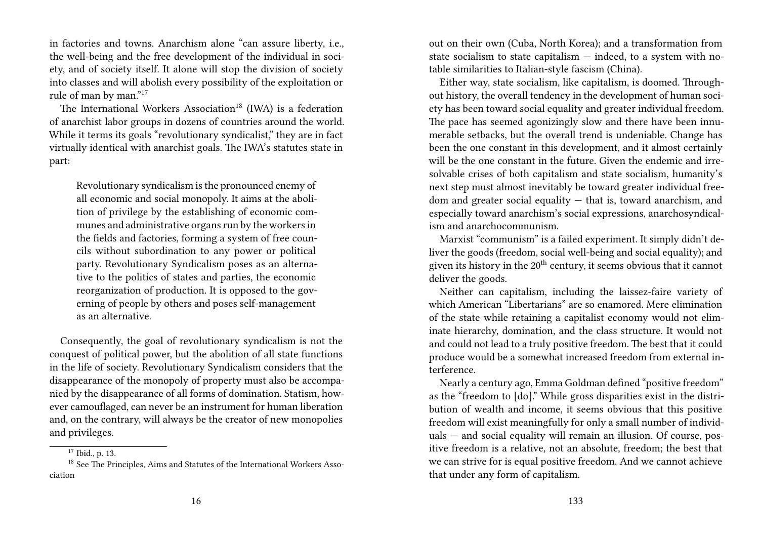in factories and towns. Anarchism alone "can assure liberty, i.e., the well-being and the free development of the individual in society, and of society itself. It alone will stop the division of society into classes and will abolish every possibility of the exploitation or rule of man by man."<sup>17</sup>

The International Workers Association<sup>18</sup> (IWA) is a federation of anarchist labor groups in dozens of countries around the world. While it terms its goals "revolutionary syndicalist," they are in fact virtually identical with anarchist goals. The IWA's statutes state in part:

Revolutionary syndicalism is the pronounced enemy of all economic and social monopoly. It aims at the abolition of privilege by the establishing of economic communes and administrative organs run by the workers in the fields and factories, forming a system of free councils without subordination to any power or political party. Revolutionary Syndicalism poses as an alternative to the politics of states and parties, the economic reorganization of production. It is opposed to the governing of people by others and poses self-management as an alternative.

Consequently, the goal of revolutionary syndicalism is not the conquest of political power, but the abolition of all state functions in the life of society. Revolutionary Syndicalism considers that the disappearance of the monopoly of property must also be accompanied by the disappearance of all forms of domination. Statism, however camouflaged, can never be an instrument for human liberation and, on the contrary, will always be the creator of new monopolies and privileges.

out on their own (Cuba, North Korea); and a transformation from state socialism to state capitalism — indeed, to a system with notable similarities to Italian-style fascism (China).

Either way, state socialism, like capitalism, is doomed. Throughout history, the overall tendency in the development of human society has been toward social equality and greater individual freedom. The pace has seemed agonizingly slow and there have been innumerable setbacks, but the overall trend is undeniable. Change has been the one constant in this development, and it almost certainly will be the one constant in the future. Given the endemic and irresolvable crises of both capitalism and state socialism, humanity's next step must almost inevitably be toward greater individual freedom and greater social equality — that is, toward anarchism, and especially toward anarchism's social expressions, anarchosyndicalism and anarchocommunism.

Marxist "communism" is a failed experiment. It simply didn't deliver the goods (freedom, social well-being and social equality); and given its history in the  $20<sup>th</sup>$  century, it seems obvious that it cannot deliver the goods.

Neither can capitalism, including the laissez-faire variety of which American "Libertarians" are so enamored. Mere elimination of the state while retaining a capitalist economy would not eliminate hierarchy, domination, and the class structure. It would not and could not lead to a truly positive freedom. The best that it could produce would be a somewhat increased freedom from external interference.

Nearly a century ago, Emma Goldman defined "positive freedom" as the "freedom to [do]." While gross disparities exist in the distribution of wealth and income, it seems obvious that this positive freedom will exist meaningfully for only a small number of individuals — and social equality will remain an illusion. Of course, positive freedom is a relative, not an absolute, freedom; the best that we can strive for is equal positive freedom. And we cannot achieve that under any form of capitalism.

<sup>17</sup> Ibid., p. 13.

<sup>&</sup>lt;sup>18</sup> See The Principles, Aims and Statutes of the International Workers Association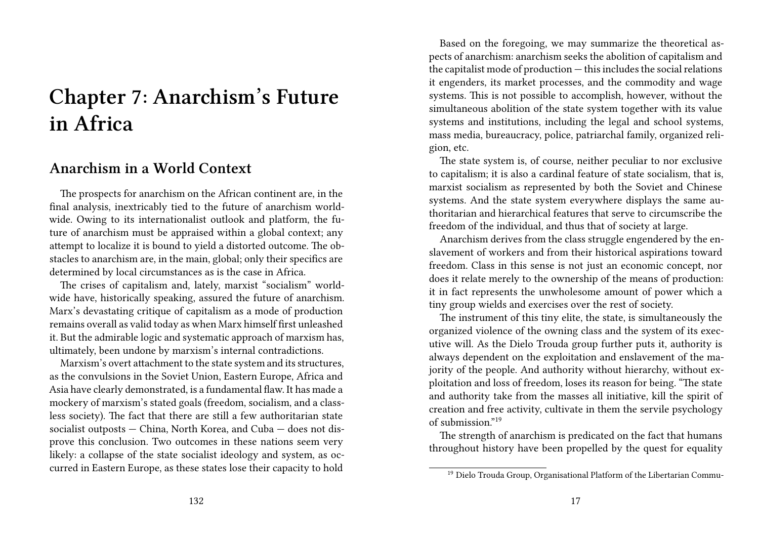## **Chapter 7: Anarchism's Future in Africa**

### **Anarchism in a World Context**

The prospects for anarchism on the African continent are, in the final analysis, inextricably tied to the future of anarchism worldwide. Owing to its internationalist outlook and platform, the future of anarchism must be appraised within a global context; any attempt to localize it is bound to yield a distorted outcome. The obstacles to anarchism are, in the main, global; only their specifics are determined by local circumstances as is the case in Africa.

The crises of capitalism and, lately, marxist "socialism" worldwide have, historically speaking, assured the future of anarchism. Marx's devastating critique of capitalism as a mode of production remains overall as valid today as when Marx himself first unleashed it. But the admirable logic and systematic approach of marxism has, ultimately, been undone by marxism's internal contradictions.

Marxism's overt attachment to the state system and its structures, as the convulsions in the Soviet Union, Eastern Europe, Africa and Asia have clearly demonstrated, is a fundamental flaw. It has made a mockery of marxism's stated goals (freedom, socialism, and a classless society). The fact that there are still a few authoritarian state socialist outposts — China, North Korea, and Cuba — does not disprove this conclusion. Two outcomes in these nations seem very likely: a collapse of the state socialist ideology and system, as occurred in Eastern Europe, as these states lose their capacity to hold

Based on the foregoing, we may summarize the theoretical aspects of anarchism: anarchism seeks the abolition of capitalism and the capitalist mode of production — this includes the social relations it engenders, its market processes, and the commodity and wage systems. This is not possible to accomplish, however, without the simultaneous abolition of the state system together with its value systems and institutions, including the legal and school systems, mass media, bureaucracy, police, patriarchal family, organized religion, etc.

The state system is, of course, neither peculiar to nor exclusive to capitalism; it is also a cardinal feature of state socialism, that is, marxist socialism as represented by both the Soviet and Chinese systems. And the state system everywhere displays the same authoritarian and hierarchical features that serve to circumscribe the freedom of the individual, and thus that of society at large.

Anarchism derives from the class struggle engendered by the enslavement of workers and from their historical aspirations toward freedom. Class in this sense is not just an economic concept, nor does it relate merely to the ownership of the means of production: it in fact represents the unwholesome amount of power which a tiny group wields and exercises over the rest of society.

The instrument of this tiny elite, the state, is simultaneously the organized violence of the owning class and the system of its executive will. As the Dielo Trouda group further puts it, authority is always dependent on the exploitation and enslavement of the majority of the people. And authority without hierarchy, without exploitation and loss of freedom, loses its reason for being. "The state and authority take from the masses all initiative, kill the spirit of creation and free activity, cultivate in them the servile psychology of submission."<sup>19</sup>

The strength of anarchism is predicated on the fact that humans throughout history have been propelled by the quest for equality

<sup>19</sup> Dielo Trouda Group, Organisational Platform of the Libertarian Commu-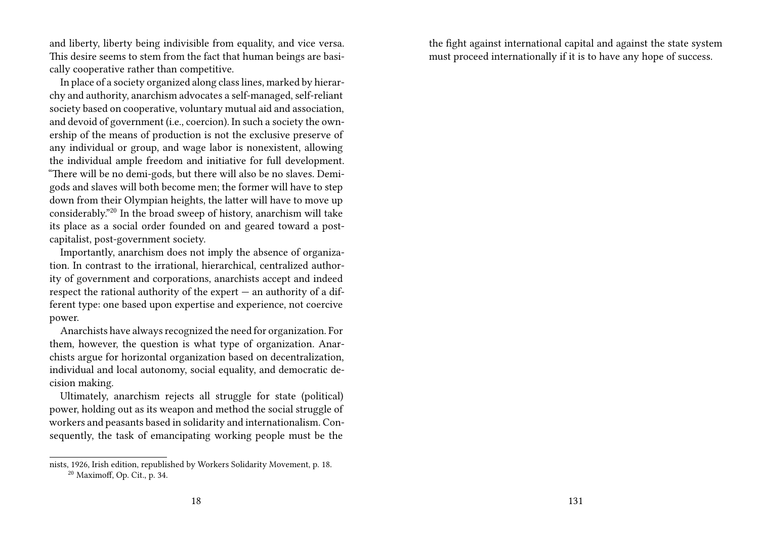and liberty, liberty being indivisible from equality, and vice versa. This desire seems to stem from the fact that human beings are basically cooperative rather than competitive.

In place of a society organized along class lines, marked by hierarchy and authority, anarchism advocates a self-managed, self-reliant society based on cooperative, voluntary mutual aid and association, and devoid of government (i.e., coercion). In such a society the ownership of the means of production is not the exclusive preserve of any individual or group, and wage labor is nonexistent, allowing the individual ample freedom and initiative for full development. "There will be no demi-gods, but there will also be no slaves. Demigods and slaves will both become men; the former will have to step down from their Olympian heights, the latter will have to move up considerably."<sup>20</sup> In the broad sweep of history, anarchism will take its place as a social order founded on and geared toward a postcapitalist, post-government society.

Importantly, anarchism does not imply the absence of organization. In contrast to the irrational, hierarchical, centralized authority of government and corporations, anarchists accept and indeed respect the rational authority of the expert — an authority of a different type: one based upon expertise and experience, not coercive power.

Anarchists have always recognized the need for organization. For them, however, the question is what type of organization. Anarchists argue for horizontal organization based on decentralization, individual and local autonomy, social equality, and democratic decision making.

Ultimately, anarchism rejects all struggle for state (political) power, holding out as its weapon and method the social struggle of workers and peasants based in solidarity and internationalism. Consequently, the task of emancipating working people must be the

the fight against international capital and against the state system must proceed internationally if it is to have any hope of success.

nists, 1926, Irish edition, republished by Workers Solidarity Movement, p. 18. <sup>20</sup> Maximoff, Op. Cit., p. 34.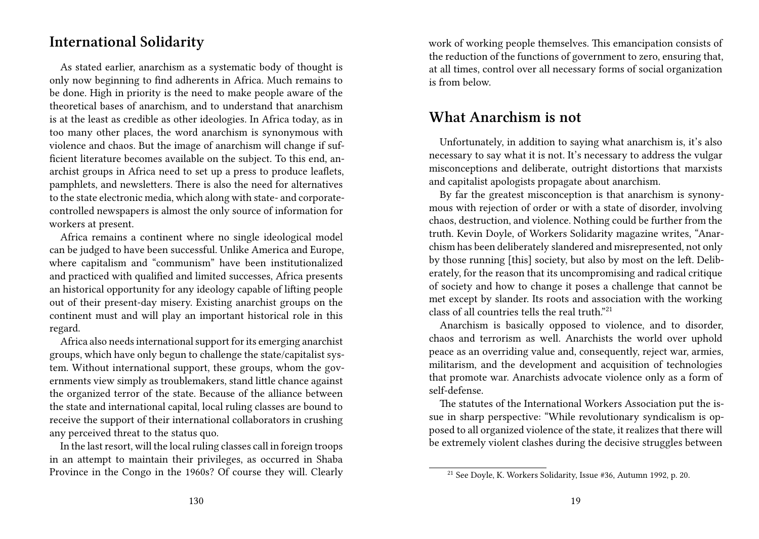### **International Solidarity**

As stated earlier, anarchism as a systematic body of thought is only now beginning to find adherents in Africa. Much remains to be done. High in priority is the need to make people aware of the theoretical bases of anarchism, and to understand that anarchism is at the least as credible as other ideologies. In Africa today, as in too many other places, the word anarchism is synonymous with violence and chaos. But the image of anarchism will change if sufficient literature becomes available on the subject. To this end, anarchist groups in Africa need to set up a press to produce leaflets, pamphlets, and newsletters. There is also the need for alternatives to the state electronic media, which along with state- and corporatecontrolled newspapers is almost the only source of information for workers at present.

Africa remains a continent where no single ideological model can be judged to have been successful. Unlike America and Europe, where capitalism and "communism" have been institutionalized and practiced with qualified and limited successes, Africa presents an historical opportunity for any ideology capable of lifting people out of their present-day misery. Existing anarchist groups on the continent must and will play an important historical role in this regard.

Africa also needs international support for its emerging anarchist groups, which have only begun to challenge the state/capitalist system. Without international support, these groups, whom the governments view simply as troublemakers, stand little chance against the organized terror of the state. Because of the alliance between the state and international capital, local ruling classes are bound to receive the support of their international collaborators in crushing any perceived threat to the status quo.

In the last resort, will the local ruling classes call in foreign troops in an attempt to maintain their privileges, as occurred in Shaba Province in the Congo in the 1960s? Of course they will. Clearly work of working people themselves. This emancipation consists of the reduction of the functions of government to zero, ensuring that, at all times, control over all necessary forms of social organization is from below.

#### **What Anarchism is not**

Unfortunately, in addition to saying what anarchism is, it's also necessary to say what it is not. It's necessary to address the vulgar misconceptions and deliberate, outright distortions that marxists and capitalist apologists propagate about anarchism.

By far the greatest misconception is that anarchism is synonymous with rejection of order or with a state of disorder, involving chaos, destruction, and violence. Nothing could be further from the truth. Kevin Doyle, of Workers Solidarity magazine writes, "Anarchism has been deliberately slandered and misrepresented, not only by those running [this] society, but also by most on the left. Deliberately, for the reason that its uncompromising and radical critique of society and how to change it poses a challenge that cannot be met except by slander. Its roots and association with the working class of all countries tells the real truth. $21$ 

Anarchism is basically opposed to violence, and to disorder, chaos and terrorism as well. Anarchists the world over uphold peace as an overriding value and, consequently, reject war, armies, militarism, and the development and acquisition of technologies that promote war. Anarchists advocate violence only as a form of self-defense.

The statutes of the International Workers Association put the issue in sharp perspective: "While revolutionary syndicalism is opposed to all organized violence of the state, it realizes that there will be extremely violent clashes during the decisive struggles between

<sup>21</sup> See Doyle, K. Workers Solidarity, Issue #36, Autumn 1992, p. 20.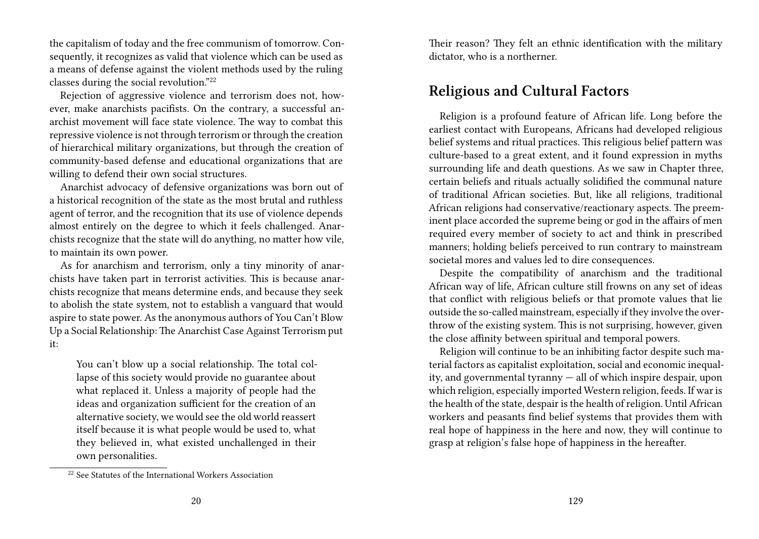the capitalism of today and the free communism of tomorrow. Consequently, it recognizes as valid that violence which can be used as a means of defense against the violent methods used by the ruling classes during the social revolution."<sup>22</sup>

Rejection of aggressive violence and terrorism does not, however, make anarchists pacifists. On the contrary, a successful anarchist movement will face state violence. The way to combat this repressive violence is not through terrorism or through the creation of hierarchical military organizations, but through the creation of community-based defense and educational organizations that are willing to defend their own social structures.

Anarchist advocacy of defensive organizations was born out of a historical recognition of the state as the most brutal and ruthless agent of terror, and the recognition that its use of violence depends almost entirely on the degree to which it feels challenged. Anarchists recognize that the state will do anything, no matter how vile, to maintain its own power.

As for anarchism and terrorism, only a tiny minority of anarchists have taken part in terrorist activities. This is because anarchists recognize that means determine ends, and because they seek to abolish the state system, not to establish a vanguard that would aspire to state power. As the anonymous authors of You Can't Blow Up a Social Relationship: The Anarchist Case Against Terrorism put it:

You can't blow up a social relationship. The total collapse of this society would provide no guarantee about what replaced it. Unless a majority of people had the ideas and organization sufficient for the creation of an alternative society, we would see the old world reassert itself because it is what people would be used to, what they believed in, what existed unchallenged in their own personalities.

<sup>22</sup> See Statutes of the International Workers Association

Their reason? They felt an ethnic identification with the military dictator, who is a northerner.

#### **Religious and Cultural Factors**

Religion is a profound feature of African life. Long before the earliest contact with Europeans, Africans had developed religious belief systems and ritual practices. This religious belief pattern was culture-based to a great extent, and it found expression in myths surrounding life and death questions. As we saw in Chapter three, certain beliefs and rituals actually solidified the communal nature of traditional African societies. But, like all religions, traditional African religions had conservative/reactionary aspects. The preeminent place accorded the supreme being or god in the affairs of men required every member of society to act and think in prescribed manners; holding beliefs perceived to run contrary to mainstream societal mores and values led to dire consequences.

Despite the compatibility of anarchism and the traditional African way of life, African culture still frowns on any set of ideas that conflict with religious beliefs or that promote values that lie outside the so-called mainstream, especially if they involve the overthrow of the existing system. This is not surprising, however, given the close affinity between spiritual and temporal powers.

Religion will continue to be an inhibiting factor despite such material factors as capitalist exploitation, social and economic inequality, and governmental tyranny — all of which inspire despair, upon which religion, especially imported Western religion, feeds. If war is the health of the state, despair is the health of religion. Until African workers and peasants find belief systems that provides them with real hope of happiness in the here and now, they will continue to grasp at religion's false hope of happiness in the hereafter.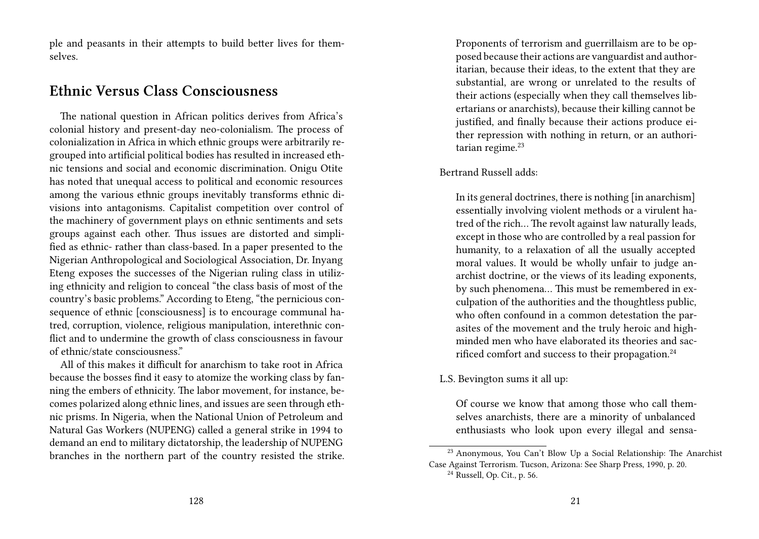ple and peasants in their attempts to build better lives for themselves.

#### **Ethnic Versus Class Consciousness**

The national question in African politics derives from Africa's colonial history and present-day neo-colonialism. The process of colonialization in Africa in which ethnic groups were arbitrarily regrouped into artificial political bodies has resulted in increased ethnic tensions and social and economic discrimination. Onigu Otite has noted that unequal access to political and economic resources among the various ethnic groups inevitably transforms ethnic divisions into antagonisms. Capitalist competition over control of the machinery of government plays on ethnic sentiments and sets groups against each other. Thus issues are distorted and simplified as ethnic- rather than class-based. In a paper presented to the Nigerian Anthropological and Sociological Association, Dr. Inyang Eteng exposes the successes of the Nigerian ruling class in utilizing ethnicity and religion to conceal "the class basis of most of the country's basic problems." According to Eteng, "the pernicious consequence of ethnic [consciousness] is to encourage communal hatred, corruption, violence, religious manipulation, interethnic conflict and to undermine the growth of class consciousness in favour of ethnic/state consciousness."

All of this makes it difficult for anarchism to take root in Africa because the bosses find it easy to atomize the working class by fanning the embers of ethnicity. The labor movement, for instance, becomes polarized along ethnic lines, and issues are seen through ethnic prisms. In Nigeria, when the National Union of Petroleum and Natural Gas Workers (NUPENG) called a general strike in 1994 to demand an end to military dictatorship, the leadership of NUPENG branches in the northern part of the country resisted the strike.

Proponents of terrorism and guerrillaism are to be opposed because their actions are vanguardist and authoritarian, because their ideas, to the extent that they are substantial, are wrong or unrelated to the results of their actions (especially when they call themselves libertarians or anarchists), because their killing cannot be justified, and finally because their actions produce either repression with nothing in return, or an authoritarian regime. $^{23}$ 

Bertrand Russell adds:

In its general doctrines, there is nothing [in anarchism] essentially involving violent methods or a virulent hatred of the rich… The revolt against law naturally leads, except in those who are controlled by a real passion for humanity, to a relaxation of all the usually accepted moral values. It would be wholly unfair to judge anarchist doctrine, or the views of its leading exponents, by such phenomena… This must be remembered in exculpation of the authorities and the thoughtless public, who often confound in a common detestation the parasites of the movement and the truly heroic and highminded men who have elaborated its theories and sacrificed comfort and success to their propagation. $^{24}$ 

L.S. Bevington sums it all up:

Of course we know that among those who call themselves anarchists, there are a minority of unbalanced enthusiasts who look upon every illegal and sensa-

<sup>23</sup> Anonymous, You Can't Blow Up a Social Relationship: The Anarchist Case Against Terrorism. Tucson, Arizona: See Sharp Press, 1990, p. 20.

<sup>24</sup> Russell, Op. Cit., p. 56.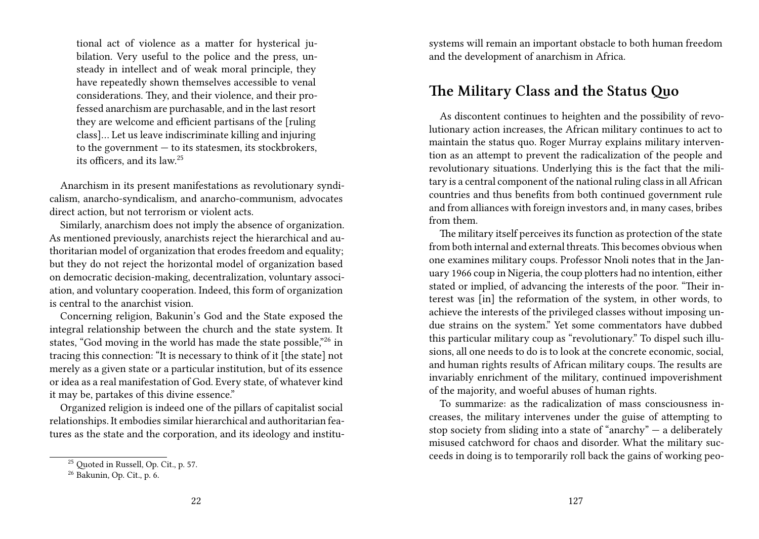tional act of violence as a matter for hysterical jubilation. Very useful to the police and the press, unsteady in intellect and of weak moral principle, they have repeatedly shown themselves accessible to venal considerations. They, and their violence, and their professed anarchism are purchasable, and in the last resort they are welcome and efficient partisans of the [ruling class]… Let us leave indiscriminate killing and injuring to the government  $-$  to its statesmen, its stockbrokers, its officers, and its law.<sup>25</sup>

Anarchism in its present manifestations as revolutionary syndicalism, anarcho-syndicalism, and anarcho-communism, advocates direct action, but not terrorism or violent acts.

Similarly, anarchism does not imply the absence of organization. As mentioned previously, anarchists reject the hierarchical and authoritarian model of organization that erodes freedom and equality; but they do not reject the horizontal model of organization based on democratic decision-making, decentralization, voluntary association, and voluntary cooperation. Indeed, this form of organization is central to the anarchist vision.

Concerning religion, Bakunin's God and the State exposed the integral relationship between the church and the state system. It states, "God moving in the world has made the state possible,"<sup>26</sup> in tracing this connection: "It is necessary to think of it [the state] not merely as a given state or a particular institution, but of its essence or idea as a real manifestation of God. Every state, of whatever kind it may be, partakes of this divine essence."

Organized religion is indeed one of the pillars of capitalist social relationships. It embodies similar hierarchical and authoritarian features as the state and the corporation, and its ideology and institu-

<sup>25</sup> Quoted in Russell, Op. Cit., p. 57.

systems will remain an important obstacle to both human freedom and the development of anarchism in Africa.

#### **The Military Class and the Status Quo**

As discontent continues to heighten and the possibility of revolutionary action increases, the African military continues to act to maintain the status quo. Roger Murray explains military intervention as an attempt to prevent the radicalization of the people and revolutionary situations. Underlying this is the fact that the military is a central component of the national ruling class in all African countries and thus benefits from both continued government rule and from alliances with foreign investors and, in many cases, bribes from them.

The military itself perceives its function as protection of the state from both internal and external threats.This becomes obvious when one examines military coups. Professor Nnoli notes that in the January 1966 coup in Nigeria, the coup plotters had no intention, either stated or implied, of advancing the interests of the poor. "Their interest was [in] the reformation of the system, in other words, to achieve the interests of the privileged classes without imposing undue strains on the system." Yet some commentators have dubbed this particular military coup as "revolutionary." To dispel such illusions, all one needs to do is to look at the concrete economic, social, and human rights results of African military coups. The results are invariably enrichment of the military, continued impoverishment of the majority, and woeful abuses of human rights.

To summarize: as the radicalization of mass consciousness increases, the military intervenes under the guise of attempting to stop society from sliding into a state of "anarchy" — a deliberately misused catchword for chaos and disorder. What the military succeeds in doing is to temporarily roll back the gains of working peo-

<sup>26</sup> Bakunin, Op. Cit., p. 6.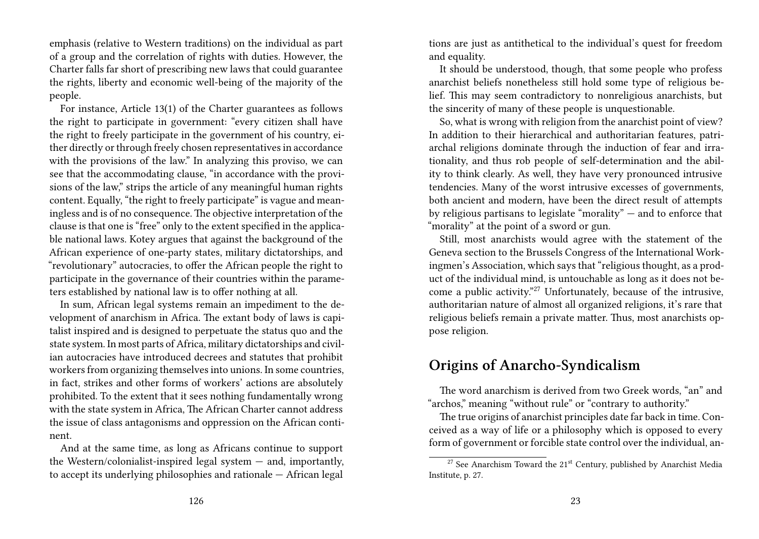emphasis (relative to Western traditions) on the individual as part of a group and the correlation of rights with duties. However, the Charter falls far short of prescribing new laws that could guarantee the rights, liberty and economic well-being of the majority of the people.

For instance, Article 13(1) of the Charter guarantees as follows the right to participate in government: "every citizen shall have the right to freely participate in the government of his country, either directly or through freely chosen representatives in accordance with the provisions of the law." In analyzing this proviso, we can see that the accommodating clause, "in accordance with the provisions of the law," strips the article of any meaningful human rights content. Equally, "the right to freely participate" is vague and meaningless and is of no consequence. The objective interpretation of the clause is that one is "free" only to the extent specified in the applicable national laws. Kotey argues that against the background of the African experience of one-party states, military dictatorships, and "revolutionary" autocracies, to offer the African people the right to participate in the governance of their countries within the parameters established by national law is to offer nothing at all.

In sum, African legal systems remain an impediment to the development of anarchism in Africa. The extant body of laws is capitalist inspired and is designed to perpetuate the status quo and the state system. In most parts of Africa, military dictatorships and civilian autocracies have introduced decrees and statutes that prohibit workers from organizing themselves into unions. In some countries, in fact, strikes and other forms of workers' actions are absolutely prohibited. To the extent that it sees nothing fundamentally wrong with the state system in Africa, The African Charter cannot address the issue of class antagonisms and oppression on the African continent.

And at the same time, as long as Africans continue to support the Western/colonialist-inspired legal system  $-$  and, importantly, to accept its underlying philosophies and rationale — African legal

tions are just as antithetical to the individual's quest for freedom and equality.

It should be understood, though, that some people who profess anarchist beliefs nonetheless still hold some type of religious belief. This may seem contradictory to nonreligious anarchists, but the sincerity of many of these people is unquestionable.

So, what is wrong with religion from the anarchist point of view? In addition to their hierarchical and authoritarian features, patriarchal religions dominate through the induction of fear and irrationality, and thus rob people of self-determination and the ability to think clearly. As well, they have very pronounced intrusive tendencies. Many of the worst intrusive excesses of governments, both ancient and modern, have been the direct result of attempts by religious partisans to legislate "morality" — and to enforce that "morality" at the point of a sword or gun.

Still, most anarchists would agree with the statement of the Geneva section to the Brussels Congress of the International Workingmen's Association, which says that "religious thought, as a product of the individual mind, is untouchable as long as it does not become a public activity."<sup>27</sup> Unfortunately, because of the intrusive, authoritarian nature of almost all organized religions, it's rare that religious beliefs remain a private matter. Thus, most anarchists oppose religion.

#### **Origins of Anarcho-Syndicalism**

The word anarchism is derived from two Greek words, "an" and "archos," meaning "without rule" or "contrary to authority."

The true origins of anarchist principles date far back in time. Conceived as a way of life or a philosophy which is opposed to every form of government or forcible state control over the individual, an-

 $^{27}$  See Anarchism Toward the  $21^{\rm st}$  Century, published by Anarchist Media Institute, p. 27.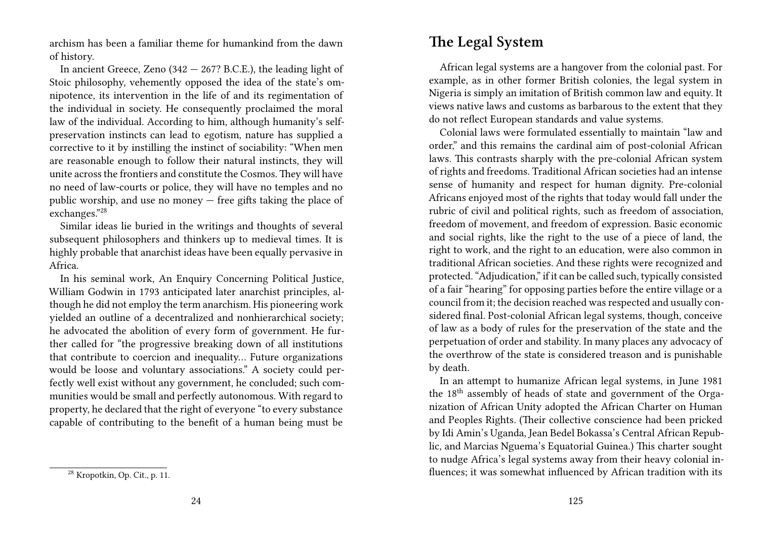archism has been a familiar theme for humankind from the dawn of history.

In ancient Greece, Zeno  $(342 - 267)$ ? B.C.E.), the leading light of Stoic philosophy, vehemently opposed the idea of the state's omnipotence, its intervention in the life of and its regimentation of the individual in society. He consequently proclaimed the moral law of the individual. According to him, although humanity's selfpreservation instincts can lead to egotism, nature has supplied a corrective to it by instilling the instinct of sociability: "When men are reasonable enough to follow their natural instincts, they will unite across the frontiers and constitute the Cosmos. They will have no need of law-courts or police, they will have no temples and no public worship, and use no money — free gifts taking the place of exchanges."<sup>28</sup>

Similar ideas lie buried in the writings and thoughts of several subsequent philosophers and thinkers up to medieval times. It is highly probable that anarchist ideas have been equally pervasive in Africa.

In his seminal work, An Enquiry Concerning Political Justice, William Godwin in 1793 anticipated later anarchist principles, although he did not employ the term anarchism. His pioneering work yielded an outline of a decentralized and nonhierarchical society; he advocated the abolition of every form of government. He further called for "the progressive breaking down of all institutions that contribute to coercion and inequality… Future organizations would be loose and voluntary associations." A society could perfectly well exist without any government, he concluded; such communities would be small and perfectly autonomous. With regard to property, he declared that the right of everyone "to every substance capable of contributing to the benefit of a human being must be

### **The Legal System**

African legal systems are a hangover from the colonial past. For example, as in other former British colonies, the legal system in Nigeria is simply an imitation of British common law and equity. It views native laws and customs as barbarous to the extent that they do not reflect European standards and value systems.

Colonial laws were formulated essentially to maintain "law and order," and this remains the cardinal aim of post-colonial African laws. This contrasts sharply with the pre-colonial African system of rights and freedoms. Traditional African societies had an intense sense of humanity and respect for human dignity. Pre-colonial Africans enjoyed most of the rights that today would fall under the rubric of civil and political rights, such as freedom of association, freedom of movement, and freedom of expression. Basic economic and social rights, like the right to the use of a piece of land, the right to work, and the right to an education, were also common in traditional African societies. And these rights were recognized and protected. "Adjudication," if it can be called such, typically consisted of a fair "hearing" for opposing parties before the entire village or a council from it; the decision reached was respected and usually considered final. Post-colonial African legal systems, though, conceive of law as a body of rules for the preservation of the state and the perpetuation of order and stability. In many places any advocacy of the overthrow of the state is considered treason and is punishable by death.

In an attempt to humanize African legal systems, in June 1981 the 18th assembly of heads of state and government of the Organization of African Unity adopted the African Charter on Human and Peoples Rights. (Their collective conscience had been pricked by Idi Amin's Uganda, Jean Bedel Bokassa's Central African Republic, and Marcias Nguema's Equatorial Guinea.) This charter sought to nudge Africa's legal systems away from their heavy colonial influences; it was somewhat influenced by African tradition with its

<sup>28</sup> Kropotkin, Op. Cit., p. 11.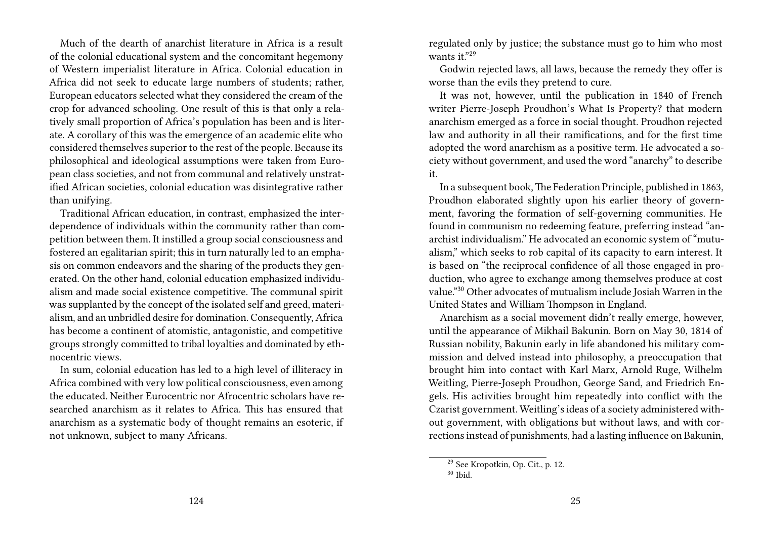Much of the dearth of anarchist literature in Africa is a result of the colonial educational system and the concomitant hegemony of Western imperialist literature in Africa. Colonial education in Africa did not seek to educate large numbers of students; rather, European educators selected what they considered the cream of the crop for advanced schooling. One result of this is that only a relatively small proportion of Africa's population has been and is literate. A corollary of this was the emergence of an academic elite who considered themselves superior to the rest of the people. Because its philosophical and ideological assumptions were taken from European class societies, and not from communal and relatively unstratified African societies, colonial education was disintegrative rather than unifying.

Traditional African education, in contrast, emphasized the interdependence of individuals within the community rather than competition between them. It instilled a group social consciousness and fostered an egalitarian spirit; this in turn naturally led to an emphasis on common endeavors and the sharing of the products they generated. On the other hand, colonial education emphasized individualism and made social existence competitive. The communal spirit was supplanted by the concept of the isolated self and greed, materialism, and an unbridled desire for domination. Consequently, Africa has become a continent of atomistic, antagonistic, and competitive groups strongly committed to tribal loyalties and dominated by ethnocentric views.

In sum, colonial education has led to a high level of illiteracy in Africa combined with very low political consciousness, even among the educated. Neither Eurocentric nor Afrocentric scholars have researched anarchism as it relates to Africa. This has ensured that anarchism as a systematic body of thought remains an esoteric, if not unknown, subject to many Africans.

regulated only by justice; the substance must go to him who most wants it."29

Godwin rejected laws, all laws, because the remedy they offer is worse than the evils they pretend to cure.

It was not, however, until the publication in 1840 of French writer Pierre-Joseph Proudhon's What Is Property? that modern anarchism emerged as a force in social thought. Proudhon rejected law and authority in all their ramifications, and for the first time adopted the word anarchism as a positive term. He advocated a society without government, and used the word "anarchy" to describe it.

In a subsequent book,The Federation Principle, published in 1863, Proudhon elaborated slightly upon his earlier theory of government, favoring the formation of self-governing communities. He found in communism no redeeming feature, preferring instead "anarchist individualism." He advocated an economic system of "mutualism," which seeks to rob capital of its capacity to earn interest. It is based on "the reciprocal confidence of all those engaged in production, who agree to exchange among themselves produce at cost value."<sup>30</sup> Other advocates of mutualism include Josiah Warren in the United States and William Thompson in England.

Anarchism as a social movement didn't really emerge, however, until the appearance of Mikhail Bakunin. Born on May 30, 1814 of Russian nobility, Bakunin early in life abandoned his military commission and delved instead into philosophy, a preoccupation that brought him into contact with Karl Marx, Arnold Ruge, Wilhelm Weitling, Pierre-Joseph Proudhon, George Sand, and Friedrich Engels. His activities brought him repeatedly into conflict with the Czarist government. Weitling's ideas of a society administered without government, with obligations but without laws, and with corrections instead of punishments, had a lasting influence on Bakunin,

<sup>29</sup> See Kropotkin, Op. Cit., p. 12.

 $30$  Ibid.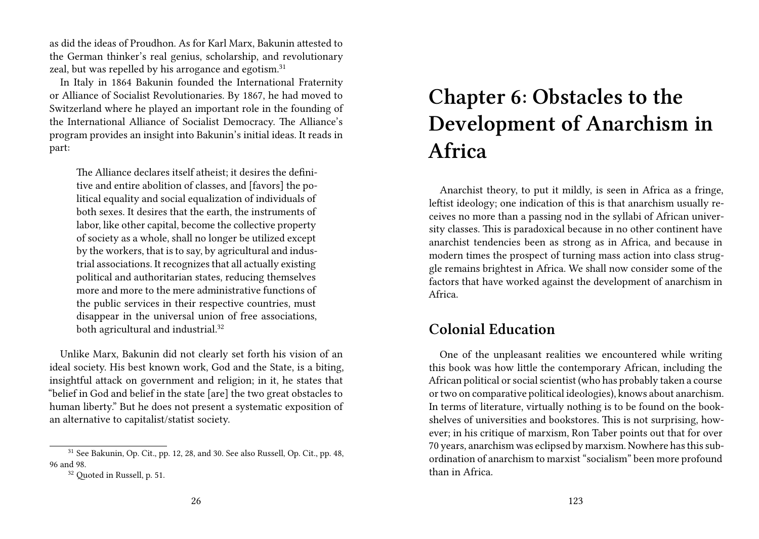as did the ideas of Proudhon. As for Karl Marx, Bakunin attested to the German thinker's real genius, scholarship, and revolutionary zeal, but was repelled by his arrogance and egotism.<sup>31</sup>

In Italy in 1864 Bakunin founded the International Fraternity or Alliance of Socialist Revolutionaries. By 1867, he had moved to Switzerland where he played an important role in the founding of the International Alliance of Socialist Democracy. The Alliance's program provides an insight into Bakunin's initial ideas. It reads in part:

The Alliance declares itself atheist; it desires the definitive and entire abolition of classes, and [favors] the political equality and social equalization of individuals of both sexes. It desires that the earth, the instruments of labor, like other capital, become the collective property of society as a whole, shall no longer be utilized except by the workers, that is to say, by agricultural and industrial associations. It recognizes that all actually existing political and authoritarian states, reducing themselves more and more to the mere administrative functions of the public services in their respective countries, must disappear in the universal union of free associations, both agricultural and industrial.<sup>32</sup>

Unlike Marx, Bakunin did not clearly set forth his vision of an ideal society. His best known work, God and the State, is a biting, insightful attack on government and religion; in it, he states that "belief in God and belief in the state [are] the two great obstacles to human liberty." But he does not present a systematic exposition of an alternative to capitalist/statist society.

# **Chapter 6: Obstacles to the Development of Anarchism in Africa**

Anarchist theory, to put it mildly, is seen in Africa as a fringe, leftist ideology; one indication of this is that anarchism usually receives no more than a passing nod in the syllabi of African university classes. This is paradoxical because in no other continent have anarchist tendencies been as strong as in Africa, and because in modern times the prospect of turning mass action into class struggle remains brightest in Africa. We shall now consider some of the factors that have worked against the development of anarchism in Africa.

## **Colonial Education**

One of the unpleasant realities we encountered while writing this book was how little the contemporary African, including the African political or social scientist (who has probably taken a course or two on comparative political ideologies), knows about anarchism. In terms of literature, virtually nothing is to be found on the bookshelves of universities and bookstores. This is not surprising, however; in his critique of marxism, Ron Taber points out that for over 70 years, anarchism was eclipsed by marxism. Nowhere has this subordination of anarchism to marxist "socialism" been more profound than in Africa.

<sup>31</sup> See Bakunin, Op. Cit., pp. 12, 28, and 30. See also Russell, Op. Cit., pp. 48, 96 and 98.

<sup>32</sup> Quoted in Russell, p. 51.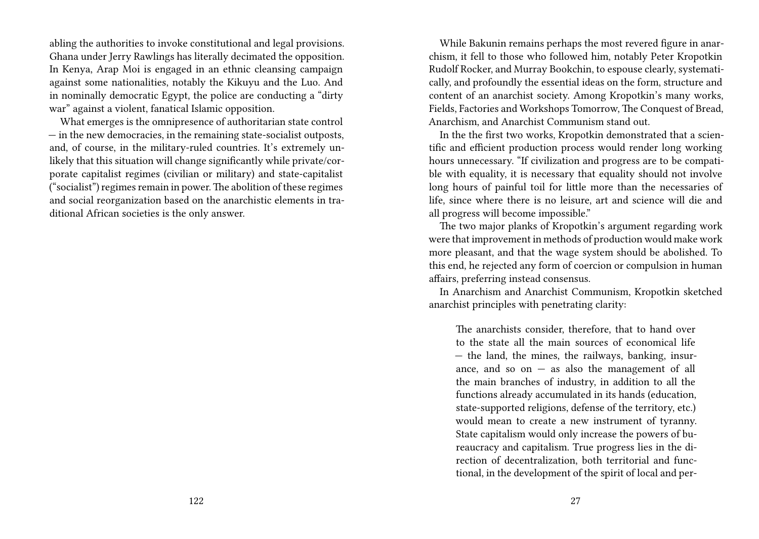abling the authorities to invoke constitutional and legal provisions. Ghana under Jerry Rawlings has literally decimated the opposition. In Kenya, Arap Moi is engaged in an ethnic cleansing campaign against some nationalities, notably the Kikuyu and the Luo. And in nominally democratic Egypt, the police are conducting a "dirty war" against a violent, fanatical Islamic opposition.

What emerges is the omnipresence of authoritarian state control — in the new democracies, in the remaining state-socialist outposts, and, of course, in the military-ruled countries. It's extremely unlikely that this situation will change significantly while private/corporate capitalist regimes (civilian or military) and state-capitalist ("socialist") regimes remain in power. The abolition of these regimes and social reorganization based on the anarchistic elements in traditional African societies is the only answer.

While Bakunin remains perhaps the most revered figure in anarchism, it fell to those who followed him, notably Peter Kropotkin Rudolf Rocker, and Murray Bookchin, to espouse clearly, systematically, and profoundly the essential ideas on the form, structure and content of an anarchist society. Among Kropotkin's many works, Fields, Factories and Workshops Tomorrow, The Conquest of Bread, Anarchism, and Anarchist Communism stand out.

In the the first two works, Kropotkin demonstrated that a scientific and efficient production process would render long working hours unnecessary. "If civilization and progress are to be compatible with equality, it is necessary that equality should not involve long hours of painful toil for little more than the necessaries of life, since where there is no leisure, art and science will die and all progress will become impossible."

The two major planks of Kropotkin's argument regarding work were that improvement in methods of production would make work more pleasant, and that the wage system should be abolished. To this end, he rejected any form of coercion or compulsion in human affairs, preferring instead consensus.

In Anarchism and Anarchist Communism, Kropotkin sketched anarchist principles with penetrating clarity:

The anarchists consider, therefore, that to hand over to the state all the main sources of economical life — the land, the mines, the railways, banking, insurance, and so on  $-$  as also the management of all the main branches of industry, in addition to all the functions already accumulated in its hands (education, state-supported religions, defense of the territory, etc.) would mean to create a new instrument of tyranny. State capitalism would only increase the powers of bureaucracy and capitalism. True progress lies in the direction of decentralization, both territorial and functional, in the development of the spirit of local and per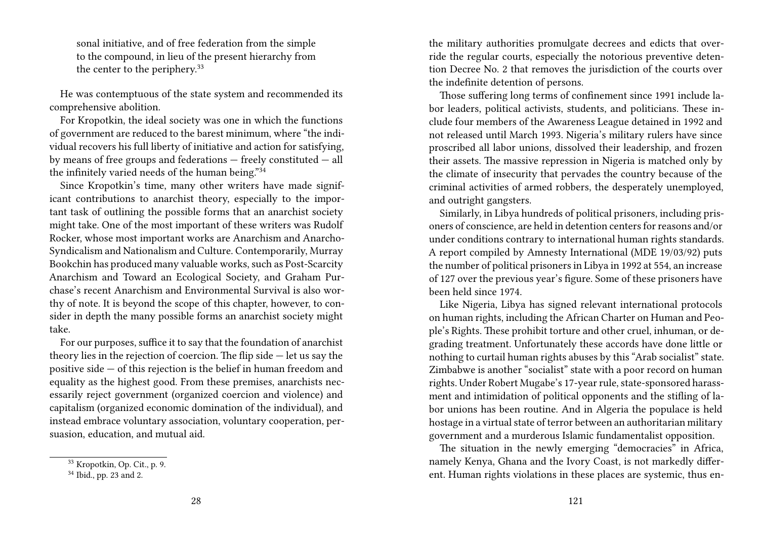sonal initiative, and of free federation from the simple to the compound, in lieu of the present hierarchy from the center to the periphery.<sup>33</sup>

He was contemptuous of the state system and recommended its comprehensive abolition.

For Kropotkin, the ideal society was one in which the functions of government are reduced to the barest minimum, where "the individual recovers his full liberty of initiative and action for satisfying, by means of free groups and federations — freely constituted — all the infinitely varied needs of the human being."<sup>34</sup>

Since Kropotkin's time, many other writers have made significant contributions to anarchist theory, especially to the important task of outlining the possible forms that an anarchist society might take. One of the most important of these writers was Rudolf Rocker, whose most important works are Anarchism and Anarcho-Syndicalism and Nationalism and Culture. Contemporarily, Murray Bookchin has produced many valuable works, such as Post-Scarcity Anarchism and Toward an Ecological Society, and Graham Purchase's recent Anarchism and Environmental Survival is also worthy of note. It is beyond the scope of this chapter, however, to consider in depth the many possible forms an anarchist society might take.

For our purposes, suffice it to say that the foundation of anarchist theory lies in the rejection of coercion. The flip side — let us say the positive side — of this rejection is the belief in human freedom and equality as the highest good. From these premises, anarchists necessarily reject government (organized coercion and violence) and capitalism (organized economic domination of the individual), and instead embrace voluntary association, voluntary cooperation, persuasion, education, and mutual aid.

<sup>33</sup> Kropotkin, Op. Cit., p. 9.

the military authorities promulgate decrees and edicts that override the regular courts, especially the notorious preventive detention Decree No. 2 that removes the jurisdiction of the courts over the indefinite detention of persons.

Those suffering long terms of confinement since 1991 include labor leaders, political activists, students, and politicians. These include four members of the Awareness League detained in 1992 and not released until March 1993. Nigeria's military rulers have since proscribed all labor unions, dissolved their leadership, and frozen their assets. The massive repression in Nigeria is matched only by the climate of insecurity that pervades the country because of the criminal activities of armed robbers, the desperately unemployed, and outright gangsters.

Similarly, in Libya hundreds of political prisoners, including prisoners of conscience, are held in detention centers for reasons and/or under conditions contrary to international human rights standards. A report compiled by Amnesty International (MDE 19/03/92) puts the number of political prisoners in Libya in 1992 at 554, an increase of 127 over the previous year's figure. Some of these prisoners have been held since 1974.

Like Nigeria, Libya has signed relevant international protocols on human rights, including the African Charter on Human and People's Rights. These prohibit torture and other cruel, inhuman, or degrading treatment. Unfortunately these accords have done little or nothing to curtail human rights abuses by this "Arab socialist" state. Zimbabwe is another "socialist" state with a poor record on human rights. Under Robert Mugabe's 17-year rule, state-sponsored harassment and intimidation of political opponents and the stifling of labor unions has been routine. And in Algeria the populace is held hostage in a virtual state of terror between an authoritarian military government and a murderous Islamic fundamentalist opposition.

The situation in the newly emerging "democracies" in Africa, namely Kenya, Ghana and the Ivory Coast, is not markedly different. Human rights violations in these places are systemic, thus en-

 $34$  Ibid., pp. 23 and 2.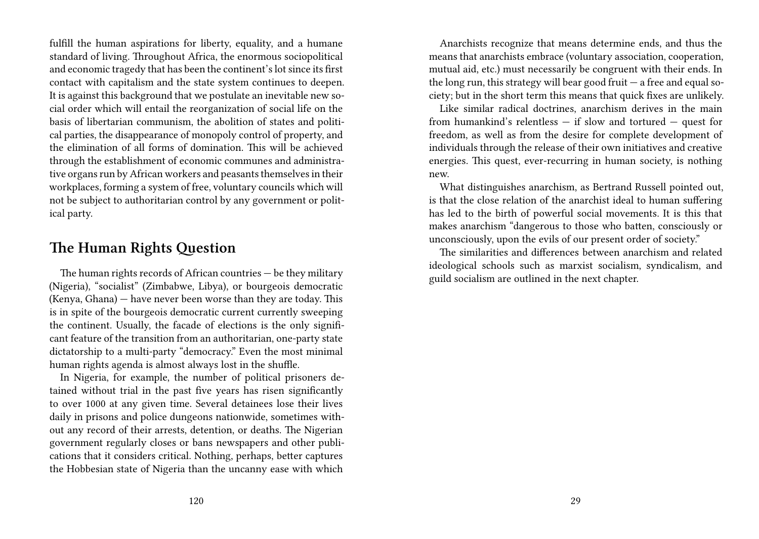fulfill the human aspirations for liberty, equality, and a humane standard of living. Throughout Africa, the enormous sociopolitical and economic tragedy that has been the continent's lot since its first contact with capitalism and the state system continues to deepen. It is against this background that we postulate an inevitable new social order which will entail the reorganization of social life on the basis of libertarian communism, the abolition of states and political parties, the disappearance of monopoly control of property, and the elimination of all forms of domination. This will be achieved through the establishment of economic communes and administrative organs run by African workers and peasants themselves in their workplaces, forming a system of free, voluntary councils which will not be subject to authoritarian control by any government or political party.

#### **The Human Rights Question**

The human rights records of African countries — be they military (Nigeria), "socialist" (Zimbabwe, Libya), or bourgeois democratic (Kenya, Ghana) — have never been worse than they are today. This is in spite of the bourgeois democratic current currently sweeping the continent. Usually, the facade of elections is the only significant feature of the transition from an authoritarian, one-party state dictatorship to a multi-party "democracy." Even the most minimal human rights agenda is almost always lost in the shuffle.

In Nigeria, for example, the number of political prisoners detained without trial in the past five years has risen significantly to over 1000 at any given time. Several detainees lose their lives daily in prisons and police dungeons nationwide, sometimes without any record of their arrests, detention, or deaths. The Nigerian government regularly closes or bans newspapers and other publications that it considers critical. Nothing, perhaps, better captures the Hobbesian state of Nigeria than the uncanny ease with which

Anarchists recognize that means determine ends, and thus the means that anarchists embrace (voluntary association, cooperation, mutual aid, etc.) must necessarily be congruent with their ends. In the long run, this strategy will bear good fruit  $-$  a free and equal society; but in the short term this means that quick fixes are unlikely.

Like similar radical doctrines, anarchism derives in the main from humankind's relentless — if slow and tortured — quest for freedom, as well as from the desire for complete development of individuals through the release of their own initiatives and creative energies. This quest, ever-recurring in human society, is nothing new.

What distinguishes anarchism, as Bertrand Russell pointed out, is that the close relation of the anarchist ideal to human suffering has led to the birth of powerful social movements. It is this that makes anarchism "dangerous to those who batten, consciously or unconsciously, upon the evils of our present order of society."

The similarities and differences between anarchism and related ideological schools such as marxist socialism, syndicalism, and guild socialism are outlined in the next chapter.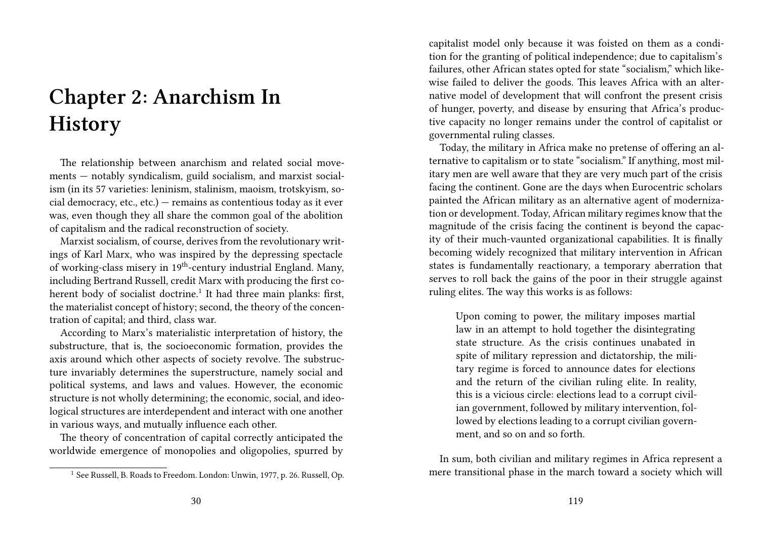# **Chapter 2: Anarchism In History**

The relationship between anarchism and related social movements — notably syndicalism, guild socialism, and marxist socialism (in its 57 varieties: leninism, stalinism, maoism, trotskyism, social democracy, etc., etc.) — remains as contentious today as it ever was, even though they all share the common goal of the abolition of capitalism and the radical reconstruction of society.

Marxist socialism, of course, derives from the revolutionary writings of Karl Marx, who was inspired by the depressing spectacle of working-class misery in 19th-century industrial England. Many, including Bertrand Russell, credit Marx with producing the first coherent body of socialist doctrine.<sup>1</sup> It had three main planks: first, the materialist concept of history; second, the theory of the concentration of capital; and third, class war.

According to Marx's materialistic interpretation of history, the substructure, that is, the socioeconomic formation, provides the axis around which other aspects of society revolve. The substructure invariably determines the superstructure, namely social and political systems, and laws and values. However, the economic structure is not wholly determining; the economic, social, and ideological structures are interdependent and interact with one another in various ways, and mutually influence each other.

The theory of concentration of capital correctly anticipated the worldwide emergence of monopolies and oligopolies, spurred by

capitalist model only because it was foisted on them as a condition for the granting of political independence; due to capitalism's failures, other African states opted for state "socialism," which likewise failed to deliver the goods. This leaves Africa with an alternative model of development that will confront the present crisis of hunger, poverty, and disease by ensuring that Africa's productive capacity no longer remains under the control of capitalist or governmental ruling classes.

Today, the military in Africa make no pretense of offering an alternative to capitalism or to state "socialism." If anything, most military men are well aware that they are very much part of the crisis facing the continent. Gone are the days when Eurocentric scholars painted the African military as an alternative agent of modernization or development. Today, African military regimes know that the magnitude of the crisis facing the continent is beyond the capacity of their much-vaunted organizational capabilities. It is finally becoming widely recognized that military intervention in African states is fundamentally reactionary, a temporary aberration that serves to roll back the gains of the poor in their struggle against ruling elites. The way this works is as follows:

Upon coming to power, the military imposes martial law in an attempt to hold together the disintegrating state structure. As the crisis continues unabated in spite of military repression and dictatorship, the military regime is forced to announce dates for elections and the return of the civilian ruling elite. In reality, this is a vicious circle: elections lead to a corrupt civilian government, followed by military intervention, followed by elections leading to a corrupt civilian government, and so on and so forth.

In sum, both civilian and military regimes in Africa represent a mere transitional phase in the march toward a society which will

<sup>1</sup> See Russell, B. Roads to Freedom. London: Unwin, 1977, p. 26. Russell, Op.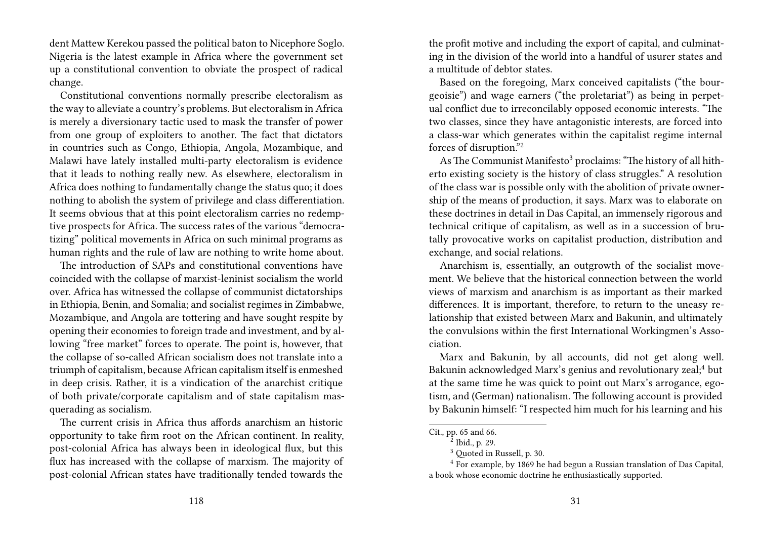dent Mattew Kerekou passed the political baton to Nicephore Soglo. Nigeria is the latest example in Africa where the government set up a constitutional convention to obviate the prospect of radical change.

Constitutional conventions normally prescribe electoralism as the way to alleviate a country's problems. But electoralism in Africa is merely a diversionary tactic used to mask the transfer of power from one group of exploiters to another. The fact that dictators in countries such as Congo, Ethiopia, Angola, Mozambique, and Malawi have lately installed multi-party electoralism is evidence that it leads to nothing really new. As elsewhere, electoralism in Africa does nothing to fundamentally change the status quo; it does nothing to abolish the system of privilege and class differentiation. It seems obvious that at this point electoralism carries no redemptive prospects for Africa. The success rates of the various "democratizing" political movements in Africa on such minimal programs as human rights and the rule of law are nothing to write home about.

The introduction of SAPs and constitutional conventions have coincided with the collapse of marxist-leninist socialism the world over. Africa has witnessed the collapse of communist dictatorships in Ethiopia, Benin, and Somalia; and socialist regimes in Zimbabwe, Mozambique, and Angola are tottering and have sought respite by opening their economies to foreign trade and investment, and by allowing "free market" forces to operate. The point is, however, that the collapse of so-called African socialism does not translate into a triumph of capitalism, because African capitalism itself is enmeshed in deep crisis. Rather, it is a vindication of the anarchist critique of both private/corporate capitalism and of state capitalism masquerading as socialism.

The current crisis in Africa thus affords anarchism an historic opportunity to take firm root on the African continent. In reality, post-colonial Africa has always been in ideological flux, but this flux has increased with the collapse of marxism. The majority of post-colonial African states have traditionally tended towards the

the profit motive and including the export of capital, and culminating in the division of the world into a handful of usurer states and a multitude of debtor states.

Based on the foregoing, Marx conceived capitalists ("the bourgeoisie") and wage earners ("the proletariat") as being in perpetual conflict due to irreconcilably opposed economic interests. "The two classes, since they have antagonistic interests, are forced into a class-war which generates within the capitalist regime internal forces of disruption."<sup>2</sup>

As The Communist Manifesto<sup>3</sup> proclaims: "The history of all hitherto existing society is the history of class struggles." A resolution of the class war is possible only with the abolition of private ownership of the means of production, it says. Marx was to elaborate on these doctrines in detail in Das Capital, an immensely rigorous and technical critique of capitalism, as well as in a succession of brutally provocative works on capitalist production, distribution and exchange, and social relations.

Anarchism is, essentially, an outgrowth of the socialist movement. We believe that the historical connection between the world views of marxism and anarchism is as important as their marked differences. It is important, therefore, to return to the uneasy relationship that existed between Marx and Bakunin, and ultimately the convulsions within the first International Workingmen's Association.

Marx and Bakunin, by all accounts, did not get along well. Bakunin acknowledged Marx's genius and revolutionary zeal;<sup>4</sup> but at the same time he was quick to point out Marx's arrogance, egotism, and (German) nationalism. The following account is provided by Bakunin himself: "I respected him much for his learning and his

Cit., pp. 65 and 66.

<sup>2</sup> Ibid., p. 29.

<sup>3</sup> Quoted in Russell, p. 30.

<sup>4</sup> For example, by 1869 he had begun a Russian translation of Das Capital, a book whose economic doctrine he enthusiastically supported.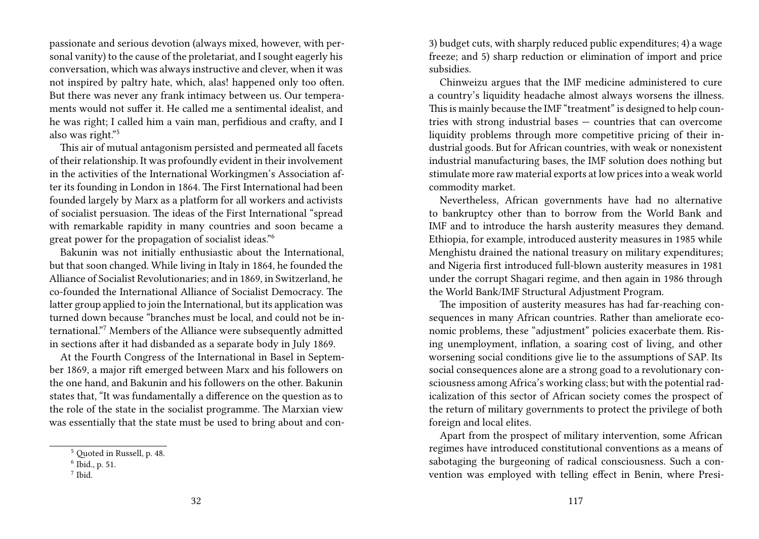passionate and serious devotion (always mixed, however, with personal vanity) to the cause of the proletariat, and I sought eagerly his conversation, which was always instructive and clever, when it was not inspired by paltry hate, which, alas! happened only too often. But there was never any frank intimacy between us. Our temperaments would not suffer it. He called me a sentimental idealist, and he was right; I called him a vain man, perfidious and crafty, and I also was right."<sup>5</sup>

This air of mutual antagonism persisted and permeated all facets of their relationship. It was profoundly evident in their involvement in the activities of the International Workingmen's Association after its founding in London in 1864. The First International had been founded largely by Marx as a platform for all workers and activists of socialist persuasion. The ideas of the First International "spread with remarkable rapidity in many countries and soon became a great power for the propagation of socialist ideas."<sup>6</sup>

Bakunin was not initially enthusiastic about the International, but that soon changed. While living in Italy in 1864, he founded the Alliance of Socialist Revolutionaries; and in 1869, in Switzerland, he co-founded the International Alliance of Socialist Democracy. The latter group applied to join the International, but its application was turned down because "branches must be local, and could not be international."<sup>7</sup> Members of the Alliance were subsequently admitted in sections after it had disbanded as a separate body in July 1869.

At the Fourth Congress of the International in Basel in September 1869, a major rift emerged between Marx and his followers on the one hand, and Bakunin and his followers on the other. Bakunin states that, "It was fundamentally a difference on the question as to the role of the state in the socialist programme. The Marxian view was essentially that the state must be used to bring about and con-

3) budget cuts, with sharply reduced public expenditures; 4) a wage freeze; and 5) sharp reduction or elimination of import and price subsidies.

Chinweizu argues that the IMF medicine administered to cure a country's liquidity headache almost always worsens the illness. This is mainly because the IMF "treatment" is designed to help countries with strong industrial bases — countries that can overcome liquidity problems through more competitive pricing of their industrial goods. But for African countries, with weak or nonexistent industrial manufacturing bases, the IMF solution does nothing but stimulate more raw material exports at low prices into a weak world commodity market.

Nevertheless, African governments have had no alternative to bankruptcy other than to borrow from the World Bank and IMF and to introduce the harsh austerity measures they demand. Ethiopia, for example, introduced austerity measures in 1985 while Menghistu drained the national treasury on military expenditures; and Nigeria first introduced full-blown austerity measures in 1981 under the corrupt Shagari regime, and then again in 1986 through the World Bank/IMF Structural Adjustment Program.

The imposition of austerity measures has had far-reaching consequences in many African countries. Rather than ameliorate economic problems, these "adjustment" policies exacerbate them. Rising unemployment, inflation, a soaring cost of living, and other worsening social conditions give lie to the assumptions of SAP. Its social consequences alone are a strong goad to a revolutionary consciousness among Africa's working class; but with the potential radicalization of this sector of African society comes the prospect of the return of military governments to protect the privilege of both foreign and local elites.

Apart from the prospect of military intervention, some African regimes have introduced constitutional conventions as a means of sabotaging the burgeoning of radical consciousness. Such a convention was employed with telling effect in Benin, where Presi-

<sup>5</sup> Quoted in Russell, p. 48.

<sup>6</sup> Ibid., p. 51.

<sup>7</sup> Ibid.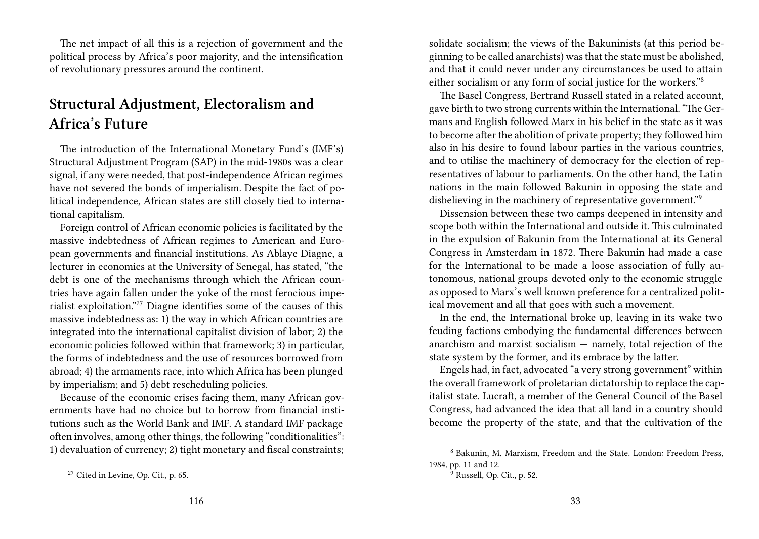The net impact of all this is a rejection of government and the political process by Africa's poor majority, and the intensification of revolutionary pressures around the continent.

## **Structural Adjustment, Electoralism and Africa's Future**

The introduction of the International Monetary Fund's (IMF's) Structural Adjustment Program (SAP) in the mid-1980s was a clear signal, if any were needed, that post-independence African regimes have not severed the bonds of imperialism. Despite the fact of political independence, African states are still closely tied to international capitalism.

Foreign control of African economic policies is facilitated by the massive indebtedness of African regimes to American and European governments and financial institutions. As Ablaye Diagne, a lecturer in economics at the University of Senegal, has stated, "the debt is one of the mechanisms through which the African countries have again fallen under the yoke of the most ferocious imperialist exploitation."<sup>27</sup> Diagne identifies some of the causes of this massive indebtedness as: 1) the way in which African countries are integrated into the international capitalist division of labor; 2) the economic policies followed within that framework; 3) in particular, the forms of indebtedness and the use of resources borrowed from abroad; 4) the armaments race, into which Africa has been plunged by imperialism; and 5) debt rescheduling policies.

Because of the economic crises facing them, many African governments have had no choice but to borrow from financial institutions such as the World Bank and IMF. A standard IMF package often involves, among other things, the following "conditionalities": 1) devaluation of currency; 2) tight monetary and fiscal constraints;

solidate socialism; the views of the Bakuninists (at this period beginning to be called anarchists) was that the state must be abolished, and that it could never under any circumstances be used to attain either socialism or any form of social justice for the workers."<sup>8</sup>

The Basel Congress, Bertrand Russell stated in a related account, gave birth to two strong currents within the International. "The Germans and English followed Marx in his belief in the state as it was to become after the abolition of private property; they followed him also in his desire to found labour parties in the various countries, and to utilise the machinery of democracy for the election of representatives of labour to parliaments. On the other hand, the Latin nations in the main followed Bakunin in opposing the state and disbelieving in the machinery of representative government."<sup>9</sup>

Dissension between these two camps deepened in intensity and scope both within the International and outside it. This culminated in the expulsion of Bakunin from the International at its General Congress in Amsterdam in 1872. There Bakunin had made a case for the International to be made a loose association of fully autonomous, national groups devoted only to the economic struggle as opposed to Marx's well known preference for a centralized political movement and all that goes with such a movement.

In the end, the International broke up, leaving in its wake two feuding factions embodying the fundamental differences between anarchism and marxist socialism — namely, total rejection of the state system by the former, and its embrace by the latter.

Engels had, in fact, advocated "a very strong government" within the overall framework of proletarian dictatorship to replace the capitalist state. Lucraft, a member of the General Council of the Basel Congress, had advanced the idea that all land in a country should become the property of the state, and that the cultivation of the

<sup>27</sup> Cited in Levine, Op. Cit., p. 65.

<sup>8</sup> Bakunin, M. Marxism, Freedom and the State. London: Freedom Press, 1984, pp. 11 and 12.

<sup>9</sup> Russell, Op. Cit., p. 52.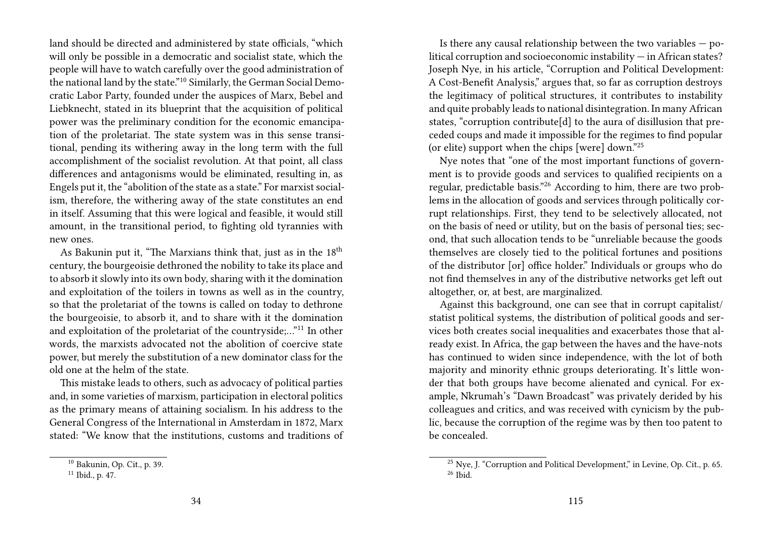land should be directed and administered by state officials, "which will only be possible in a democratic and socialist state, which the people will have to watch carefully over the good administration of the national land by the state."<sup>10</sup> Similarly, the German Social Democratic Labor Party, founded under the auspices of Marx, Bebel and Liebknecht, stated in its blueprint that the acquisition of political power was the preliminary condition for the economic emancipation of the proletariat. The state system was in this sense transitional, pending its withering away in the long term with the full accomplishment of the socialist revolution. At that point, all class differences and antagonisms would be eliminated, resulting in, as Engels put it, the "abolition of the state as a state." For marxist socialism, therefore, the withering away of the state constitutes an end in itself. Assuming that this were logical and feasible, it would still amount, in the transitional period, to fighting old tyrannies with new ones.

As Bakunin put it, "The Marxians think that, just as in the 18<sup>th</sup> century, the bourgeoisie dethroned the nobility to take its place and to absorb it slowly into its own body, sharing with it the domination and exploitation of the toilers in towns as well as in the country, so that the proletariat of the towns is called on today to dethrone the bourgeoisie, to absorb it, and to share with it the domination and exploitation of the proletariat of the countryside;…"<sup>11</sup> In other words, the marxists advocated not the abolition of coercive state power, but merely the substitution of a new dominator class for the old one at the helm of the state.

This mistake leads to others, such as advocacy of political parties and, in some varieties of marxism, participation in electoral politics as the primary means of attaining socialism. In his address to the General Congress of the International in Amsterdam in 1872, Marx stated: "We know that the institutions, customs and traditions of

Is there any causal relationship between the two variables — political corruption and socioeconomic instability — in African states? Joseph Nye, in his article, "Corruption and Political Development: A Cost-Benefit Analysis," argues that, so far as corruption destroys the legitimacy of political structures, it contributes to instability and quite probably leads to national disintegration. In many African states, "corruption contribute[d] to the aura of disillusion that preceded coups and made it impossible for the regimes to find popular (or elite) support when the chips [were] down."<sup>25</sup>

Nye notes that "one of the most important functions of government is to provide goods and services to qualified recipients on a regular, predictable basis."<sup>26</sup> According to him, there are two problems in the allocation of goods and services through politically corrupt relationships. First, they tend to be selectively allocated, not on the basis of need or utility, but on the basis of personal ties; second, that such allocation tends to be "unreliable because the goods themselves are closely tied to the political fortunes and positions of the distributor [or] office holder." Individuals or groups who do not find themselves in any of the distributive networks get left out altogether, or, at best, are marginalized.

Against this background, one can see that in corrupt capitalist/ statist political systems, the distribution of political goods and services both creates social inequalities and exacerbates those that already exist. In Africa, the gap between the haves and the have-nots has continued to widen since independence, with the lot of both majority and minority ethnic groups deteriorating. It's little wonder that both groups have become alienated and cynical. For example, Nkrumah's "Dawn Broadcast" was privately derided by his colleagues and critics, and was received with cynicism by the public, because the corruption of the regime was by then too patent to be concealed.

<sup>10</sup> Bakunin, Op. Cit., p. 39.

<sup>11</sup> Ibid., p. 47.

 $25$  Nye, J. "Corruption and Political Development," in Levine, Op. Cit., p. 65.  $26$  Ibid.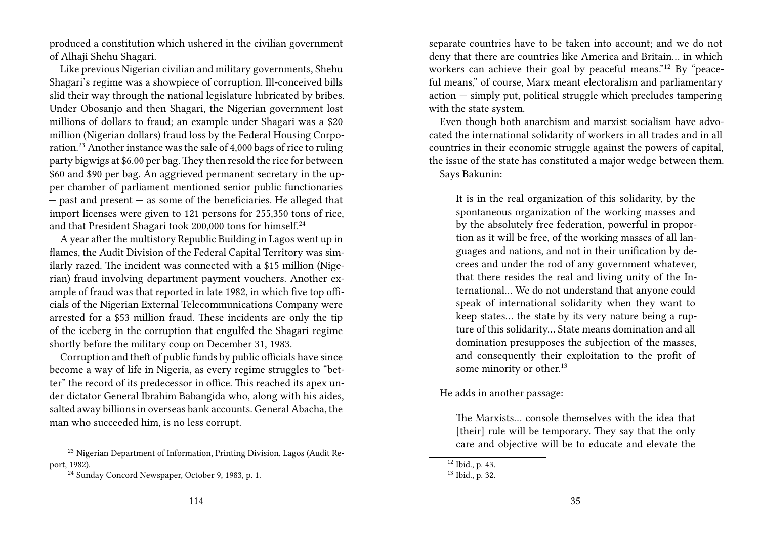produced a constitution which ushered in the civilian government of Alhaji Shehu Shagari.

Like previous Nigerian civilian and military governments, Shehu Shagari's regime was a showpiece of corruption. Ill-conceived bills slid their way through the national legislature lubricated by bribes. Under Obosanjo and then Shagari, the Nigerian government lost millions of dollars to fraud; an example under Shagari was a \$20 million (Nigerian dollars) fraud loss by the Federal Housing Corporation.<sup>23</sup> Another instance was the sale of 4,000 bags of rice to ruling party bigwigs at \$6.00 per bag. They then resold the rice for between \$60 and \$90 per bag. An aggrieved permanent secretary in the upper chamber of parliament mentioned senior public functionaries — past and present — as some of the beneficiaries. He alleged that import licenses were given to 121 persons for 255,350 tons of rice, and that President Shagari took 200,000 tons for himself.<sup>24</sup>

A year after the multistory Republic Building in Lagos went up in flames, the Audit Division of the Federal Capital Territory was similarly razed. The incident was connected with a \$15 million (Nigerian) fraud involving department payment vouchers. Another example of fraud was that reported in late 1982, in which five top officials of the Nigerian External Telecommunications Company were arrested for a \$53 million fraud. These incidents are only the tip of the iceberg in the corruption that engulfed the Shagari regime shortly before the military coup on December 31, 1983.

Corruption and theft of public funds by public officials have since become a way of life in Nigeria, as every regime struggles to "better" the record of its predecessor in office. This reached its apex under dictator General Ibrahim Babangida who, along with his aides, salted away billions in overseas bank accounts. General Abacha, the man who succeeded him, is no less corrupt.

separate countries have to be taken into account; and we do not deny that there are countries like America and Britain… in which workers can achieve their goal by peaceful means."<sup>12</sup> By "peaceful means," of course, Marx meant electoralism and parliamentary action — simply put, political struggle which precludes tampering with the state system.

Even though both anarchism and marxist socialism have advocated the international solidarity of workers in all trades and in all countries in their economic struggle against the powers of capital, the issue of the state has constituted a major wedge between them. Says Bakunin:

It is in the real organization of this solidarity, by the spontaneous organization of the working masses and by the absolutely free federation, powerful in proportion as it will be free, of the working masses of all languages and nations, and not in their unification by decrees and under the rod of any government whatever, that there resides the real and living unity of the International… We do not understand that anyone could speak of international solidarity when they want to keep states… the state by its very nature being a rupture of this solidarity… State means domination and all domination presupposes the subjection of the masses, and consequently their exploitation to the profit of some minority or other.<sup>13</sup>

He adds in another passage:

The Marxists… console themselves with the idea that [their] rule will be temporary. They say that the only care and objective will be to educate and elevate the

<sup>23</sup> Nigerian Department of Information, Printing Division, Lagos (Audit Report, 1982).

<sup>24</sup> Sunday Concord Newspaper, October 9, 1983, p. 1.

<sup>12</sup> Ibid., p. 43.

<sup>13</sup> Ibid., p. 32.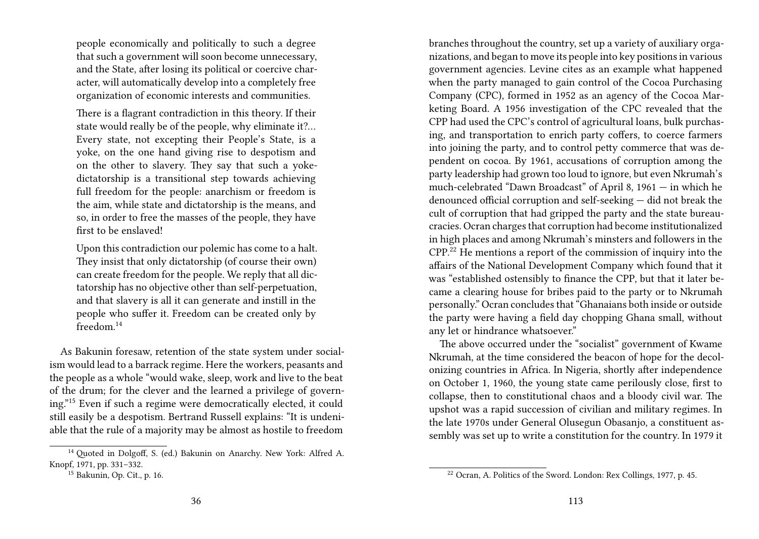people economically and politically to such a degree that such a government will soon become unnecessary, and the State, after losing its political or coercive character, will automatically develop into a completely free organization of economic interests and communities.

There is a flagrant contradiction in this theory. If their state would really be of the people, why eliminate it?… Every state, not excepting their People's State, is a yoke, on the one hand giving rise to despotism and on the other to slavery. They say that such a yokedictatorship is a transitional step towards achieving full freedom for the people: anarchism or freedom is the aim, while state and dictatorship is the means, and so, in order to free the masses of the people, they have first to be enslaved!

Upon this contradiction our polemic has come to a halt. They insist that only dictatorship (of course their own) can create freedom for the people. We reply that all dictatorship has no objective other than self-perpetuation, and that slavery is all it can generate and instill in the people who suffer it. Freedom can be created only by freedom<sup>14</sup>

As Bakunin foresaw, retention of the state system under socialism would lead to a barrack regime. Here the workers, peasants and the people as a whole "would wake, sleep, work and live to the beat of the drum; for the clever and the learned a privilege of governing."<sup>15</sup> Even if such a regime were democratically elected, it could still easily be a despotism. Bertrand Russell explains: "It is undeniable that the rule of a majority may be almost as hostile to freedom

branches throughout the country, set up a variety of auxiliary organizations, and began to move its people into key positions in various government agencies. Levine cites as an example what happened when the party managed to gain control of the Cocoa Purchasing Company (CPC), formed in 1952 as an agency of the Cocoa Marketing Board. A 1956 investigation of the CPC revealed that the CPP had used the CPC's control of agricultural loans, bulk purchasing, and transportation to enrich party coffers, to coerce farmers into joining the party, and to control petty commerce that was dependent on cocoa. By 1961, accusations of corruption among the party leadership had grown too loud to ignore, but even Nkrumah's much-celebrated "Dawn Broadcast" of April 8, 1961 — in which he denounced official corruption and self-seeking — did not break the cult of corruption that had gripped the party and the state bureaucracies. Ocran charges that corruption had become institutionalized in high places and among Nkrumah's minsters and followers in the CPP.<sup>22</sup> He mentions a report of the commission of inquiry into the affairs of the National Development Company which found that it was "established ostensibly to finance the CPP, but that it later became a clearing house for bribes paid to the party or to Nkrumah personally." Ocran concludes that "Ghanaians both inside or outside the party were having a field day chopping Ghana small, without any let or hindrance whatsoever."

The above occurred under the "socialist" government of Kwame Nkrumah, at the time considered the beacon of hope for the decolonizing countries in Africa. In Nigeria, shortly after independence on October 1, 1960, the young state came perilously close, first to collapse, then to constitutional chaos and a bloody civil war. The upshot was a rapid succession of civilian and military regimes. In the late 1970s under General Olusegun Obasanjo, a constituent assembly was set up to write a constitution for the country. In 1979 it

<sup>14</sup> Quoted in Dolgoff, S. (ed.) Bakunin on Anarchy. New York: Alfred A. Knopf, 1971, pp. 331–332.

<sup>15</sup> Bakunin, Op. Cit., p. 16.

<sup>22</sup> Ocran, A. Politics of the Sword. London: Rex Collings, 1977, p. 45.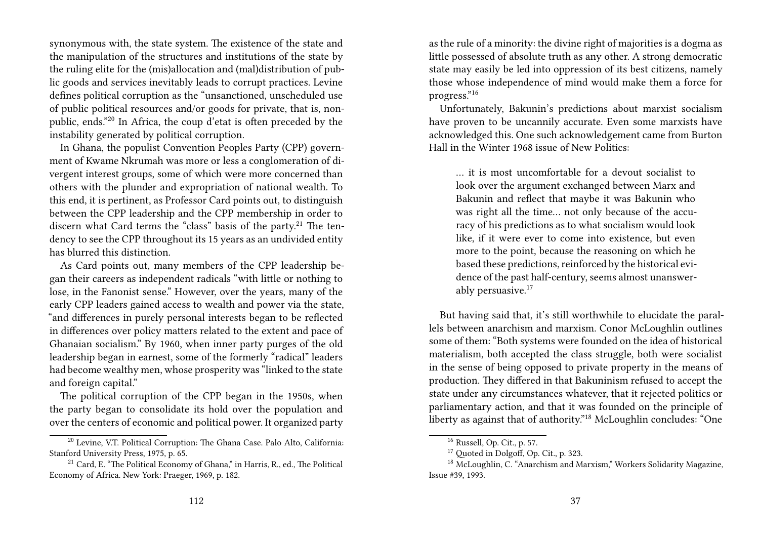synonymous with, the state system. The existence of the state and the manipulation of the structures and institutions of the state by the ruling elite for the (mis)allocation and (mal)distribution of public goods and services inevitably leads to corrupt practices. Levine defines political corruption as the "unsanctioned, unscheduled use of public political resources and/or goods for private, that is, nonpublic, ends."<sup>20</sup> In Africa, the coup d'etat is often preceded by the instability generated by political corruption.

In Ghana, the populist Convention Peoples Party (CPP) government of Kwame Nkrumah was more or less a conglomeration of divergent interest groups, some of which were more concerned than others with the plunder and expropriation of national wealth. To this end, it is pertinent, as Professor Card points out, to distinguish between the CPP leadership and the CPP membership in order to discern what Card terms the "class" basis of the party.<sup>21</sup> The tendency to see the CPP throughout its 15 years as an undivided entity has blurred this distinction.

As Card points out, many members of the CPP leadership began their careers as independent radicals "with little or nothing to lose, in the Fanonist sense." However, over the years, many of the early CPP leaders gained access to wealth and power via the state, "and differences in purely personal interests began to be reflected in differences over policy matters related to the extent and pace of Ghanaian socialism." By 1960, when inner party purges of the old leadership began in earnest, some of the formerly "radical" leaders had become wealthy men, whose prosperity was "linked to the state and foreign capital."

The political corruption of the CPP began in the 1950s, when the party began to consolidate its hold over the population and over the centers of economic and political power. It organized party

as the rule of a minority: the divine right of majorities is a dogma as little possessed of absolute truth as any other. A strong democratic state may easily be led into oppression of its best citizens, namely those whose independence of mind would make them a force for progress."<sup>16</sup>

Unfortunately, Bakunin's predictions about marxist socialism have proven to be uncannily accurate. Even some marxists have acknowledged this. One such acknowledgement came from Burton Hall in the Winter 1968 issue of New Politics:

… it is most uncomfortable for a devout socialist to look over the argument exchanged between Marx and Bakunin and reflect that maybe it was Bakunin who was right all the time… not only because of the accuracy of his predictions as to what socialism would look like, if it were ever to come into existence, but even more to the point, because the reasoning on which he based these predictions, reinforced by the historical evidence of the past half-century, seems almost unanswerably persuasive.<sup>17</sup>

But having said that, it's still worthwhile to elucidate the parallels between anarchism and marxism. Conor McLoughlin outlines some of them: "Both systems were founded on the idea of historical materialism, both accepted the class struggle, both were socialist in the sense of being opposed to private property in the means of production. They differed in that Bakuninism refused to accept the state under any circumstances whatever, that it rejected politics or parliamentary action, and that it was founded on the principle of liberty as against that of authority."<sup>18</sup> McLoughlin concludes: "One

<sup>20</sup> Levine, V.T. Political Corruption: The Ghana Case. Palo Alto, California: Stanford University Press, 1975, p. 65.

<sup>&</sup>lt;sup>21</sup> Card, E. "The Political Economy of Ghana," in Harris, R., ed., The Political Economy of Africa. New York: Praeger, 1969, p. 182.

<sup>16</sup> Russell, Op. Cit., p. 57.

<sup>17</sup> Quoted in Dolgoff, Op. Cit., p. 323.

<sup>18</sup> McLoughlin, C. "Anarchism and Marxism," Workers Solidarity Magazine, Issue #39, 1993.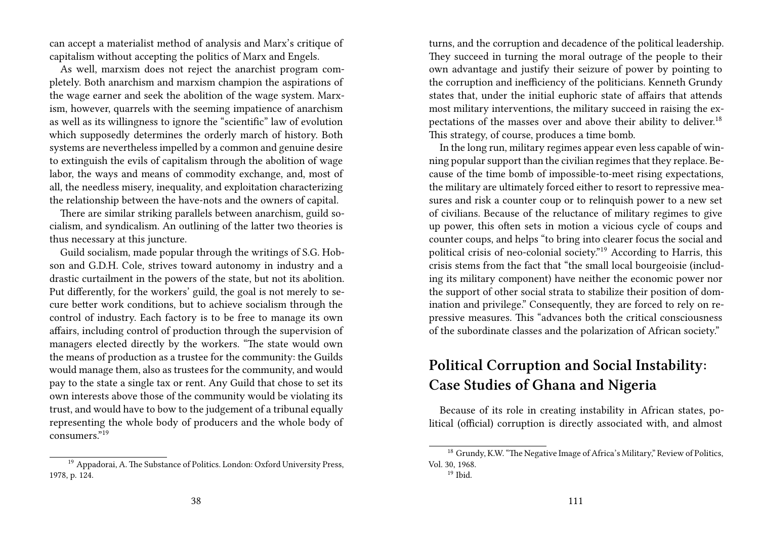can accept a materialist method of analysis and Marx's critique of capitalism without accepting the politics of Marx and Engels.

As well, marxism does not reject the anarchist program completely. Both anarchism and marxism champion the aspirations of the wage earner and seek the abolition of the wage system. Marxism, however, quarrels with the seeming impatience of anarchism as well as its willingness to ignore the "scientific" law of evolution which supposedly determines the orderly march of history. Both systems are nevertheless impelled by a common and genuine desire to extinguish the evils of capitalism through the abolition of wage labor, the ways and means of commodity exchange, and, most of all, the needless misery, inequality, and exploitation characterizing the relationship between the have-nots and the owners of capital.

There are similar striking parallels between anarchism, guild socialism, and syndicalism. An outlining of the latter two theories is thus necessary at this juncture.

Guild socialism, made popular through the writings of S.G. Hobson and G.D.H. Cole, strives toward autonomy in industry and a drastic curtailment in the powers of the state, but not its abolition. Put differently, for the workers' guild, the goal is not merely to secure better work conditions, but to achieve socialism through the control of industry. Each factory is to be free to manage its own affairs, including control of production through the supervision of managers elected directly by the workers. "The state would own the means of production as a trustee for the community: the Guilds would manage them, also as trustees for the community, and would pay to the state a single tax or rent. Any Guild that chose to set its own interests above those of the community would be violating its trust, and would have to bow to the judgement of a tribunal equally representing the whole body of producers and the whole body of consumers."<sup>19</sup>

turns, and the corruption and decadence of the political leadership. They succeed in turning the moral outrage of the people to their own advantage and justify their seizure of power by pointing to the corruption and inefficiency of the politicians. Kenneth Grundy states that, under the initial euphoric state of affairs that attends most military interventions, the military succeed in raising the expectations of the masses over and above their ability to deliver.<sup>18</sup> This strategy, of course, produces a time bomb.

In the long run, military regimes appear even less capable of winning popular support than the civilian regimes that they replace. Because of the time bomb of impossible-to-meet rising expectations, the military are ultimately forced either to resort to repressive measures and risk a counter coup or to relinquish power to a new set of civilians. Because of the reluctance of military regimes to give up power, this often sets in motion a vicious cycle of coups and counter coups, and helps "to bring into clearer focus the social and political crisis of neo-colonial society."<sup>19</sup> According to Harris, this crisis stems from the fact that "the small local bourgeoisie (including its military component) have neither the economic power nor the support of other social strata to stabilize their position of domination and privilege." Consequently, they are forced to rely on repressive measures. This "advances both the critical consciousness of the subordinate classes and the polarization of African society."

# **Political Corruption and Social Instability: Case Studies of Ghana and Nigeria**

Because of its role in creating instability in African states, political (official) corruption is directly associated with, and almost

<sup>19</sup> Appadorai, A. The Substance of Politics. London: Oxford University Press, 1978, p. 124.

<sup>&</sup>lt;sup>18</sup> Grundy, K.W. "The Negative Image of Africa's Military," Review of Politics, Vol. 30, 1968.

 $19$  Ibid.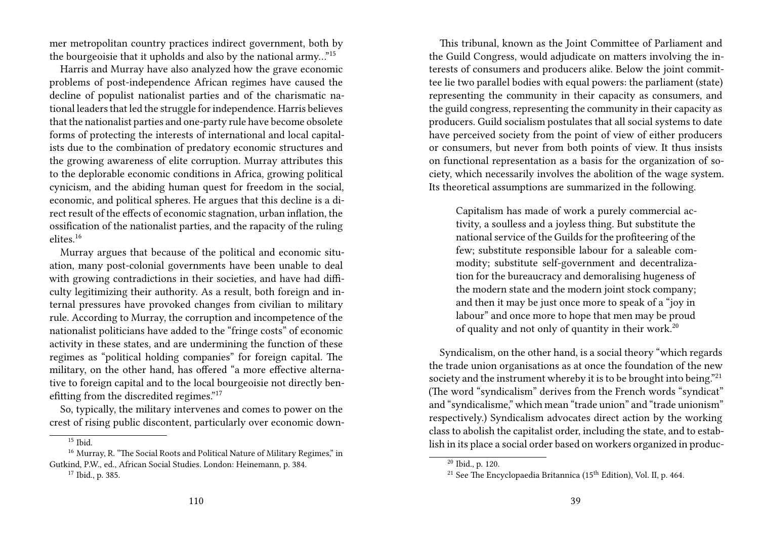mer metropolitan country practices indirect government, both by the bourgeoisie that it upholds and also by the national army…"<sup>15</sup>

Harris and Murray have also analyzed how the grave economic problems of post-independence African regimes have caused the decline of populist nationalist parties and of the charismatic national leaders that led the struggle for independence. Harris believes that the nationalist parties and one-party rule have become obsolete forms of protecting the interests of international and local capitalists due to the combination of predatory economic structures and the growing awareness of elite corruption. Murray attributes this to the deplorable economic conditions in Africa, growing political cynicism, and the abiding human quest for freedom in the social, economic, and political spheres. He argues that this decline is a direct result of the effects of economic stagnation, urban inflation, the ossification of the nationalist parties, and the rapacity of the ruling elites.<sup>16</sup>

Murray argues that because of the political and economic situation, many post-colonial governments have been unable to deal with growing contradictions in their societies, and have had difficulty legitimizing their authority. As a result, both foreign and internal pressures have provoked changes from civilian to military rule. According to Murray, the corruption and incompetence of the nationalist politicians have added to the "fringe costs" of economic activity in these states, and are undermining the function of these regimes as "political holding companies" for foreign capital. The military, on the other hand, has offered "a more effective alternative to foreign capital and to the local bourgeoisie not directly benefitting from the discredited regimes."<sup>17</sup>

So, typically, the military intervenes and comes to power on the crest of rising public discontent, particularly over economic down-

This tribunal, known as the Joint Committee of Parliament and the Guild Congress, would adjudicate on matters involving the interests of consumers and producers alike. Below the joint committee lie two parallel bodies with equal powers: the parliament (state) representing the community in their capacity as consumers, and the guild congress, representing the community in their capacity as producers. Guild socialism postulates that all social systems to date have perceived society from the point of view of either producers or consumers, but never from both points of view. It thus insists on functional representation as a basis for the organization of society, which necessarily involves the abolition of the wage system. Its theoretical assumptions are summarized in the following.

Capitalism has made of work a purely commercial activity, a soulless and a joyless thing. But substitute the national service of the Guilds for the profiteering of the few; substitute responsible labour for a saleable commodity; substitute self-government and decentralization for the bureaucracy and demoralising hugeness of the modern state and the modern joint stock company; and then it may be just once more to speak of a "joy in labour" and once more to hope that men may be proud of quality and not only of quantity in their work.<sup>20</sup>

Syndicalism, on the other hand, is a social theory "which regards the trade union organisations as at once the foundation of the new society and the instrument whereby it is to be brought into being."<sup>21</sup> (The word "syndicalism" derives from the French words "syndicat" and "syndicalisme," which mean "trade union" and "trade unionism" respectively.) Syndicalism advocates direct action by the working class to abolish the capitalist order, including the state, and to establish in its place a social order based on workers organized in produc-

 $15$  Ibid.

<sup>&</sup>lt;sup>16</sup> Murray, R. "The Social Roots and Political Nature of Military Regimes," in Gutkind, P.W., ed., African Social Studies. London: Heinemann, p. 384.

<sup>17</sup> Ibid., p. 385.

<sup>20</sup> Ibid., p. 120.

<sup>&</sup>lt;sup>21</sup> See The Encyclopaedia Britannica (15<sup>th</sup> Edition), Vol. II, p. 464.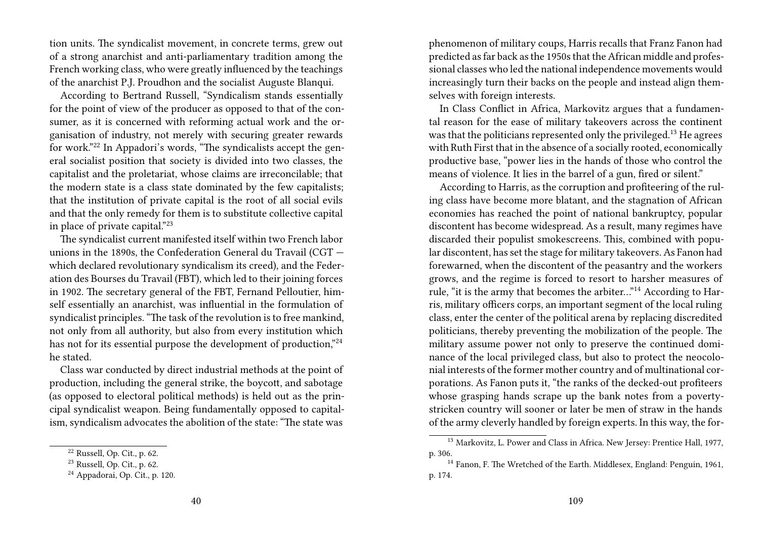tion units. The syndicalist movement, in concrete terms, grew out of a strong anarchist and anti-parliamentary tradition among the French working class, who were greatly influenced by the teachings of the anarchist P.J. Proudhon and the socialist Auguste Blanqui.

According to Bertrand Russell, "Syndicalism stands essentially for the point of view of the producer as opposed to that of the consumer, as it is concerned with reforming actual work and the organisation of industry, not merely with securing greater rewards for work."<sup>22</sup> In Appadori's words, "The syndicalists accept the general socialist position that society is divided into two classes, the capitalist and the proletariat, whose claims are irreconcilable; that the modern state is a class state dominated by the few capitalists; that the institution of private capital is the root of all social evils and that the only remedy for them is to substitute collective capital in place of private capital."<sup>23</sup>

The syndicalist current manifested itself within two French labor unions in the 1890s, the Confederation General du Travail (CGT which declared revolutionary syndicalism its creed), and the Federation des Bourses du Travail (FBT), which led to their joining forces in 1902. The secretary general of the FBT, Fernand Pelloutier, himself essentially an anarchist, was influential in the formulation of syndicalist principles. "The task of the revolution is to free mankind, not only from all authority, but also from every institution which has not for its essential purpose the development of production,"24 he stated.

Class war conducted by direct industrial methods at the point of production, including the general strike, the boycott, and sabotage (as opposed to electoral political methods) is held out as the principal syndicalist weapon. Being fundamentally opposed to capitalism, syndicalism advocates the abolition of the state: "The state was

phenomenon of military coups, Harris recalls that Franz Fanon had predicted as far back as the 1950s that the African middle and professional classes who led the national independence movements would increasingly turn their backs on the people and instead align themselves with foreign interests.

In Class Conflict in Africa, Markovitz argues that a fundamental reason for the ease of military takeovers across the continent was that the politicians represented only the privileged.<sup>13</sup> He agrees with Ruth First that in the absence of a socially rooted, economically productive base, "power lies in the hands of those who control the means of violence. It lies in the barrel of a gun, fired or silent."

According to Harris, as the corruption and profiteering of the ruling class have become more blatant, and the stagnation of African economies has reached the point of national bankruptcy, popular discontent has become widespread. As a result, many regimes have discarded their populist smokescreens. This, combined with popular discontent, has set the stage for military takeovers. As Fanon had forewarned, when the discontent of the peasantry and the workers grows, and the regime is forced to resort to harsher measures of rule, "it is the army that becomes the arbiter…"<sup>14</sup> According to Harris, military officers corps, an important segment of the local ruling class, enter the center of the political arena by replacing discredited politicians, thereby preventing the mobilization of the people. The military assume power not only to preserve the continued dominance of the local privileged class, but also to protect the neocolonial interests of the former mother country and of multinational corporations. As Fanon puts it, "the ranks of the decked-out profiteers whose grasping hands scrape up the bank notes from a povertystricken country will sooner or later be men of straw in the hands of the army cleverly handled by foreign experts. In this way, the for-

<sup>22</sup> Russell, Op. Cit., p. 62.

<sup>23</sup> Russell, Op. Cit., p. 62.

<sup>24</sup> Appadorai, Op. Cit., p. 120.

<sup>&</sup>lt;sup>13</sup> Markovitz, L. Power and Class in Africa. New Jersey: Prentice Hall, 1977, p. 306.

<sup>&</sup>lt;sup>14</sup> Fanon, F. The Wretched of the Earth. Middlesex, England: Penguin, 1961, p. 174.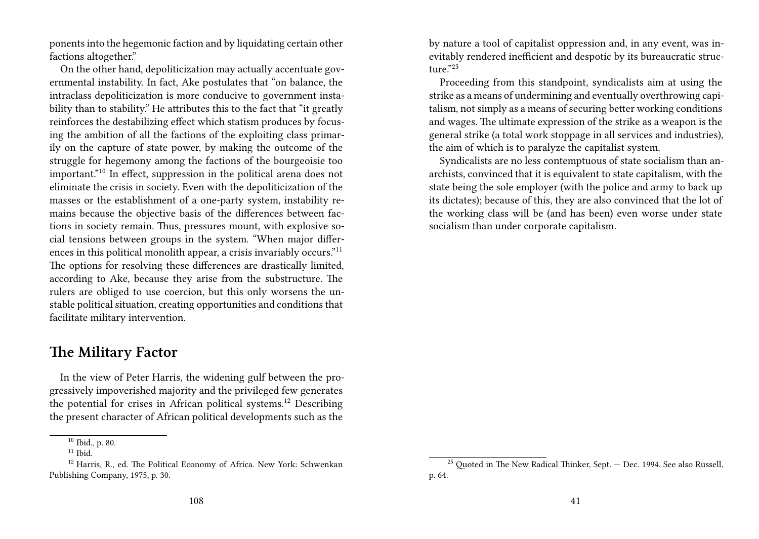ponents into the hegemonic faction and by liquidating certain other factions altogether."

On the other hand, depoliticization may actually accentuate governmental instability. In fact, Ake postulates that "on balance, the intraclass depoliticization is more conducive to government instability than to stability." He attributes this to the fact that "it greatly reinforces the destabilizing effect which statism produces by focusing the ambition of all the factions of the exploiting class primarily on the capture of state power, by making the outcome of the struggle for hegemony among the factions of the bourgeoisie too important."<sup>10</sup> In effect, suppression in the political arena does not eliminate the crisis in society. Even with the depoliticization of the masses or the establishment of a one-party system, instability remains because the objective basis of the differences between factions in society remain. Thus, pressures mount, with explosive social tensions between groups in the system. "When major differences in this political monolith appear, a crisis invariably occurs."<sup>11</sup> The options for resolving these differences are drastically limited, according to Ake, because they arise from the substructure. The rulers are obliged to use coercion, but this only worsens the unstable political situation, creating opportunities and conditions that facilitate military intervention.

#### **The Military Factor**

In the view of Peter Harris, the widening gulf between the progressively impoverished majority and the privileged few generates the potential for crises in African political systems.<sup>12</sup> Describing the present character of African political developments such as the

by nature a tool of capitalist oppression and, in any event, was inevitably rendered inefficient and despotic by its bureaucratic structure $^{325}$ 

Proceeding from this standpoint, syndicalists aim at using the strike as a means of undermining and eventually overthrowing capitalism, not simply as a means of securing better working conditions and wages. The ultimate expression of the strike as a weapon is the general strike (a total work stoppage in all services and industries), the aim of which is to paralyze the capitalist system.

Syndicalists are no less contemptuous of state socialism than anarchists, convinced that it is equivalent to state capitalism, with the state being the sole employer (with the police and army to back up its dictates); because of this, they are also convinced that the lot of the working class will be (and has been) even worse under state socialism than under corporate capitalism.

<sup>10</sup> Ibid., p. 80.

 $11$  Ibid.

<sup>12</sup> Harris, R., ed. The Political Economy of Africa. New York: Schwenkan Publishing Company, 1975, p. 30.

 $25$  Quoted in The New Radical Thinker, Sept.  $-$  Dec. 1994. See also Russell, p. 64.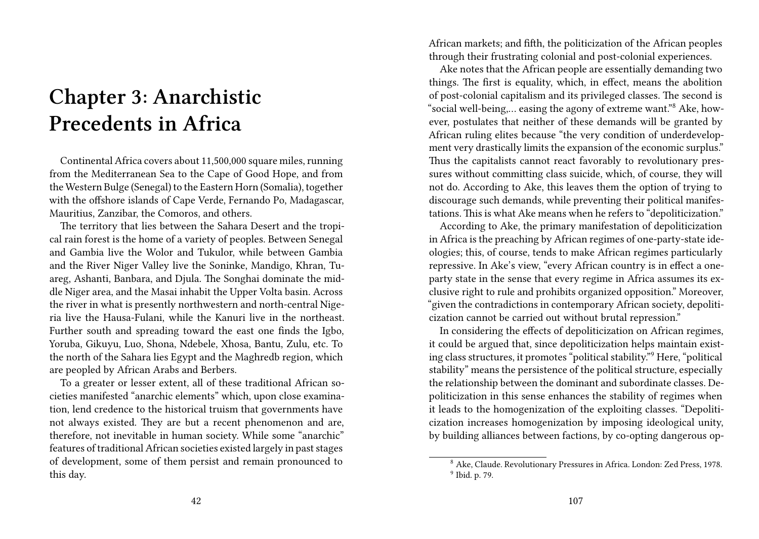# **Chapter 3: Anarchistic Precedents in Africa**

Continental Africa covers about 11,500,000 square miles, running from the Mediterranean Sea to the Cape of Good Hope, and from the Western Bulge (Senegal) to the Eastern Horn (Somalia), together with the offshore islands of Cape Verde, Fernando Po, Madagascar, Mauritius, Zanzibar, the Comoros, and others.

The territory that lies between the Sahara Desert and the tropical rain forest is the home of a variety of peoples. Between Senegal and Gambia live the Wolor and Tukulor, while between Gambia and the River Niger Valley live the Soninke, Mandigo, Khran, Tuareg, Ashanti, Banbara, and Djula. The Songhai dominate the middle Niger area, and the Masai inhabit the Upper Volta basin. Across the river in what is presently northwestern and north-central Nigeria live the Hausa-Fulani, while the Kanuri live in the northeast. Further south and spreading toward the east one finds the Igbo, Yoruba, Gikuyu, Luo, Shona, Ndebele, Xhosa, Bantu, Zulu, etc. To the north of the Sahara lies Egypt and the Maghredb region, which are peopled by African Arabs and Berbers.

To a greater or lesser extent, all of these traditional African societies manifested "anarchic elements" which, upon close examination, lend credence to the historical truism that governments have not always existed. They are but a recent phenomenon and are, therefore, not inevitable in human society. While some "anarchic" features of traditional African societies existed largely in past stages of development, some of them persist and remain pronounced to this day.

African markets; and fifth, the politicization of the African peoples through their frustrating colonial and post-colonial experiences.

Ake notes that the African people are essentially demanding two things. The first is equality, which, in effect, means the abolition of post-colonial capitalism and its privileged classes. The second is "social well-being,… easing the agony of extreme want."<sup>8</sup> Ake, however, postulates that neither of these demands will be granted by African ruling elites because "the very condition of underdevelopment very drastically limits the expansion of the economic surplus." Thus the capitalists cannot react favorably to revolutionary pressures without committing class suicide, which, of course, they will not do. According to Ake, this leaves them the option of trying to discourage such demands, while preventing their political manifestations. This is what Ake means when he refers to "depoliticization."

According to Ake, the primary manifestation of depoliticization in Africa is the preaching by African regimes of one-party-state ideologies; this, of course, tends to make African regimes particularly repressive. In Ake's view, "every African country is in effect a oneparty state in the sense that every regime in Africa assumes its exclusive right to rule and prohibits organized opposition." Moreover, "given the contradictions in contemporary African society, depoliticization cannot be carried out without brutal repression."

In considering the effects of depoliticization on African regimes, it could be argued that, since depoliticization helps maintain existing class structures, it promotes "political stability."<sup>9</sup> Here, "political stability" means the persistence of the political structure, especially the relationship between the dominant and subordinate classes. Depoliticization in this sense enhances the stability of regimes when it leads to the homogenization of the exploiting classes. "Depoliticization increases homogenization by imposing ideological unity, by building alliances between factions, by co-opting dangerous op-

<sup>8</sup> Ake, Claude. Revolutionary Pressures in Africa. London: Zed Press, 1978. 9 Ibid. p. 79.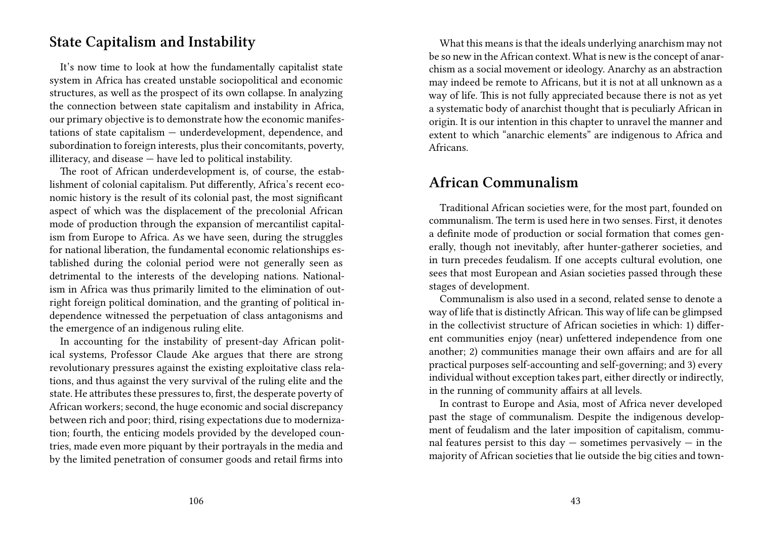## **State Capitalism and Instability**

It's now time to look at how the fundamentally capitalist state system in Africa has created unstable sociopolitical and economic structures, as well as the prospect of its own collapse. In analyzing the connection between state capitalism and instability in Africa, our primary objective is to demonstrate how the economic manifestations of state capitalism — underdevelopment, dependence, and subordination to foreign interests, plus their concomitants, poverty, illiteracy, and disease — have led to political instability.

The root of African underdevelopment is, of course, the establishment of colonial capitalism. Put differently, Africa's recent economic history is the result of its colonial past, the most significant aspect of which was the displacement of the precolonial African mode of production through the expansion of mercantilist capitalism from Europe to Africa. As we have seen, during the struggles for national liberation, the fundamental economic relationships established during the colonial period were not generally seen as detrimental to the interests of the developing nations. Nationalism in Africa was thus primarily limited to the elimination of outright foreign political domination, and the granting of political independence witnessed the perpetuation of class antagonisms and the emergence of an indigenous ruling elite.

In accounting for the instability of present-day African political systems, Professor Claude Ake argues that there are strong revolutionary pressures against the existing exploitative class relations, and thus against the very survival of the ruling elite and the state. He attributes these pressures to, first, the desperate poverty of African workers; second, the huge economic and social discrepancy between rich and poor; third, rising expectations due to modernization; fourth, the enticing models provided by the developed countries, made even more piquant by their portrayals in the media and by the limited penetration of consumer goods and retail firms into

What this means is that the ideals underlying anarchism may not be so new in the African context. What is new is the concept of anarchism as a social movement or ideology. Anarchy as an abstraction may indeed be remote to Africans, but it is not at all unknown as a way of life. This is not fully appreciated because there is not as yet a systematic body of anarchist thought that is peculiarly African in origin. It is our intention in this chapter to unravel the manner and extent to which "anarchic elements" are indigenous to Africa and Africans.

## **African Communalism**

Traditional African societies were, for the most part, founded on communalism. The term is used here in two senses. First, it denotes a definite mode of production or social formation that comes generally, though not inevitably, after hunter-gatherer societies, and in turn precedes feudalism. If one accepts cultural evolution, one sees that most European and Asian societies passed through these stages of development.

Communalism is also used in a second, related sense to denote a way of life that is distinctly African. This way of life can be glimpsed in the collectivist structure of African societies in which: 1) different communities enjoy (near) unfettered independence from one another; 2) communities manage their own affairs and are for all practical purposes self-accounting and self-governing; and 3) every individual without exception takes part, either directly or indirectly, in the running of community affairs at all levels.

In contrast to Europe and Asia, most of Africa never developed past the stage of communalism. Despite the indigenous development of feudalism and the later imposition of capitalism, communal features persist to this day  $-$  sometimes pervasively  $-$  in the majority of African societies that lie outside the big cities and town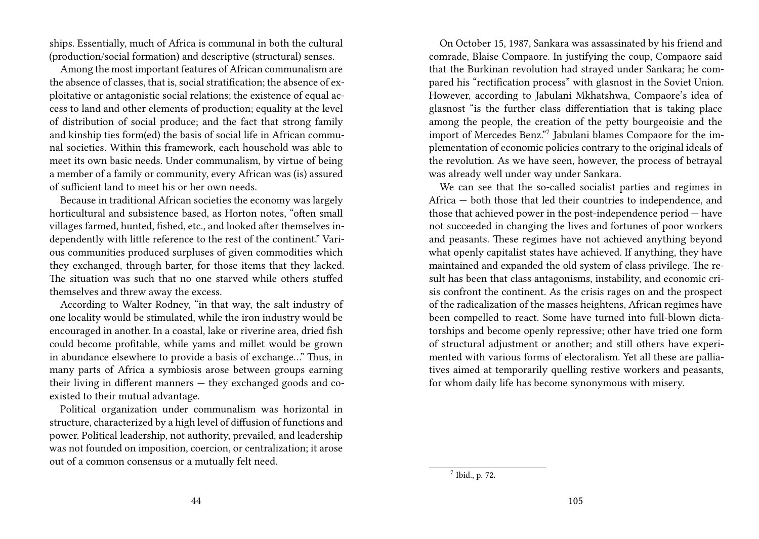ships. Essentially, much of Africa is communal in both the cultural (production/social formation) and descriptive (structural) senses.

Among the most important features of African communalism are the absence of classes, that is, social stratification; the absence of exploitative or antagonistic social relations; the existence of equal access to land and other elements of production; equality at the level of distribution of social produce; and the fact that strong family and kinship ties form(ed) the basis of social life in African communal societies. Within this framework, each household was able to meet its own basic needs. Under communalism, by virtue of being a member of a family or community, every African was (is) assured of sufficient land to meet his or her own needs.

Because in traditional African societies the economy was largely horticultural and subsistence based, as Horton notes, "often small villages farmed, hunted, fished, etc., and looked after themselves independently with little reference to the rest of the continent." Various communities produced surpluses of given commodities which they exchanged, through barter, for those items that they lacked. The situation was such that no one starved while others stuffed themselves and threw away the excess.

According to Walter Rodney, "in that way, the salt industry of one locality would be stimulated, while the iron industry would be encouraged in another. In a coastal, lake or riverine area, dried fish could become profitable, while yams and millet would be grown in abundance elsewhere to provide a basis of exchange…" Thus, in many parts of Africa a symbiosis arose between groups earning their living in different manners — they exchanged goods and coexisted to their mutual advantage.

Political organization under communalism was horizontal in structure, characterized by a high level of diffusion of functions and power. Political leadership, not authority, prevailed, and leadership was not founded on imposition, coercion, or centralization; it arose out of a common consensus or a mutually felt need.

On October 15, 1987, Sankara was assassinated by his friend and comrade, Blaise Compaore. In justifying the coup, Compaore said that the Burkinan revolution had strayed under Sankara; he compared his "rectification process" with glasnost in the Soviet Union. However, according to Jabulani Mkhatshwa, Compaore's idea of glasnost "is the further class differentiation that is taking place among the people, the creation of the petty bourgeoisie and the import of Mercedes Benz."7 Jabulani blames Compaore for the implementation of economic policies contrary to the original ideals of the revolution. As we have seen, however, the process of betrayal was already well under way under Sankara.

We can see that the so-called socialist parties and regimes in Africa — both those that led their countries to independence, and those that achieved power in the post-independence period — have not succeeded in changing the lives and fortunes of poor workers and peasants. These regimes have not achieved anything beyond what openly capitalist states have achieved. If anything, they have maintained and expanded the old system of class privilege. The result has been that class antagonisms, instability, and economic crisis confront the continent. As the crisis rages on and the prospect of the radicalization of the masses heightens, African regimes have been compelled to react. Some have turned into full-blown dictatorships and become openly repressive; other have tried one form of structural adjustment or another; and still others have experimented with various forms of electoralism. Yet all these are palliatives aimed at temporarily quelling restive workers and peasants, for whom daily life has become synonymous with misery.

<sup>7</sup> Ibid., p. 72.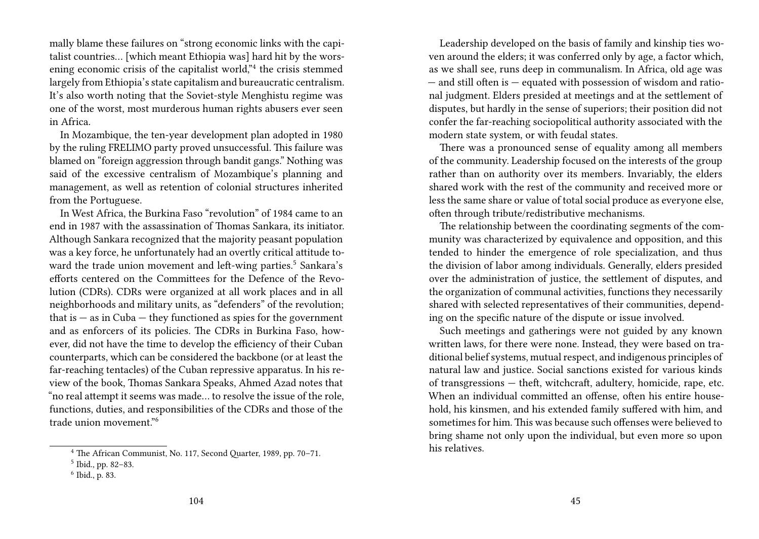mally blame these failures on "strong economic links with the capitalist countries… [which meant Ethiopia was] hard hit by the worsening economic crisis of the capitalist world,"<sup>4</sup> the crisis stemmed largely from Ethiopia's state capitalism and bureaucratic centralism. It's also worth noting that the Soviet-style Menghistu regime was one of the worst, most murderous human rights abusers ever seen in Africa.

In Mozambique, the ten-year development plan adopted in 1980 by the ruling FRELIMO party proved unsuccessful. This failure was blamed on "foreign aggression through bandit gangs." Nothing was said of the excessive centralism of Mozambique's planning and management, as well as retention of colonial structures inherited from the Portuguese.

In West Africa, the Burkina Faso "revolution" of 1984 came to an end in 1987 with the assassination of Thomas Sankara, its initiator. Although Sankara recognized that the majority peasant population was a key force, he unfortunately had an overtly critical attitude toward the trade union movement and left-wing parties.<sup>5</sup> Sankara's efforts centered on the Committees for the Defence of the Revolution (CDRs). CDRs were organized at all work places and in all neighborhoods and military units, as "defenders" of the revolution; that is  $-$  as in Cuba  $-$  they functioned as spies for the government and as enforcers of its policies. The CDRs in Burkina Faso, however, did not have the time to develop the efficiency of their Cuban counterparts, which can be considered the backbone (or at least the far-reaching tentacles) of the Cuban repressive apparatus. In his review of the book, Thomas Sankara Speaks, Ahmed Azad notes that "no real attempt it seems was made… to resolve the issue of the role, functions, duties, and responsibilities of the CDRs and those of the trade union movement."<sup>6</sup>

<sup>4</sup> The African Communist, No. 117, Second Quarter, 1989, pp. 70–71.

Leadership developed on the basis of family and kinship ties woven around the elders; it was conferred only by age, a factor which, as we shall see, runs deep in communalism. In Africa, old age was — and still often is — equated with possession of wisdom and rational judgment. Elders presided at meetings and at the settlement of disputes, but hardly in the sense of superiors; their position did not confer the far-reaching sociopolitical authority associated with the modern state system, or with feudal states.

There was a pronounced sense of equality among all members of the community. Leadership focused on the interests of the group rather than on authority over its members. Invariably, the elders shared work with the rest of the community and received more or less the same share or value of total social produce as everyone else, often through tribute/redistributive mechanisms.

The relationship between the coordinating segments of the community was characterized by equivalence and opposition, and this tended to hinder the emergence of role specialization, and thus the division of labor among individuals. Generally, elders presided over the administration of justice, the settlement of disputes, and the organization of communal activities, functions they necessarily shared with selected representatives of their communities, depending on the specific nature of the dispute or issue involved.

Such meetings and gatherings were not guided by any known written laws, for there were none. Instead, they were based on traditional belief systems, mutual respect, and indigenous principles of natural law and justice. Social sanctions existed for various kinds of transgressions — theft, witchcraft, adultery, homicide, rape, etc. When an individual committed an offense, often his entire household, his kinsmen, and his extended family suffered with him, and sometimes for him. This was because such offenses were believed to bring shame not only upon the individual, but even more so upon his relatives.

<sup>5</sup> Ibid., pp. 82–83.

<sup>6</sup> Ibid., p. 83.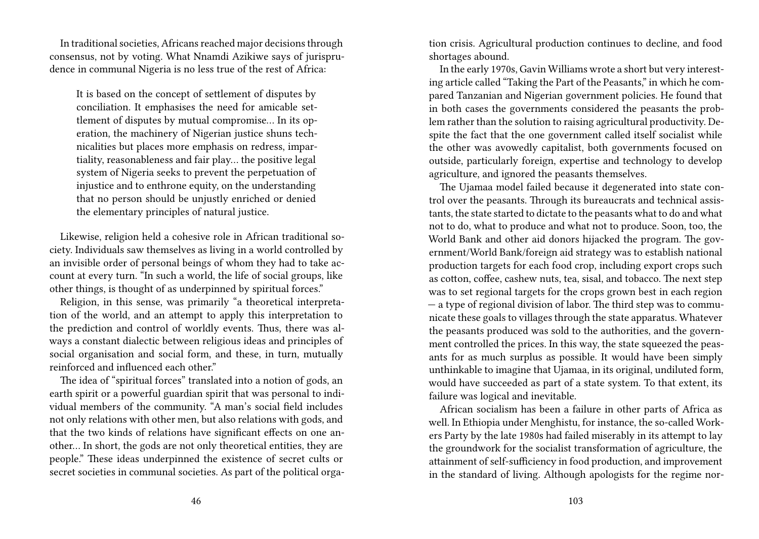In traditional societies, Africans reached major decisions through consensus, not by voting. What Nnamdi Azikiwe says of jurisprudence in communal Nigeria is no less true of the rest of Africa:

It is based on the concept of settlement of disputes by conciliation. It emphasises the need for amicable settlement of disputes by mutual compromise… In its operation, the machinery of Nigerian justice shuns technicalities but places more emphasis on redress, impartiality, reasonableness and fair play… the positive legal system of Nigeria seeks to prevent the perpetuation of injustice and to enthrone equity, on the understanding that no person should be unjustly enriched or denied the elementary principles of natural justice.

Likewise, religion held a cohesive role in African traditional society. Individuals saw themselves as living in a world controlled by an invisible order of personal beings of whom they had to take account at every turn. "In such a world, the life of social groups, like other things, is thought of as underpinned by spiritual forces."

Religion, in this sense, was primarily "a theoretical interpretation of the world, and an attempt to apply this interpretation to the prediction and control of worldly events. Thus, there was always a constant dialectic between religious ideas and principles of social organisation and social form, and these, in turn, mutually reinforced and influenced each other."

The idea of "spiritual forces" translated into a notion of gods, an earth spirit or a powerful guardian spirit that was personal to individual members of the community. "A man's social field includes not only relations with other men, but also relations with gods, and that the two kinds of relations have significant effects on one another… In short, the gods are not only theoretical entities, they are people." These ideas underpinned the existence of secret cults or secret societies in communal societies. As part of the political orgation crisis. Agricultural production continues to decline, and food shortages abound.

In the early 1970s, Gavin Williams wrote a short but very interesting article called "Taking the Part of the Peasants," in which he compared Tanzanian and Nigerian government policies. He found that in both cases the governments considered the peasants the problem rather than the solution to raising agricultural productivity. Despite the fact that the one government called itself socialist while the other was avowedly capitalist, both governments focused on outside, particularly foreign, expertise and technology to develop agriculture, and ignored the peasants themselves.

The Ujamaa model failed because it degenerated into state control over the peasants. Through its bureaucrats and technical assistants, the state started to dictate to the peasants what to do and what not to do, what to produce and what not to produce. Soon, too, the World Bank and other aid donors hijacked the program. The government/World Bank/foreign aid strategy was to establish national production targets for each food crop, including export crops such as cotton, coffee, cashew nuts, tea, sisal, and tobacco. The next step was to set regional targets for the crops grown best in each region — a type of regional division of labor. The third step was to communicate these goals to villages through the state apparatus. Whatever the peasants produced was sold to the authorities, and the government controlled the prices. In this way, the state squeezed the peasants for as much surplus as possible. It would have been simply unthinkable to imagine that Ujamaa, in its original, undiluted form, would have succeeded as part of a state system. To that extent, its failure was logical and inevitable.

African socialism has been a failure in other parts of Africa as well. In Ethiopia under Menghistu, for instance, the so-called Workers Party by the late 1980s had failed miserably in its attempt to lay the groundwork for the socialist transformation of agriculture, the attainment of self-sufficiency in food production, and improvement in the standard of living. Although apologists for the regime nor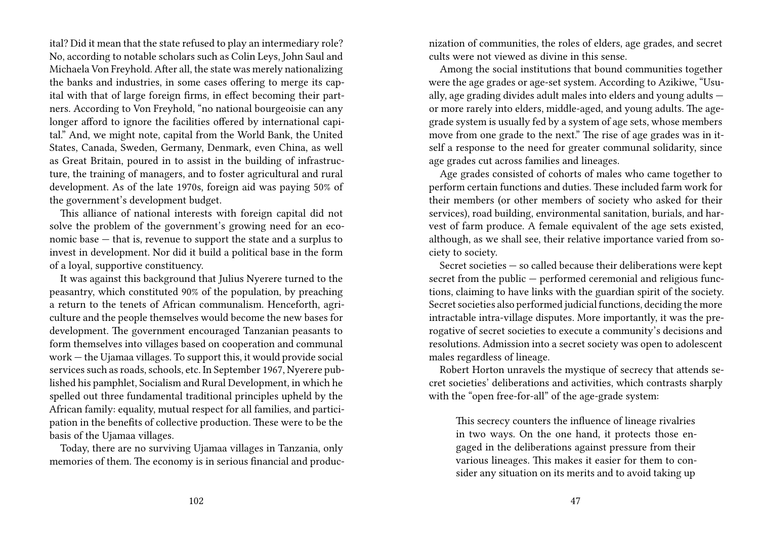ital? Did it mean that the state refused to play an intermediary role? No, according to notable scholars such as Colin Leys, John Saul and Michaela Von Freyhold. After all, the state was merely nationalizing the banks and industries, in some cases offering to merge its capital with that of large foreign firms, in effect becoming their partners. According to Von Freyhold, "no national bourgeoisie can any longer afford to ignore the facilities offered by international capital." And, we might note, capital from the World Bank, the United States, Canada, Sweden, Germany, Denmark, even China, as well as Great Britain, poured in to assist in the building of infrastructure, the training of managers, and to foster agricultural and rural development. As of the late 1970s, foreign aid was paying 50% of the government's development budget.

This alliance of national interests with foreign capital did not solve the problem of the government's growing need for an economic base — that is, revenue to support the state and a surplus to invest in development. Nor did it build a political base in the form of a loyal, supportive constituency.

It was against this background that Julius Nyerere turned to the peasantry, which constituted 90% of the population, by preaching a return to the tenets of African communalism. Henceforth, agriculture and the people themselves would become the new bases for development. The government encouraged Tanzanian peasants to form themselves into villages based on cooperation and communal work — the Ujamaa villages. To support this, it would provide social services such as roads, schools, etc. In September 1967, Nyerere published his pamphlet, Socialism and Rural Development, in which he spelled out three fundamental traditional principles upheld by the African family: equality, mutual respect for all families, and participation in the benefits of collective production. These were to be the basis of the Ujamaa villages.

Today, there are no surviving Ujamaa villages in Tanzania, only memories of them. The economy is in serious financial and producnization of communities, the roles of elders, age grades, and secret cults were not viewed as divine in this sense.

Among the social institutions that bound communities together were the age grades or age-set system. According to Azikiwe, "Usually, age grading divides adult males into elders and young adults or more rarely into elders, middle-aged, and young adults. The agegrade system is usually fed by a system of age sets, whose members move from one grade to the next." The rise of age grades was in itself a response to the need for greater communal solidarity, since age grades cut across families and lineages.

Age grades consisted of cohorts of males who came together to perform certain functions and duties. These included farm work for their members (or other members of society who asked for their services), road building, environmental sanitation, burials, and harvest of farm produce. A female equivalent of the age sets existed, although, as we shall see, their relative importance varied from society to society.

Secret societies — so called because their deliberations were kept secret from the public — performed ceremonial and religious functions, claiming to have links with the guardian spirit of the society. Secret societies also performed judicial functions, deciding the more intractable intra-village disputes. More importantly, it was the prerogative of secret societies to execute a community's decisions and resolutions. Admission into a secret society was open to adolescent males regardless of lineage.

Robert Horton unravels the mystique of secrecy that attends secret societies' deliberations and activities, which contrasts sharply with the "open free-for-all" of the age-grade system:

This secrecy counters the influence of lineage rivalries in two ways. On the one hand, it protects those engaged in the deliberations against pressure from their various lineages. This makes it easier for them to consider any situation on its merits and to avoid taking up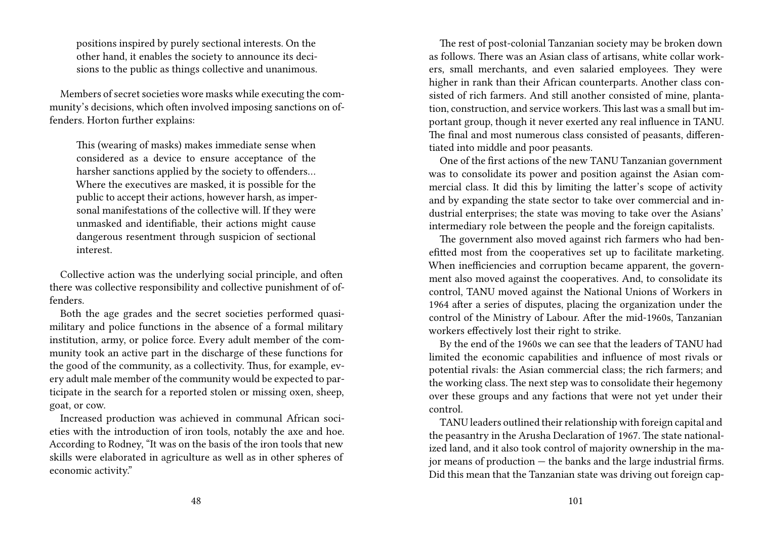positions inspired by purely sectional interests. On the other hand, it enables the society to announce its decisions to the public as things collective and unanimous.

Members of secret societies wore masks while executing the community's decisions, which often involved imposing sanctions on offenders. Horton further explains:

This (wearing of masks) makes immediate sense when considered as a device to ensure acceptance of the harsher sanctions applied by the society to offenders… Where the executives are masked, it is possible for the public to accept their actions, however harsh, as impersonal manifestations of the collective will. If they were unmasked and identifiable, their actions might cause dangerous resentment through suspicion of sectional interest.

Collective action was the underlying social principle, and often there was collective responsibility and collective punishment of offenders.

Both the age grades and the secret societies performed quasimilitary and police functions in the absence of a formal military institution, army, or police force. Every adult member of the community took an active part in the discharge of these functions for the good of the community, as a collectivity. Thus, for example, every adult male member of the community would be expected to participate in the search for a reported stolen or missing oxen, sheep, goat, or cow.

Increased production was achieved in communal African societies with the introduction of iron tools, notably the axe and hoe. According to Rodney, "It was on the basis of the iron tools that new skills were elaborated in agriculture as well as in other spheres of economic activity."

The rest of post-colonial Tanzanian society may be broken down as follows. There was an Asian class of artisans, white collar workers, small merchants, and even salaried employees. They were higher in rank than their African counterparts. Another class consisted of rich farmers. And still another consisted of mine, plantation, construction, and service workers. This last was a small but important group, though it never exerted any real influence in TANU. The final and most numerous class consisted of peasants, differentiated into middle and poor peasants.

One of the first actions of the new TANU Tanzanian government was to consolidate its power and position against the Asian commercial class. It did this by limiting the latter's scope of activity and by expanding the state sector to take over commercial and industrial enterprises; the state was moving to take over the Asians' intermediary role between the people and the foreign capitalists.

The government also moved against rich farmers who had benefitted most from the cooperatives set up to facilitate marketing. When inefficiencies and corruption became apparent, the government also moved against the cooperatives. And, to consolidate its control, TANU moved against the National Unions of Workers in 1964 after a series of disputes, placing the organization under the control of the Ministry of Labour. After the mid-1960s, Tanzanian workers effectively lost their right to strike.

By the end of the 1960s we can see that the leaders of TANU had limited the economic capabilities and influence of most rivals or potential rivals: the Asian commercial class; the rich farmers; and the working class. The next step was to consolidate their hegemony over these groups and any factions that were not yet under their control.

TANU leaders outlined their relationship with foreign capital and the peasantry in the Arusha Declaration of 1967. The state nationalized land, and it also took control of majority ownership in the major means of production — the banks and the large industrial firms. Did this mean that the Tanzanian state was driving out foreign cap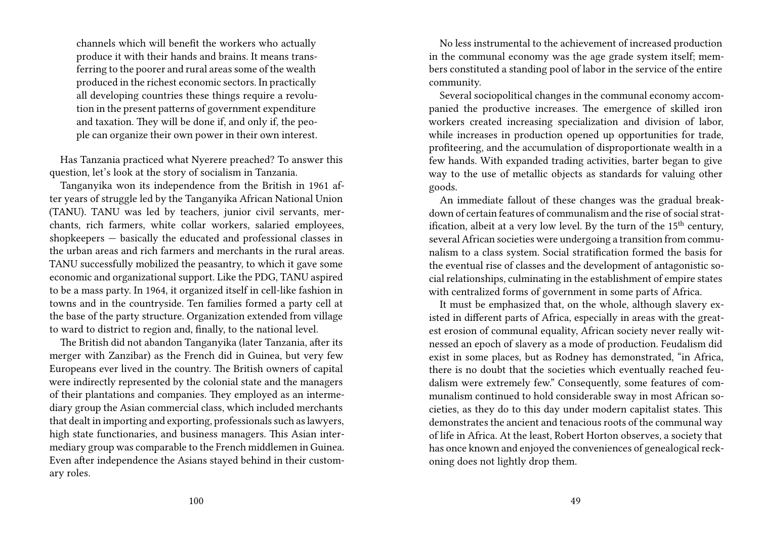channels which will benefit the workers who actually produce it with their hands and brains. It means transferring to the poorer and rural areas some of the wealth produced in the richest economic sectors. In practically all developing countries these things require a revolution in the present patterns of government expenditure and taxation. They will be done if, and only if, the people can organize their own power in their own interest.

Has Tanzania practiced what Nyerere preached? To answer this question, let's look at the story of socialism in Tanzania.

Tanganyika won its independence from the British in 1961 after years of struggle led by the Tanganyika African National Union (TANU). TANU was led by teachers, junior civil servants, merchants, rich farmers, white collar workers, salaried employees, shopkeepers — basically the educated and professional classes in the urban areas and rich farmers and merchants in the rural areas. TANU successfully mobilized the peasantry, to which it gave some economic and organizational support. Like the PDG, TANU aspired to be a mass party. In 1964, it organized itself in cell-like fashion in towns and in the countryside. Ten families formed a party cell at the base of the party structure. Organization extended from village to ward to district to region and, finally, to the national level.

The British did not abandon Tanganyika (later Tanzania, after its merger with Zanzibar) as the French did in Guinea, but very few Europeans ever lived in the country. The British owners of capital were indirectly represented by the colonial state and the managers of their plantations and companies. They employed as an intermediary group the Asian commercial class, which included merchants that dealt in importing and exporting, professionals such as lawyers, high state functionaries, and business managers. This Asian intermediary group was comparable to the French middlemen in Guinea. Even after independence the Asians stayed behind in their customary roles.

No less instrumental to the achievement of increased production in the communal economy was the age grade system itself; members constituted a standing pool of labor in the service of the entire community.

Several sociopolitical changes in the communal economy accompanied the productive increases. The emergence of skilled iron workers created increasing specialization and division of labor, while increases in production opened up opportunities for trade, profiteering, and the accumulation of disproportionate wealth in a few hands. With expanded trading activities, barter began to give way to the use of metallic objects as standards for valuing other goods.

An immediate fallout of these changes was the gradual breakdown of certain features of communalism and the rise of social stratification, albeit at a very low level. By the turn of the  $15<sup>th</sup>$  century, several African societies were undergoing a transition from communalism to a class system. Social stratification formed the basis for the eventual rise of classes and the development of antagonistic social relationships, culminating in the establishment of empire states with centralized forms of government in some parts of Africa.

It must be emphasized that, on the whole, although slavery existed in different parts of Africa, especially in areas with the greatest erosion of communal equality, African society never really witnessed an epoch of slavery as a mode of production. Feudalism did exist in some places, but as Rodney has demonstrated, "in Africa, there is no doubt that the societies which eventually reached feudalism were extremely few." Consequently, some features of communalism continued to hold considerable sway in most African societies, as they do to this day under modern capitalist states. This demonstrates the ancient and tenacious roots of the communal way of life in Africa. At the least, Robert Horton observes, a society that has once known and enjoyed the conveniences of genealogical reckoning does not lightly drop them.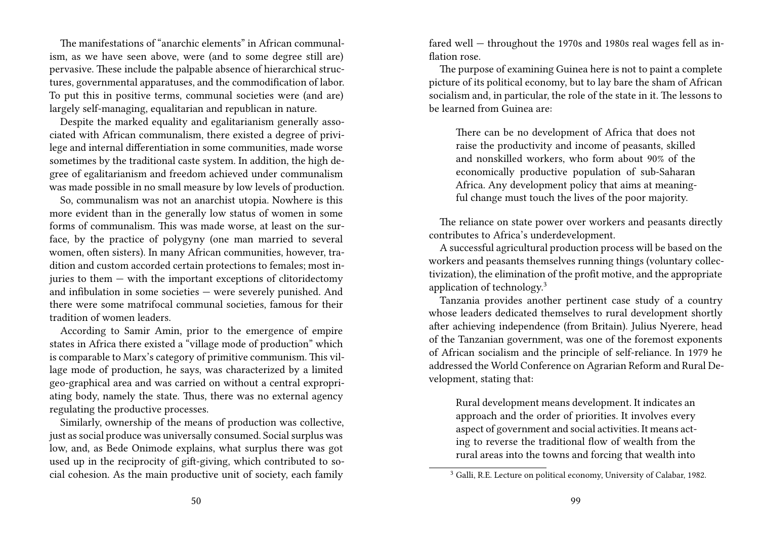The manifestations of "anarchic elements" in African communalism, as we have seen above, were (and to some degree still are) pervasive. These include the palpable absence of hierarchical structures, governmental apparatuses, and the commodification of labor. To put this in positive terms, communal societies were (and are) largely self-managing, equalitarian and republican in nature.

Despite the marked equality and egalitarianism generally associated with African communalism, there existed a degree of privilege and internal differentiation in some communities, made worse sometimes by the traditional caste system. In addition, the high degree of egalitarianism and freedom achieved under communalism was made possible in no small measure by low levels of production.

So, communalism was not an anarchist utopia. Nowhere is this more evident than in the generally low status of women in some forms of communalism. This was made worse, at least on the surface, by the practice of polygyny (one man married to several women, often sisters). In many African communities, however, tradition and custom accorded certain protections to females; most injuries to them — with the important exceptions of clitoridectomy and infibulation in some societies — were severely punished. And there were some matrifocal communal societies, famous for their tradition of women leaders.

According to Samir Amin, prior to the emergence of empire states in Africa there existed a "village mode of production" which is comparable to Marx's category of primitive communism. This village mode of production, he says, was characterized by a limited geo-graphical area and was carried on without a central expropriating body, namely the state. Thus, there was no external agency regulating the productive processes.

Similarly, ownership of the means of production was collective, just as social produce was universally consumed. Social surplus was low, and, as Bede Onimode explains, what surplus there was got used up in the reciprocity of gift-giving, which contributed to social cohesion. As the main productive unit of society, each family

fared well — throughout the 1970s and 1980s real wages fell as inflation rose.

The purpose of examining Guinea here is not to paint a complete picture of its political economy, but to lay bare the sham of African socialism and, in particular, the role of the state in it. The lessons to be learned from Guinea are:

There can be no development of Africa that does not raise the productivity and income of peasants, skilled and nonskilled workers, who form about 90% of the economically productive population of sub-Saharan Africa. Any development policy that aims at meaningful change must touch the lives of the poor majority.

The reliance on state power over workers and peasants directly contributes to Africa's underdevelopment.

A successful agricultural production process will be based on the workers and peasants themselves running things (voluntary collectivization), the elimination of the profit motive, and the appropriate application of technology.<sup>3</sup>

Tanzania provides another pertinent case study of a country whose leaders dedicated themselves to rural development shortly after achieving independence (from Britain). Julius Nyerere, head of the Tanzanian government, was one of the foremost exponents of African socialism and the principle of self-reliance. In 1979 he addressed the World Conference on Agrarian Reform and Rural Development, stating that:

Rural development means development. It indicates an approach and the order of priorities. It involves every aspect of government and social activities. It means acting to reverse the traditional flow of wealth from the rural areas into the towns and forcing that wealth into

<sup>3</sup> Galli, R.E. Lecture on political economy, University of Calabar, 1982.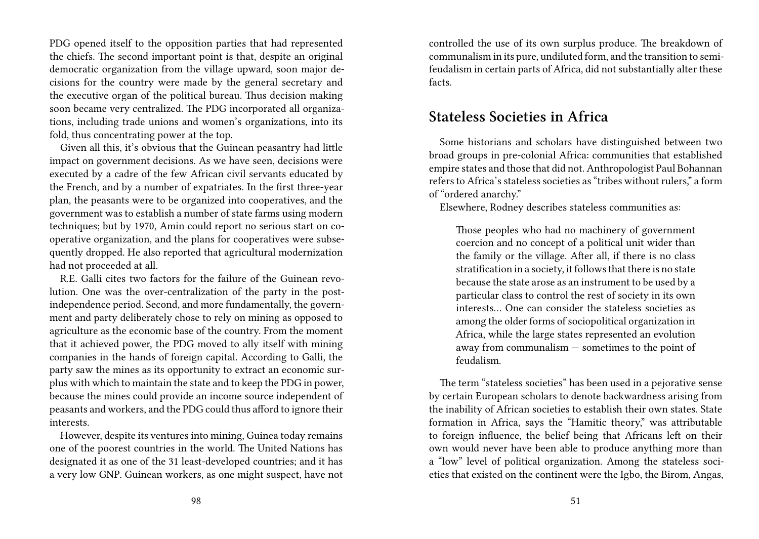PDG opened itself to the opposition parties that had represented the chiefs. The second important point is that, despite an original democratic organization from the village upward, soon major decisions for the country were made by the general secretary and the executive organ of the political bureau. Thus decision making soon became very centralized. The PDG incorporated all organizations, including trade unions and women's organizations, into its fold, thus concentrating power at the top.

Given all this, it's obvious that the Guinean peasantry had little impact on government decisions. As we have seen, decisions were executed by a cadre of the few African civil servants educated by the French, and by a number of expatriates. In the first three-year plan, the peasants were to be organized into cooperatives, and the government was to establish a number of state farms using modern techniques; but by 1970, Amin could report no serious start on cooperative organization, and the plans for cooperatives were subsequently dropped. He also reported that agricultural modernization had not proceeded at all.

R.E. Galli cites two factors for the failure of the Guinean revolution. One was the over-centralization of the party in the postindependence period. Second, and more fundamentally, the government and party deliberately chose to rely on mining as opposed to agriculture as the economic base of the country. From the moment that it achieved power, the PDG moved to ally itself with mining companies in the hands of foreign capital. According to Galli, the party saw the mines as its opportunity to extract an economic surplus with which to maintain the state and to keep the PDG in power, because the mines could provide an income source independent of peasants and workers, and the PDG could thus afford to ignore their interests.

However, despite its ventures into mining, Guinea today remains one of the poorest countries in the world. The United Nations has designated it as one of the 31 least-developed countries; and it has a very low GNP. Guinean workers, as one might suspect, have not controlled the use of its own surplus produce. The breakdown of communalism in its pure, undiluted form, and the transition to semifeudalism in certain parts of Africa, did not substantially alter these facts.

#### **Stateless Societies in Africa**

Some historians and scholars have distinguished between two broad groups in pre-colonial Africa: communities that established empire states and those that did not. Anthropologist Paul Bohannan refers to Africa's stateless societies as "tribes without rulers," a form of "ordered anarchy."

Elsewhere, Rodney describes stateless communities as:

Those peoples who had no machinery of government coercion and no concept of a political unit wider than the family or the village. After all, if there is no class stratification in a society, it follows that there is no state because the state arose as an instrument to be used by a particular class to control the rest of society in its own interests… One can consider the stateless societies as among the older forms of sociopolitical organization in Africa, while the large states represented an evolution away from communalism — sometimes to the point of feudalism.

The term "stateless societies" has been used in a pejorative sense by certain European scholars to denote backwardness arising from the inability of African societies to establish their own states. State formation in Africa, says the "Hamitic theory," was attributable to foreign influence, the belief being that Africans left on their own would never have been able to produce anything more than a "low" level of political organization. Among the stateless societies that existed on the continent were the Igbo, the Birom, Angas,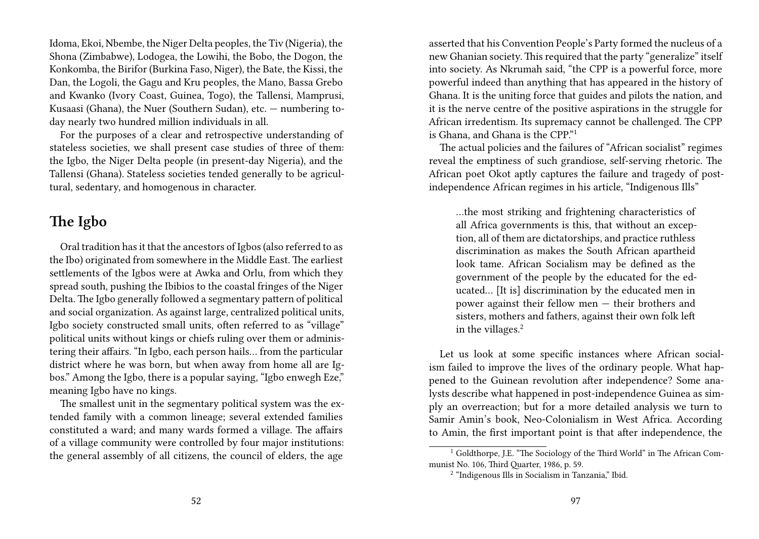Idoma, Ekoi, Nbembe, the Niger Delta peoples, the Tiv (Nigeria), the Shona (Zimbabwe), Lodogea, the Lowihi, the Bobo, the Dogon, the Konkomba, the Birifor (Burkina Faso, Niger), the Bate, the Kissi, the Dan, the Logoli, the Gagu and Kru peoples, the Mano, Bassa Grebo and Kwanko (Ivory Coast, Guinea, Togo), the Tallensi, Mamprusi, Kusaasi (Ghana), the Nuer (Southern Sudan), etc. — numbering today nearly two hundred million individuals in all.

For the purposes of a clear and retrospective understanding of stateless societies, we shall present case studies of three of them: the Igbo, the Niger Delta people (in present-day Nigeria), and the Tallensi (Ghana). Stateless societies tended generally to be agricultural, sedentary, and homogenous in character.

# **The Igbo**

Oral tradition has it that the ancestors of Igbos (also referred to as the Ibo) originated from somewhere in the Middle East. The earliest settlements of the Igbos were at Awka and Orlu, from which they spread south, pushing the Ibibios to the coastal fringes of the Niger Delta. The Igbo generally followed a segmentary pattern of political and social organization. As against large, centralized political units, Igbo society constructed small units, often referred to as "village" political units without kings or chiefs ruling over them or administering their affairs. "In Igbo, each person hails… from the particular district where he was born, but when away from home all are Igbos." Among the Igbo, there is a popular saying, "Igbo enwegh Eze," meaning Igbo have no kings.

The smallest unit in the segmentary political system was the extended family with a common lineage; several extended families constituted a ward; and many wards formed a village. The affairs of a village community were controlled by four major institutions: the general assembly of all citizens, the council of elders, the age

asserted that his Convention People's Party formed the nucleus of a new Ghanian society. This required that the party "generalize" itself into society. As Nkrumah said, "the CPP is a powerful force, more powerful indeed than anything that has appeared in the history of Ghana. It is the uniting force that guides and pilots the nation, and it is the nerve centre of the positive aspirations in the struggle for African irredentism. Its supremacy cannot be challenged. The CPP is Ghana, and Ghana is the CPP."<sup>1</sup>

The actual policies and the failures of "African socialist" regimes reveal the emptiness of such grandiose, self-serving rhetoric. The African poet Okot aptly captures the failure and tragedy of postindependence African regimes in his article, "Indigenous Ills"

…the most striking and frightening characteristics of all Africa governments is this, that without an exception, all of them are dictatorships, and practice ruthless discrimination as makes the South African apartheid look tame. African Socialism may be defined as the government of the people by the educated for the educated… [It is] discrimination by the educated men in power against their fellow men — their brothers and sisters, mothers and fathers, against their own folk left in the villages.<sup>2</sup>

Let us look at some specific instances where African socialism failed to improve the lives of the ordinary people. What happened to the Guinean revolution after independence? Some analysts describe what happened in post-independence Guinea as simply an overreaction; but for a more detailed analysis we turn to Samir Amin's book, Neo-Colonialism in West Africa. According to Amin, the first important point is that after independence, the

<sup>1</sup> Goldthorpe, J.E. "The Sociology of the Third World" in The African Communist No. 106, Third Quarter, 1986, p. 59.

<sup>&</sup>lt;sup>2</sup> "Indigenous Ills in Socialism in Tanzania," Ibid.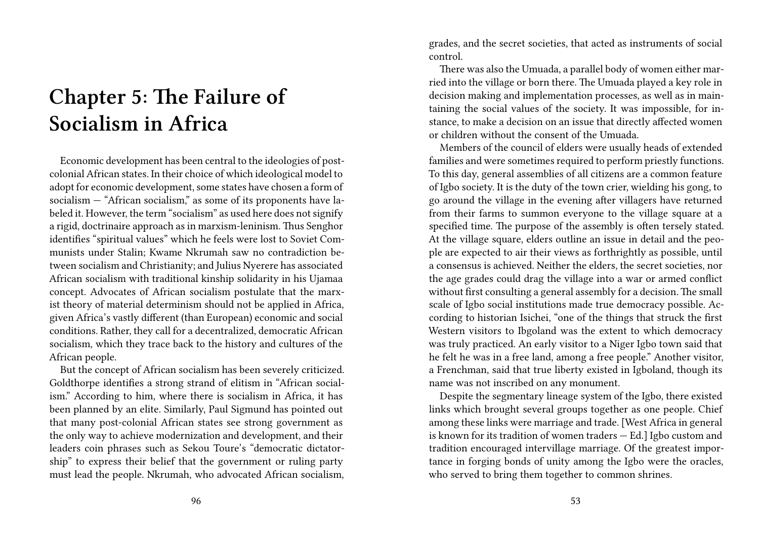# **Chapter 5: The Failure of Socialism in Africa**

Economic development has been central to the ideologies of postcolonial African states. In their choice of which ideological model to adopt for economic development, some states have chosen a form of socialism — "African socialism," as some of its proponents have labeled it. However, the term "socialism" as used here does not signify a rigid, doctrinaire approach as in marxism-leninism. Thus Senghor identifies "spiritual values" which he feels were lost to Soviet Communists under Stalin; Kwame Nkrumah saw no contradiction between socialism and Christianity; and Julius Nyerere has associated African socialism with traditional kinship solidarity in his Ujamaa concept. Advocates of African socialism postulate that the marxist theory of material determinism should not be applied in Africa, given Africa's vastly different (than European) economic and social conditions. Rather, they call for a decentralized, democratic African socialism, which they trace back to the history and cultures of the African people.

But the concept of African socialism has been severely criticized. Goldthorpe identifies a strong strand of elitism in "African socialism." According to him, where there is socialism in Africa, it has been planned by an elite. Similarly, Paul Sigmund has pointed out that many post-colonial African states see strong government as the only way to achieve modernization and development, and their leaders coin phrases such as Sekou Toure's "democratic dictatorship" to express their belief that the government or ruling party must lead the people. Nkrumah, who advocated African socialism,

grades, and the secret societies, that acted as instruments of social control.

There was also the Umuada, a parallel body of women either married into the village or born there. The Umuada played a key role in decision making and implementation processes, as well as in maintaining the social values of the society. It was impossible, for instance, to make a decision on an issue that directly affected women or children without the consent of the Umuada.

Members of the council of elders were usually heads of extended families and were sometimes required to perform priestly functions. To this day, general assemblies of all citizens are a common feature of Igbo society. It is the duty of the town crier, wielding his gong, to go around the village in the evening after villagers have returned from their farms to summon everyone to the village square at a specified time. The purpose of the assembly is often tersely stated. At the village square, elders outline an issue in detail and the people are expected to air their views as forthrightly as possible, until a consensus is achieved. Neither the elders, the secret societies, nor the age grades could drag the village into a war or armed conflict without first consulting a general assembly for a decision. The small scale of Igbo social institutions made true democracy possible. According to historian Isichei, "one of the things that struck the first Western visitors to Ibgoland was the extent to which democracy was truly practiced. An early visitor to a Niger Igbo town said that he felt he was in a free land, among a free people." Another visitor, a Frenchman, said that true liberty existed in Igboland, though its name was not inscribed on any monument.

Despite the segmentary lineage system of the Igbo, there existed links which brought several groups together as one people. Chief among these links were marriage and trade. [West Africa in general is known for its tradition of women traders — Ed.] Igbo custom and tradition encouraged intervillage marriage. Of the greatest importance in forging bonds of unity among the Igbo were the oracles, who served to bring them together to common shrines.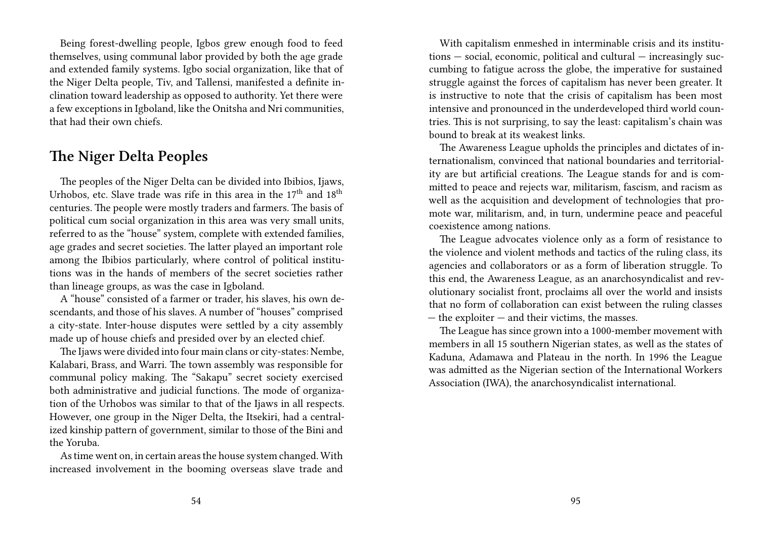Being forest-dwelling people, Igbos grew enough food to feed themselves, using communal labor provided by both the age grade and extended family systems. Igbo social organization, like that of the Niger Delta people, Tiv, and Tallensi, manifested a definite inclination toward leadership as opposed to authority. Yet there were a few exceptions in Igboland, like the Onitsha and Nri communities, that had their own chiefs.

### **The Niger Delta Peoples**

The peoples of the Niger Delta can be divided into Ibibios, Ijaws, Urhobos, etc. Slave trade was rife in this area in the  $17<sup>th</sup>$  and  $18<sup>th</sup>$ centuries. The people were mostly traders and farmers. The basis of political cum social organization in this area was very small units, referred to as the "house" system, complete with extended families, age grades and secret societies. The latter played an important role among the Ibibios particularly, where control of political institutions was in the hands of members of the secret societies rather than lineage groups, as was the case in Igboland.

A "house" consisted of a farmer or trader, his slaves, his own descendants, and those of his slaves. A number of "houses" comprised a city-state. Inter-house disputes were settled by a city assembly made up of house chiefs and presided over by an elected chief.

The Ijaws were divided into four main clans or city-states: Nembe, Kalabari, Brass, and Warri. The town assembly was responsible for communal policy making. The "Sakapu" secret society exercised both administrative and judicial functions. The mode of organization of the Urhobos was similar to that of the Ijaws in all respects. However, one group in the Niger Delta, the Itsekiri, had a centralized kinship pattern of government, similar to those of the Bini and the Yoruba.

As time went on, in certain areas the house system changed. With increased involvement in the booming overseas slave trade and

With capitalism enmeshed in interminable crisis and its institutions — social, economic, political and cultural — increasingly succumbing to fatigue across the globe, the imperative for sustained struggle against the forces of capitalism has never been greater. It is instructive to note that the crisis of capitalism has been most intensive and pronounced in the underdeveloped third world countries. This is not surprising, to say the least: capitalism's chain was bound to break at its weakest links.

The Awareness League upholds the principles and dictates of internationalism, convinced that national boundaries and territoriality are but artificial creations. The League stands for and is committed to peace and rejects war, militarism, fascism, and racism as well as the acquisition and development of technologies that promote war, militarism, and, in turn, undermine peace and peaceful coexistence among nations.

The League advocates violence only as a form of resistance to the violence and violent methods and tactics of the ruling class, its agencies and collaborators or as a form of liberation struggle. To this end, the Awareness League, as an anarchosyndicalist and revolutionary socialist front, proclaims all over the world and insists that no form of collaboration can exist between the ruling classes  $-$  the exploiter  $-$  and their victims, the masses.

The League has since grown into a 1000-member movement with members in all 15 southern Nigerian states, as well as the states of Kaduna, Adamawa and Plateau in the north. In 1996 the League was admitted as the Nigerian section of the International Workers Association (IWA), the anarchosyndicalist international.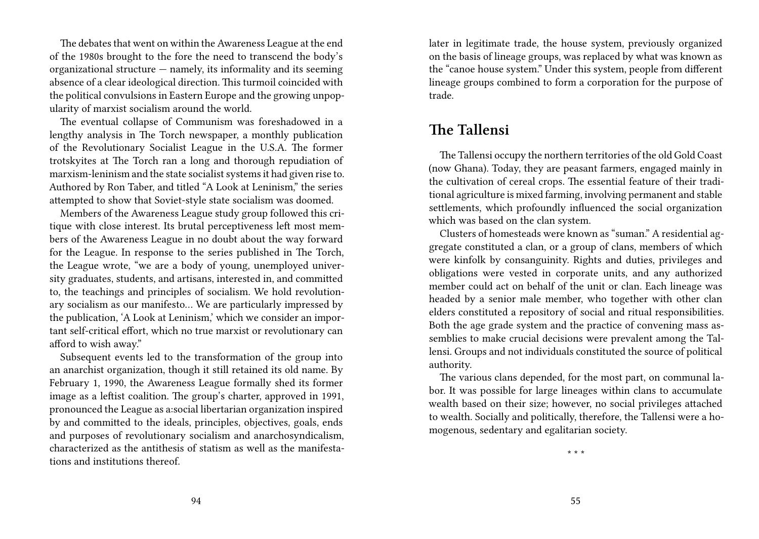The debates that went on within the Awareness League at the end of the 1980s brought to the fore the need to transcend the body's organizational structure — namely, its informality and its seeming absence of a clear ideological direction. This turmoil coincided with the political convulsions in Eastern Europe and the growing unpopularity of marxist socialism around the world.

The eventual collapse of Communism was foreshadowed in a lengthy analysis in The Torch newspaper, a monthly publication of the Revolutionary Socialist League in the U.S.A. The former trotskyites at The Torch ran a long and thorough repudiation of marxism-leninism and the state socialist systems it had given rise to. Authored by Ron Taber, and titled "A Look at Leninism," the series attempted to show that Soviet-style state socialism was doomed.

Members of the Awareness League study group followed this critique with close interest. Its brutal perceptiveness left most members of the Awareness League in no doubt about the way forward for the League. In response to the series published in The Torch, the League wrote, "we are a body of young, unemployed university graduates, students, and artisans, interested in, and committed to, the teachings and principles of socialism. We hold revolutionary socialism as our manifesto… We are particularly impressed by the publication, 'A Look at Leninism,' which we consider an important self-critical effort, which no true marxist or revolutionary can afford to wish away."

Subsequent events led to the transformation of the group into an anarchist organization, though it still retained its old name. By February 1, 1990, the Awareness League formally shed its former image as a leftist coalition. The group's charter, approved in 1991, pronounced the League as a:social libertarian organization inspired by and committed to the ideals, principles, objectives, goals, ends and purposes of revolutionary socialism and anarchosyndicalism, characterized as the antithesis of statism as well as the manifestations and institutions thereof.

later in legitimate trade, the house system, previously organized on the basis of lineage groups, was replaced by what was known as the "canoe house system." Under this system, people from different lineage groups combined to form a corporation for the purpose of trade.

## **The Tallensi**

The Tallensi occupy the northern territories of the old Gold Coast (now Ghana). Today, they are peasant farmers, engaged mainly in the cultivation of cereal crops. The essential feature of their traditional agriculture is mixed farming, involving permanent and stable settlements, which profoundly influenced the social organization which was based on the clan system.

Clusters of homesteads were known as "suman." A residential aggregate constituted a clan, or a group of clans, members of which were kinfolk by consanguinity. Rights and duties, privileges and obligations were vested in corporate units, and any authorized member could act on behalf of the unit or clan. Each lineage was headed by a senior male member, who together with other clan elders constituted a repository of social and ritual responsibilities. Both the age grade system and the practice of convening mass assemblies to make crucial decisions were prevalent among the Tallensi. Groups and not individuals constituted the source of political authority.

The various clans depended, for the most part, on communal labor. It was possible for large lineages within clans to accumulate wealth based on their size; however, no social privileges attached to wealth. Socially and politically, therefore, the Tallensi were a homogenous, sedentary and egalitarian society.

\* \* \*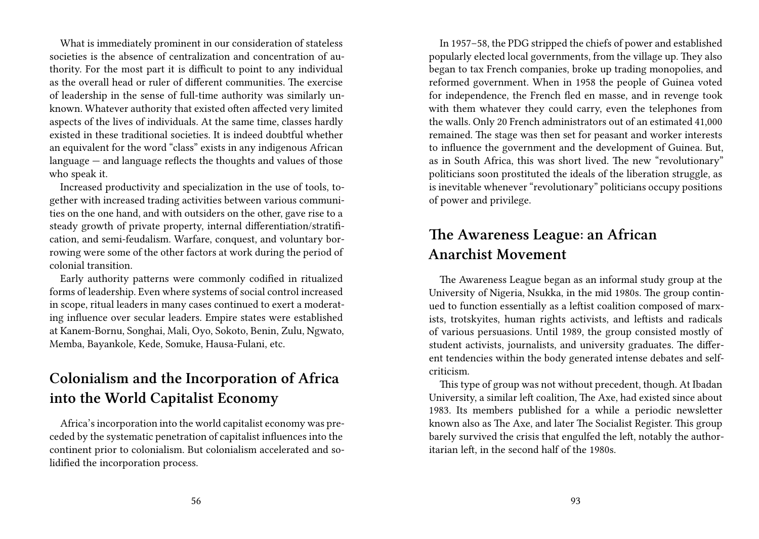What is immediately prominent in our consideration of stateless societies is the absence of centralization and concentration of authority. For the most part it is difficult to point to any individual as the overall head or ruler of different communities. The exercise of leadership in the sense of full-time authority was similarly unknown. Whatever authority that existed often affected very limited aspects of the lives of individuals. At the same time, classes hardly existed in these traditional societies. It is indeed doubtful whether an equivalent for the word "class" exists in any indigenous African language — and language reflects the thoughts and values of those who speak it.

Increased productivity and specialization in the use of tools, together with increased trading activities between various communities on the one hand, and with outsiders on the other, gave rise to a steady growth of private property, internal differentiation/stratification, and semi-feudalism. Warfare, conquest, and voluntary borrowing were some of the other factors at work during the period of colonial transition.

Early authority patterns were commonly codified in ritualized forms of leadership. Even where systems of social control increased in scope, ritual leaders in many cases continued to exert a moderating influence over secular leaders. Empire states were established at Kanem-Bornu, Songhai, Mali, Oyo, Sokoto, Benin, Zulu, Ngwato, Memba, Bayankole, Kede, Somuke, Hausa-Fulani, etc.

# **Colonialism and the Incorporation of Africa into the World Capitalist Economy**

Africa's incorporation into the world capitalist economy was preceded by the systematic penetration of capitalist influences into the continent prior to colonialism. But colonialism accelerated and solidified the incorporation process.

In 1957–58, the PDG stripped the chiefs of power and established popularly elected local governments, from the village up. They also began to tax French companies, broke up trading monopolies, and reformed government. When in 1958 the people of Guinea voted for independence, the French fled en masse, and in revenge took with them whatever they could carry, even the telephones from the walls. Only 20 French administrators out of an estimated 41,000 remained. The stage was then set for peasant and worker interests to influence the government and the development of Guinea. But, as in South Africa, this was short lived. The new "revolutionary" politicians soon prostituted the ideals of the liberation struggle, as is inevitable whenever "revolutionary" politicians occupy positions of power and privilege.

# **The Awareness League: an African Anarchist Movement**

The Awareness League began as an informal study group at the University of Nigeria, Nsukka, in the mid 1980s. The group continued to function essentially as a leftist coalition composed of marxists, trotskyites, human rights activists, and leftists and radicals of various persuasions. Until 1989, the group consisted mostly of student activists, journalists, and university graduates. The different tendencies within the body generated intense debates and selfcriticism.

This type of group was not without precedent, though. At Ibadan University, a similar left coalition, The Axe, had existed since about 1983. Its members published for a while a periodic newsletter known also as The Axe, and later The Socialist Register. This group barely survived the crisis that engulfed the left, notably the authoritarian left, in the second half of the 1980s.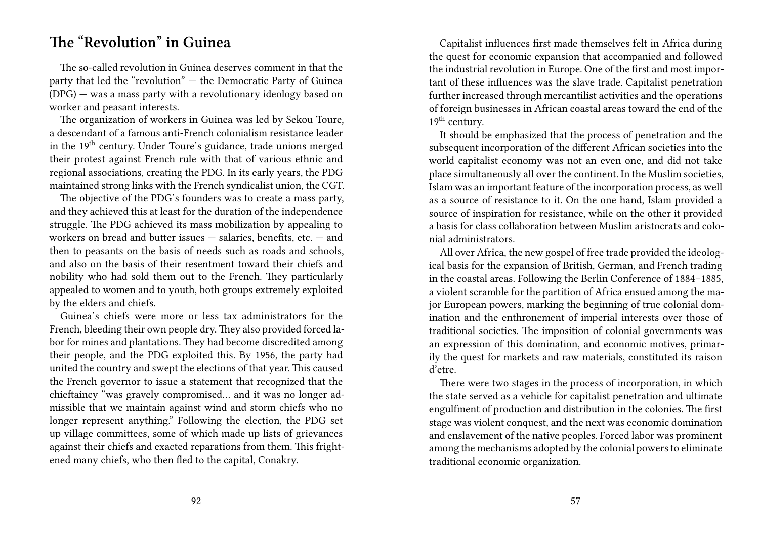# **The "Revolution" in Guinea**

The so-called revolution in Guinea deserves comment in that the party that led the "revolution" — the Democratic Party of Guinea (DPG) — was a mass party with a revolutionary ideology based on worker and peasant interests.

The organization of workers in Guinea was led by Sekou Toure, a descendant of a famous anti-French colonialism resistance leader in the 19th century. Under Toure's guidance, trade unions merged their protest against French rule with that of various ethnic and regional associations, creating the PDG. In its early years, the PDG maintained strong links with the French syndicalist union, the CGT.

The objective of the PDG's founders was to create a mass party, and they achieved this at least for the duration of the independence struggle. The PDG achieved its mass mobilization by appealing to workers on bread and butter issues — salaries, benefits, etc. — and then to peasants on the basis of needs such as roads and schools, and also on the basis of their resentment toward their chiefs and nobility who had sold them out to the French. They particularly appealed to women and to youth, both groups extremely exploited by the elders and chiefs.

Guinea's chiefs were more or less tax administrators for the French, bleeding their own people dry. They also provided forced labor for mines and plantations. They had become discredited among their people, and the PDG exploited this. By 1956, the party had united the country and swept the elections of that year. This caused the French governor to issue a statement that recognized that the chieftaincy "was gravely compromised… and it was no longer admissible that we maintain against wind and storm chiefs who no longer represent anything." Following the election, the PDG set up village committees, some of which made up lists of grievances against their chiefs and exacted reparations from them. This frightened many chiefs, who then fled to the capital, Conakry.

Capitalist influences first made themselves felt in Africa during the quest for economic expansion that accompanied and followed the industrial revolution in Europe. One of the first and most important of these influences was the slave trade. Capitalist penetration further increased through mercantilist activities and the operations of foreign businesses in African coastal areas toward the end of the 19<sup>th</sup> century.

It should be emphasized that the process of penetration and the subsequent incorporation of the different African societies into the world capitalist economy was not an even one, and did not take place simultaneously all over the continent. In the Muslim societies, Islam was an important feature of the incorporation process, as well as a source of resistance to it. On the one hand, Islam provided a source of inspiration for resistance, while on the other it provided a basis for class collaboration between Muslim aristocrats and colonial administrators.

All over Africa, the new gospel of free trade provided the ideological basis for the expansion of British, German, and French trading in the coastal areas. Following the Berlin Conference of 1884–1885, a violent scramble for the partition of Africa ensued among the major European powers, marking the beginning of true colonial domination and the enthronement of imperial interests over those of traditional societies. The imposition of colonial governments was an expression of this domination, and economic motives, primarily the quest for markets and raw materials, constituted its raison d'etre.

There were two stages in the process of incorporation, in which the state served as a vehicle for capitalist penetration and ultimate engulfment of production and distribution in the colonies. The first stage was violent conquest, and the next was economic domination and enslavement of the native peoples. Forced labor was prominent among the mechanisms adopted by the colonial powers to eliminate traditional economic organization.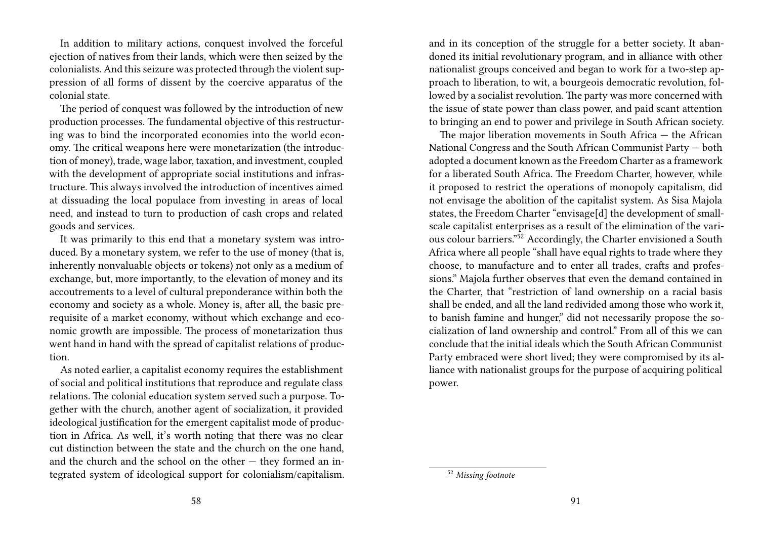In addition to military actions, conquest involved the forceful ejection of natives from their lands, which were then seized by the colonialists. And this seizure was protected through the violent suppression of all forms of dissent by the coercive apparatus of the colonial state.

The period of conquest was followed by the introduction of new production processes. The fundamental objective of this restructuring was to bind the incorporated economies into the world economy. The critical weapons here were monetarization (the introduction of money), trade, wage labor, taxation, and investment, coupled with the development of appropriate social institutions and infrastructure. This always involved the introduction of incentives aimed at dissuading the local populace from investing in areas of local need, and instead to turn to production of cash crops and related goods and services.

It was primarily to this end that a monetary system was introduced. By a monetary system, we refer to the use of money (that is, inherently nonvaluable objects or tokens) not only as a medium of exchange, but, more importantly, to the elevation of money and its accoutrements to a level of cultural preponderance within both the economy and society as a whole. Money is, after all, the basic prerequisite of a market economy, without which exchange and economic growth are impossible. The process of monetarization thus went hand in hand with the spread of capitalist relations of production.

As noted earlier, a capitalist economy requires the establishment of social and political institutions that reproduce and regulate class relations. The colonial education system served such a purpose. Together with the church, another agent of socialization, it provided ideological justification for the emergent capitalist mode of production in Africa. As well, it's worth noting that there was no clear cut distinction between the state and the church on the one hand, and the church and the school on the other — they formed an integrated system of ideological support for colonialism/capitalism.

and in its conception of the struggle for a better society. It abandoned its initial revolutionary program, and in alliance with other nationalist groups conceived and began to work for a two-step approach to liberation, to wit, a bourgeois democratic revolution, followed by a socialist revolution. The party was more concerned with the issue of state power than class power, and paid scant attention to bringing an end to power and privilege in South African society.

The major liberation movements in South Africa — the African National Congress and the South African Communist Party — both adopted a document known as the Freedom Charter as a framework for a liberated South Africa. The Freedom Charter, however, while it proposed to restrict the operations of monopoly capitalism, did not envisage the abolition of the capitalist system. As Sisa Majola states, the Freedom Charter "envisage[d] the development of smallscale capitalist enterprises as a result of the elimination of the various colour barriers."<sup>52</sup> Accordingly, the Charter envisioned a South Africa where all people "shall have equal rights to trade where they choose, to manufacture and to enter all trades, crafts and professions." Majola further observes that even the demand contained in the Charter, that "restriction of land ownership on a racial basis shall be ended, and all the land redivided among those who work it, to banish famine and hunger," did not necessarily propose the socialization of land ownership and control." From all of this we can conclude that the initial ideals which the South African Communist Party embraced were short lived; they were compromised by its alliance with nationalist groups for the purpose of acquiring political power.

<sup>52</sup> *Missing footnote*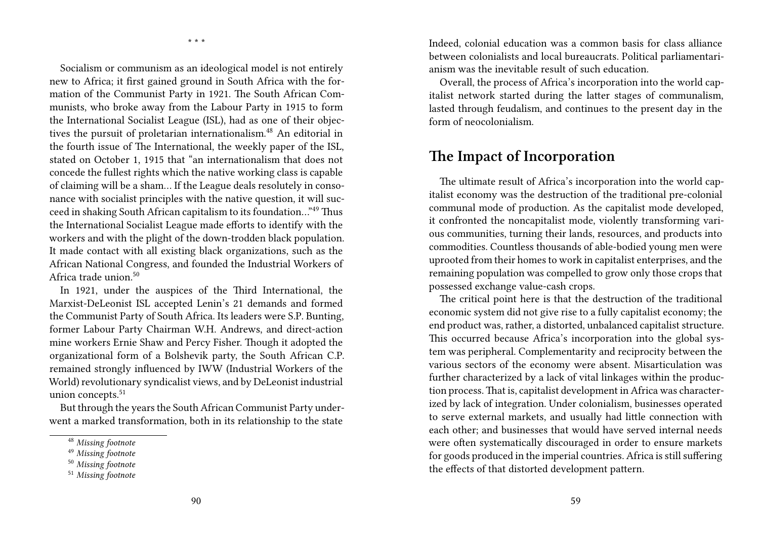\* \* \*

Socialism or communism as an ideological model is not entirely new to Africa; it first gained ground in South Africa with the formation of the Communist Party in 1921. The South African Communists, who broke away from the Labour Party in 1915 to form the International Socialist League (ISL), had as one of their objectives the pursuit of proletarian internationalism.<sup>48</sup> An editorial in the fourth issue of The International, the weekly paper of the ISL, stated on October 1, 1915 that "an internationalism that does not concede the fullest rights which the native working class is capable of claiming will be a sham… If the League deals resolutely in consonance with socialist principles with the native question, it will succeed in shaking South African capitalism to its foundation…"<sup>49</sup> Thus the International Socialist League made efforts to identify with the workers and with the plight of the down-trodden black population. It made contact with all existing black organizations, such as the African National Congress, and founded the Industrial Workers of Africa trade union.<sup>50</sup>

In 1921, under the auspices of the Third International, the Marxist-DeLeonist ISL accepted Lenin's 21 demands and formed the Communist Party of South Africa. Its leaders were S.P. Bunting, former Labour Party Chairman W.H. Andrews, and direct-action mine workers Ernie Shaw and Percy Fisher. Though it adopted the organizational form of a Bolshevik party, the South African C.P. remained strongly influenced by IWW (Industrial Workers of the World) revolutionary syndicalist views, and by DeLeonist industrial union concepts.<sup>51</sup>

But through the years the South African Communist Party underwent a marked transformation, both in its relationship to the state

Indeed, colonial education was a common basis for class alliance between colonialists and local bureaucrats. Political parliamentarianism was the inevitable result of such education.

Overall, the process of Africa's incorporation into the world capitalist network started during the latter stages of communalism, lasted through feudalism, and continues to the present day in the form of neocolonialism.

## **The Impact of Incorporation**

The ultimate result of Africa's incorporation into the world capitalist economy was the destruction of the traditional pre-colonial communal mode of production. As the capitalist mode developed, it confronted the noncapitalist mode, violently transforming various communities, turning their lands, resources, and products into commodities. Countless thousands of able-bodied young men were uprooted from their homes to work in capitalist enterprises, and the remaining population was compelled to grow only those crops that possessed exchange value-cash crops.

The critical point here is that the destruction of the traditional economic system did not give rise to a fully capitalist economy; the end product was, rather, a distorted, unbalanced capitalist structure. This occurred because Africa's incorporation into the global system was peripheral. Complementarity and reciprocity between the various sectors of the economy were absent. Misarticulation was further characterized by a lack of vital linkages within the production process. That is, capitalist development in Africa was characterized by lack of integration. Under colonialism, businesses operated to serve external markets, and usually had little connection with each other; and businesses that would have served internal needs were often systematically discouraged in order to ensure markets for goods produced in the imperial countries. Africa is still suffering the effects of that distorted development pattern.

<sup>48</sup> *Missing footnote*

<sup>49</sup> *Missing footnote*

<sup>50</sup> *Missing footnote*

<sup>51</sup> *Missing footnote*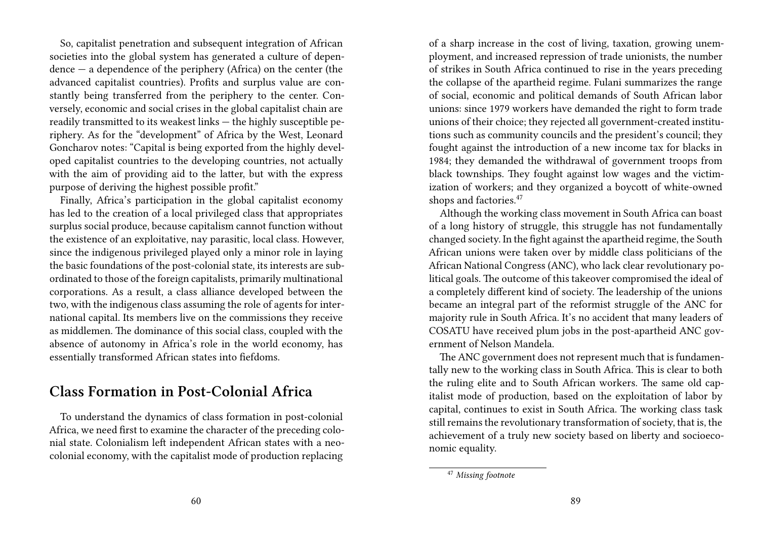So, capitalist penetration and subsequent integration of African societies into the global system has generated a culture of dependence — a dependence of the periphery (Africa) on the center (the advanced capitalist countries). Profits and surplus value are constantly being transferred from the periphery to the center. Conversely, economic and social crises in the global capitalist chain are readily transmitted to its weakest links — the highly susceptible periphery. As for the "development" of Africa by the West, Leonard Goncharov notes: "Capital is being exported from the highly developed capitalist countries to the developing countries, not actually with the aim of providing aid to the latter, but with the express purpose of deriving the highest possible profit."

Finally, Africa's participation in the global capitalist economy has led to the creation of a local privileged class that appropriates surplus social produce, because capitalism cannot function without the existence of an exploitative, nay parasitic, local class. However, since the indigenous privileged played only a minor role in laying the basic foundations of the post-colonial state, its interests are subordinated to those of the foreign capitalists, primarily multinational corporations. As a result, a class alliance developed between the two, with the indigenous class assuming the role of agents for international capital. Its members live on the commissions they receive as middlemen. The dominance of this social class, coupled with the absence of autonomy in Africa's role in the world economy, has essentially transformed African states into fiefdoms.

## **Class Formation in Post-Colonial Africa**

To understand the dynamics of class formation in post-colonial Africa, we need first to examine the character of the preceding colonial state. Colonialism left independent African states with a neocolonial economy, with the capitalist mode of production replacing

of a sharp increase in the cost of living, taxation, growing unemployment, and increased repression of trade unionists, the number of strikes in South Africa continued to rise in the years preceding the collapse of the apartheid regime. Fulani summarizes the range of social, economic and political demands of South African labor unions: since 1979 workers have demanded the right to form trade unions of their choice; they rejected all government-created institutions such as community councils and the president's council; they fought against the introduction of a new income tax for blacks in 1984; they demanded the withdrawal of government troops from black townships. They fought against low wages and the victimization of workers; and they organized a boycott of white-owned shops and factories.<sup>47</sup>

Although the working class movement in South Africa can boast of a long history of struggle, this struggle has not fundamentally changed society. In the fight against the apartheid regime, the South African unions were taken over by middle class politicians of the African National Congress (ANC), who lack clear revolutionary political goals. The outcome of this takeover compromised the ideal of a completely different kind of society. The leadership of the unions became an integral part of the reformist struggle of the ANC for majority rule in South Africa. It's no accident that many leaders of COSATU have received plum jobs in the post-apartheid ANC government of Nelson Mandela.

The ANC government does not represent much that is fundamentally new to the working class in South Africa. This is clear to both the ruling elite and to South African workers. The same old capitalist mode of production, based on the exploitation of labor by capital, continues to exist in South Africa. The working class task still remains the revolutionary transformation of society, that is, the achievement of a truly new society based on liberty and socioeconomic equality.

<sup>47</sup> *Missing footnote*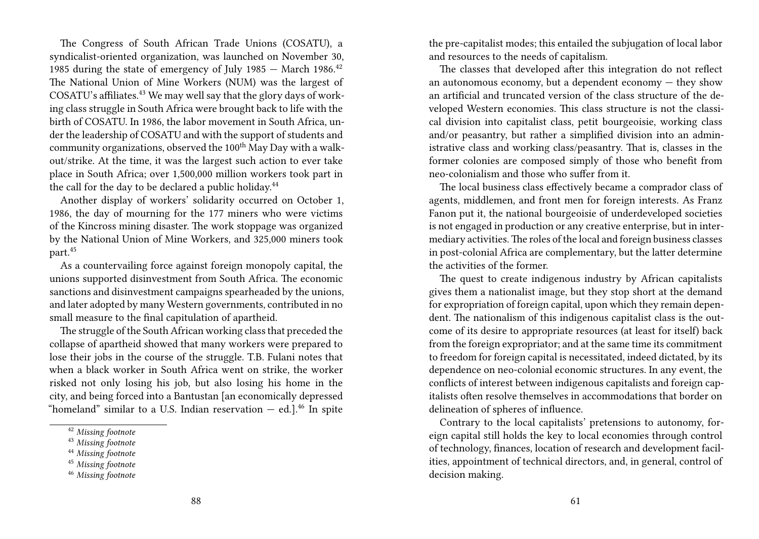The Congress of South African Trade Unions (COSATU), a syndicalist-oriented organization, was launched on November 30, 1985 during the state of emergency of July 1985 – March 1986.<sup>42</sup> The National Union of Mine Workers (NUM) was the largest of COSATU's affiliates.<sup>43</sup> We may well say that the glory days of working class struggle in South Africa were brought back to life with the birth of COSATU. In 1986, the labor movement in South Africa, under the leadership of COSATU and with the support of students and community organizations, observed the  $100^{th}$  May Day with a walkout/strike. At the time, it was the largest such action to ever take place in South Africa; over 1,500,000 million workers took part in the call for the day to be declared a public holiday.<sup>44</sup>

Another display of workers' solidarity occurred on October 1, 1986, the day of mourning for the 177 miners who were victims of the Kincross mining disaster. The work stoppage was organized by the National Union of Mine Workers, and 325,000 miners took part.<sup>45</sup>

As a countervailing force against foreign monopoly capital, the unions supported disinvestment from South Africa. The economic sanctions and disinvestment campaigns spearheaded by the unions, and later adopted by many Western governments, contributed in no small measure to the final capitulation of apartheid.

The struggle of the South African working class that preceded the collapse of apartheid showed that many workers were prepared to lose their jobs in the course of the struggle. T.B. Fulani notes that when a black worker in South Africa went on strike, the worker risked not only losing his job, but also losing his home in the city, and being forced into a Bantustan [an economically depressed "homeland" similar to a U.S. Indian reservation  $-$  ed.].<sup>46</sup> In spite the pre-capitalist modes; this entailed the subjugation of local labor and resources to the needs of capitalism.

The classes that developed after this integration do not reflect an autonomous economy, but a dependent economy  $-$  they show an artificial and truncated version of the class structure of the developed Western economies. This class structure is not the classical division into capitalist class, petit bourgeoisie, working class and/or peasantry, but rather a simplified division into an administrative class and working class/peasantry. That is, classes in the former colonies are composed simply of those who benefit from neo-colonialism and those who suffer from it.

The local business class effectively became a comprador class of agents, middlemen, and front men for foreign interests. As Franz Fanon put it, the national bourgeoisie of underdeveloped societies is not engaged in production or any creative enterprise, but in intermediary activities.The roles of the local and foreign business classes in post-colonial Africa are complementary, but the latter determine the activities of the former.

The quest to create indigenous industry by African capitalists gives them a nationalist image, but they stop short at the demand for expropriation of foreign capital, upon which they remain dependent. The nationalism of this indigenous capitalist class is the outcome of its desire to appropriate resources (at least for itself) back from the foreign expropriator; and at the same time its commitment to freedom for foreign capital is necessitated, indeed dictated, by its dependence on neo-colonial economic structures. In any event, the conflicts of interest between indigenous capitalists and foreign capitalists often resolve themselves in accommodations that border on delineation of spheres of influence.

Contrary to the local capitalists' pretensions to autonomy, foreign capital still holds the key to local economies through control of technology, finances, location of research and development facilities, appointment of technical directors, and, in general, control of decision making.

<sup>42</sup> *Missing footnote*

<sup>43</sup> *Missing footnote*

<sup>44</sup> *Missing footnote*

<sup>45</sup> *Missing footnote*

<sup>46</sup> *Missing footnote*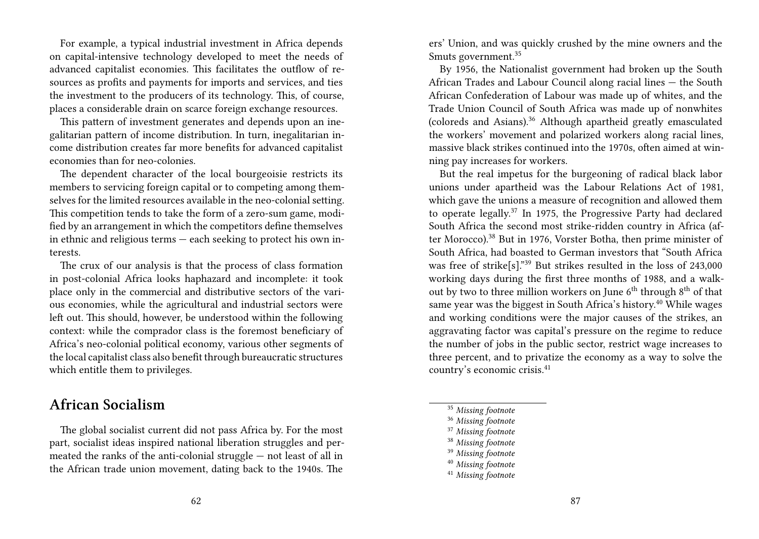For example, a typical industrial investment in Africa depends on capital-intensive technology developed to meet the needs of advanced capitalist economies. This facilitates the outflow of resources as profits and payments for imports and services, and ties the investment to the producers of its technology. This, of course, places a considerable drain on scarce foreign exchange resources.

This pattern of investment generates and depends upon an inegalitarian pattern of income distribution. In turn, inegalitarian income distribution creates far more benefits for advanced capitalist economies than for neo-colonies.

The dependent character of the local bourgeoisie restricts its members to servicing foreign capital or to competing among themselves for the limited resources available in the neo-colonial setting. This competition tends to take the form of a zero-sum game, modified by an arrangement in which the competitors define themselves in ethnic and religious terms — each seeking to protect his own interests.

The crux of our analysis is that the process of class formation in post-colonial Africa looks haphazard and incomplete: it took place only in the commercial and distributive sectors of the various economies, while the agricultural and industrial sectors were left out. This should, however, be understood within the following context: while the comprador class is the foremost beneficiary of Africa's neo-colonial political economy, various other segments of the local capitalist class also benefit through bureaucratic structures which entitle them to privileges.

#### **African Socialism**

The global socialist current did not pass Africa by. For the most part, socialist ideas inspired national liberation struggles and permeated the ranks of the anti-colonial struggle — not least of all in the African trade union movement, dating back to the 1940s. The

ers' Union, and was quickly crushed by the mine owners and the Smuts government.<sup>35</sup>

By 1956, the Nationalist government had broken up the South African Trades and Labour Council along racial lines — the South African Confederation of Labour was made up of whites, and the Trade Union Council of South Africa was made up of nonwhites (coloreds and Asians).<sup>36</sup> Although apartheid greatly emasculated the workers' movement and polarized workers along racial lines, massive black strikes continued into the 1970s, often aimed at winning pay increases for workers.

But the real impetus for the burgeoning of radical black labor unions under apartheid was the Labour Relations Act of 1981, which gave the unions a measure of recognition and allowed them to operate legally.<sup>37</sup> In 1975, the Progressive Party had declared South Africa the second most strike-ridden country in Africa (after Morocco).<sup>38</sup> But in 1976, Vorster Botha, then prime minister of South Africa, had boasted to German investors that "South Africa was free of strike[s]."<sup>39</sup> But strikes resulted in the loss of 243,000 working days during the first three months of 1988, and a walkout by two to three million workers on June  $6<sup>th</sup>$  through  $8<sup>th</sup>$  of that same year was the biggest in South Africa's history.<sup>40</sup> While wages and working conditions were the major causes of the strikes, an aggravating factor was capital's pressure on the regime to reduce the number of jobs in the public sector, restrict wage increases to three percent, and to privatize the economy as a way to solve the country's economic crisis.<sup>41</sup>

<sup>39</sup> *Missing footnote*

<sup>35</sup> *Missing footnote*

<sup>36</sup> *Missing footnote*

<sup>37</sup> *Missing footnote*

<sup>38</sup> *Missing footnote*

<sup>40</sup> *Missing footnote*

<sup>41</sup> *Missing footnote*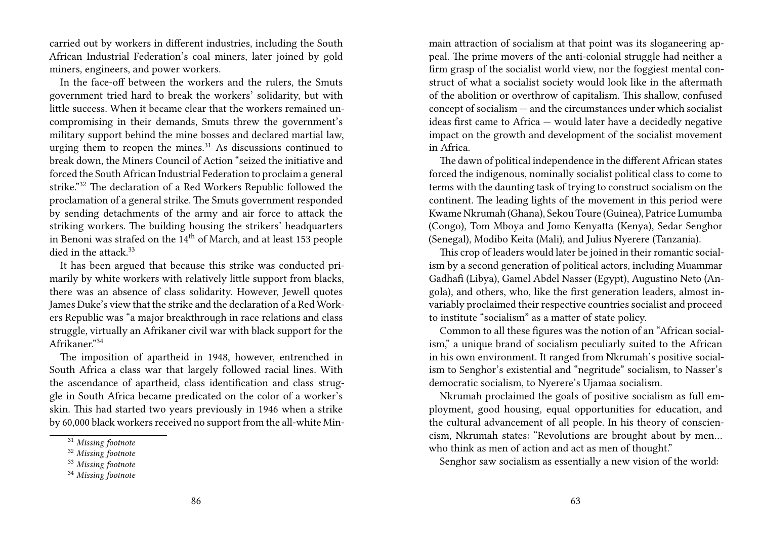carried out by workers in different industries, including the South African Industrial Federation's coal miners, later joined by gold miners, engineers, and power workers.

In the face-off between the workers and the rulers, the Smuts government tried hard to break the workers' solidarity, but with little success. When it became clear that the workers remained uncompromising in their demands, Smuts threw the government's military support behind the mine bosses and declared martial law, urging them to reopen the mines. $31$  As discussions continued to break down, the Miners Council of Action "seized the initiative and forced the South African Industrial Federation to proclaim a general strike."<sup>32</sup> The declaration of a Red Workers Republic followed the proclamation of a general strike. The Smuts government responded by sending detachments of the army and air force to attack the striking workers. The building housing the strikers' headquarters in Benoni was strafed on the  $14<sup>th</sup>$  of March, and at least 153 people died in the attack  $33$ 

It has been argued that because this strike was conducted primarily by white workers with relatively little support from blacks, there was an absence of class solidarity. However, Jewell quotes James Duke's view that the strike and the declaration of a Red Workers Republic was "a major breakthrough in race relations and class struggle, virtually an Afrikaner civil war with black support for the Afrikaner."<sup>34</sup>

The imposition of apartheid in 1948, however, entrenched in South Africa a class war that largely followed racial lines. With the ascendance of apartheid, class identification and class struggle in South Africa became predicated on the color of a worker's skin. This had started two years previously in 1946 when a strike by 60,000 black workers received no support from the all-white Minmain attraction of socialism at that point was its sloganeering appeal. The prime movers of the anti-colonial struggle had neither a firm grasp of the socialist world view, nor the foggiest mental construct of what a socialist society would look like in the aftermath of the abolition or overthrow of capitalism. This shallow, confused concept of socialism — and the circumstances under which socialist ideas first came to Africa — would later have a decidedly negative impact on the growth and development of the socialist movement in Africa.

The dawn of political independence in the different African states forced the indigenous, nominally socialist political class to come to terms with the daunting task of trying to construct socialism on the continent. The leading lights of the movement in this period were Kwame Nkrumah (Ghana), Sekou Toure (Guinea), Patrice Lumumba (Congo), Tom Mboya and Jomo Kenyatta (Kenya), Sedar Senghor (Senegal), Modibo Keita (Mali), and Julius Nyerere (Tanzania).

This crop of leaders would later be joined in their romantic socialism by a second generation of political actors, including Muammar Gadhafi (Libya), Gamel Abdel Nasser (Egypt), Augustino Neto (Angola), and others, who, like the first generation leaders, almost invariably proclaimed their respective countries socialist and proceed to institute "socialism" as a matter of state policy.

Common to all these figures was the notion of an "African socialism," a unique brand of socialism peculiarly suited to the African in his own environment. It ranged from Nkrumah's positive socialism to Senghor's existential and "negritude" socialism, to Nasser's democratic socialism, to Nyerere's Ujamaa socialism.

Nkrumah proclaimed the goals of positive socialism as full employment, good housing, equal opportunities for education, and the cultural advancement of all people. In his theory of consciencism, Nkrumah states: "Revolutions are brought about by men… who think as men of action and act as men of thought."

Senghor saw socialism as essentially a new vision of the world:

<sup>31</sup> *Missing footnote*

<sup>32</sup> *Missing footnote*

<sup>33</sup> *Missing footnote*

<sup>34</sup> *Missing footnote*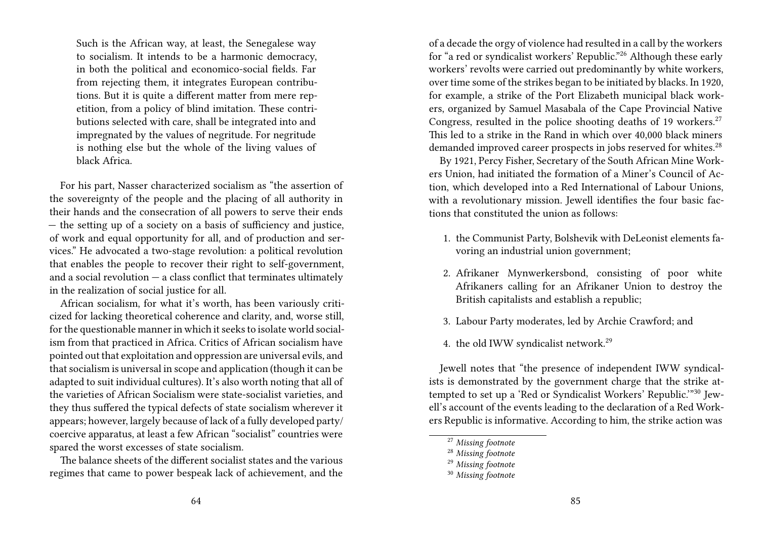Such is the African way, at least, the Senegalese way to socialism. It intends to be a harmonic democracy, in both the political and economico-social fields. Far from rejecting them, it integrates European contributions. But it is quite a different matter from mere repetition, from a policy of blind imitation. These contributions selected with care, shall be integrated into and impregnated by the values of negritude. For negritude is nothing else but the whole of the living values of black Africa.

For his part, Nasser characterized socialism as "the assertion of the sovereignty of the people and the placing of all authority in their hands and the consecration of all powers to serve their ends — the setting up of a society on a basis of sufficiency and justice, of work and equal opportunity for all, and of production and services." He advocated a two-stage revolution: a political revolution that enables the people to recover their right to self-government, and a social revolution  $-$  a class conflict that terminates ultimately in the realization of social justice for all.

African socialism, for what it's worth, has been variously criticized for lacking theoretical coherence and clarity, and, worse still, for the questionable manner in which it seeks to isolate world socialism from that practiced in Africa. Critics of African socialism have pointed out that exploitation and oppression are universal evils, and that socialism is universal in scope and application (though it can be adapted to suit individual cultures). It's also worth noting that all of the varieties of African Socialism were state-socialist varieties, and they thus suffered the typical defects of state socialism wherever it appears; however, largely because of lack of a fully developed party/ coercive apparatus, at least a few African "socialist" countries were spared the worst excesses of state socialism.

The balance sheets of the different socialist states and the various regimes that came to power bespeak lack of achievement, and the

of a decade the orgy of violence had resulted in a call by the workers for "a red or syndicalist workers' Republic."<sup>26</sup> Although these early workers' revolts were carried out predominantly by white workers, over time some of the strikes began to be initiated by blacks. In 1920, for example, a strike of the Port Elizabeth municipal black workers, organized by Samuel Masabala of the Cape Provincial Native Congress, resulted in the police shooting deaths of 19 workers. $27$ This led to a strike in the Rand in which over 40,000 black miners demanded improved career prospects in jobs reserved for whites.<sup>28</sup>

By 1921, Percy Fisher, Secretary of the South African Mine Workers Union, had initiated the formation of a Miner's Council of Action, which developed into a Red International of Labour Unions, with a revolutionary mission. Jewell identifies the four basic factions that constituted the union as follows:

- 1. the Communist Party, Bolshevik with DeLeonist elements favoring an industrial union government;
- 2. Afrikaner Mynwerkersbond, consisting of poor white Afrikaners calling for an Afrikaner Union to destroy the British capitalists and establish a republic;
- 3. Labour Party moderates, led by Archie Crawford; and
- 4. the old IWW syndicalist network.<sup>29</sup>

Jewell notes that "the presence of independent IWW syndicalists is demonstrated by the government charge that the strike attempted to set up a 'Red or Syndicalist Workers' Republic."<sup>30</sup> Iewell's account of the events leading to the declaration of a Red Workers Republic is informative. According to him, the strike action was

<sup>27</sup> *Missing footnote*

<sup>28</sup> *Missing footnote*

<sup>29</sup> *Missing footnote*

<sup>30</sup> *Missing footnote*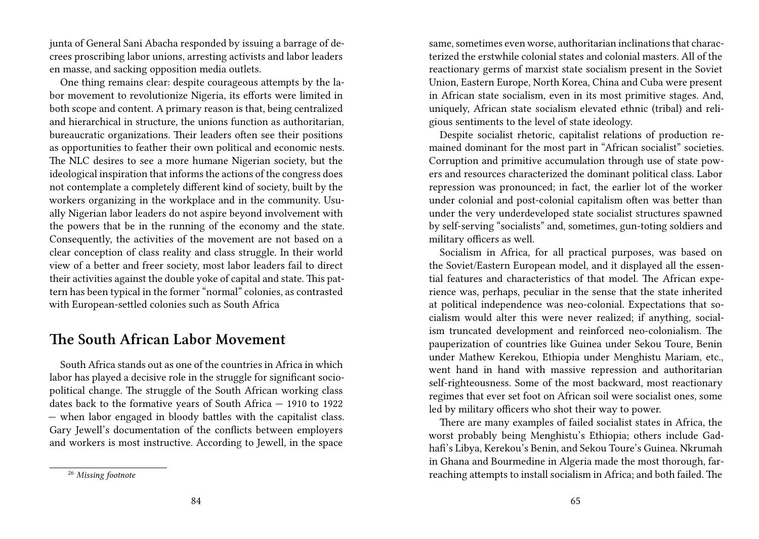junta of General Sani Abacha responded by issuing a barrage of decrees proscribing labor unions, arresting activists and labor leaders en masse, and sacking opposition media outlets.

One thing remains clear: despite courageous attempts by the labor movement to revolutionize Nigeria, its efforts were limited in both scope and content. A primary reason is that, being centralized and hierarchical in structure, the unions function as authoritarian, bureaucratic organizations. Their leaders often see their positions as opportunities to feather their own political and economic nests. The NLC desires to see a more humane Nigerian society, but the ideological inspiration that informs the actions of the congress does not contemplate a completely different kind of society, built by the workers organizing in the workplace and in the community. Usually Nigerian labor leaders do not aspire beyond involvement with the powers that be in the running of the economy and the state. Consequently, the activities of the movement are not based on a clear conception of class reality and class struggle. In their world view of a better and freer society, most labor leaders fail to direct their activities against the double yoke of capital and state. This pattern has been typical in the former "normal" colonies, as contrasted with European-settled colonies such as South Africa

### **The South African Labor Movement**

South Africa stands out as one of the countries in Africa in which labor has played a decisive role in the struggle for significant sociopolitical change. The struggle of the South African working class dates back to the formative years of South Africa — 1910 to 1922 — when labor engaged in bloody battles with the capitalist class. Gary Jewell's documentation of the conflicts between employers and workers is most instructive. According to Jewell, in the space

same, sometimes even worse, authoritarian inclinations that characterized the erstwhile colonial states and colonial masters. All of the reactionary germs of marxist state socialism present in the Soviet Union, Eastern Europe, North Korea, China and Cuba were present in African state socialism, even in its most primitive stages. And, uniquely, African state socialism elevated ethnic (tribal) and religious sentiments to the level of state ideology.

Despite socialist rhetoric, capitalist relations of production remained dominant for the most part in "African socialist" societies. Corruption and primitive accumulation through use of state powers and resources characterized the dominant political class. Labor repression was pronounced; in fact, the earlier lot of the worker under colonial and post-colonial capitalism often was better than under the very underdeveloped state socialist structures spawned by self-serving "socialists" and, sometimes, gun-toting soldiers and military officers as well.

Socialism in Africa, for all practical purposes, was based on the Soviet/Eastern European model, and it displayed all the essential features and characteristics of that model. The African experience was, perhaps, peculiar in the sense that the state inherited at political independence was neo-colonial. Expectations that socialism would alter this were never realized; if anything, socialism truncated development and reinforced neo-colonialism. The pauperization of countries like Guinea under Sekou Toure, Benin under Mathew Kerekou, Ethiopia under Menghistu Mariam, etc., went hand in hand with massive repression and authoritarian self-righteousness. Some of the most backward, most reactionary regimes that ever set foot on African soil were socialist ones, some led by military officers who shot their way to power.

There are many examples of failed socialist states in Africa, the worst probably being Menghistu's Ethiopia; others include Gadhafi's Libya, Kerekou's Benin, and Sekou Toure's Guinea. Nkrumah in Ghana and Bourmedine in Algeria made the most thorough, farreaching attempts to install socialism in Africa; and both failed. The

<sup>26</sup> *Missing footnote*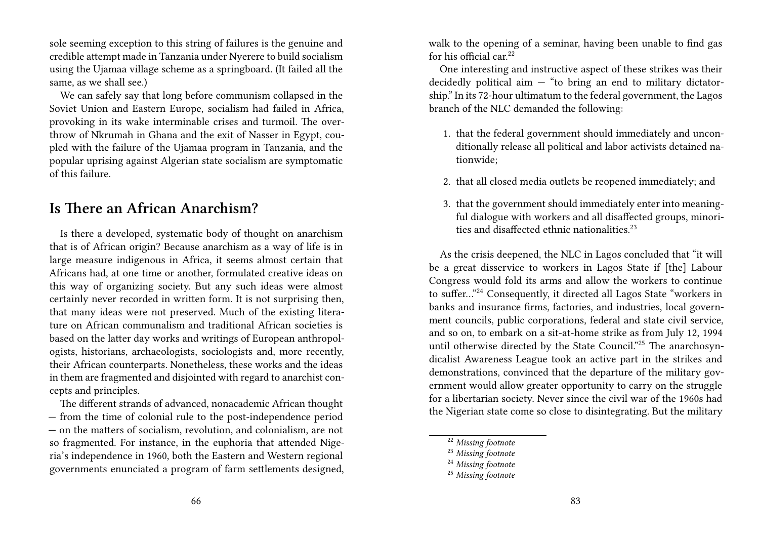sole seeming exception to this string of failures is the genuine and credible attempt made in Tanzania under Nyerere to build socialism using the Ujamaa village scheme as a springboard. (It failed all the same, as we shall see.)

We can safely say that long before communism collapsed in the Soviet Union and Eastern Europe, socialism had failed in Africa, provoking in its wake interminable crises and turmoil. The overthrow of Nkrumah in Ghana and the exit of Nasser in Egypt, coupled with the failure of the Ujamaa program in Tanzania, and the popular uprising against Algerian state socialism are symptomatic of this failure.

#### **Is There an African Anarchism?**

Is there a developed, systematic body of thought on anarchism that is of African origin? Because anarchism as a way of life is in large measure indigenous in Africa, it seems almost certain that Africans had, at one time or another, formulated creative ideas on this way of organizing society. But any such ideas were almost certainly never recorded in written form. It is not surprising then, that many ideas were not preserved. Much of the existing literature on African communalism and traditional African societies is based on the latter day works and writings of European anthropologists, historians, archaeologists, sociologists and, more recently, their African counterparts. Nonetheless, these works and the ideas in them are fragmented and disjointed with regard to anarchist concepts and principles.

The different strands of advanced, nonacademic African thought — from the time of colonial rule to the post-independence period — on the matters of socialism, revolution, and colonialism, are not so fragmented. For instance, in the euphoria that attended Nigeria's independence in 1960, both the Eastern and Western regional governments enunciated a program of farm settlements designed,

walk to the opening of a seminar, having been unable to find gas for his official car. $22$ 

One interesting and instructive aspect of these strikes was their decidedly political aim  $-$  "to bring an end to military dictatorship." In its 72-hour ultimatum to the federal government, the Lagos branch of the NLC demanded the following:

- 1. that the federal government should immediately and unconditionally release all political and labor activists detained nationwide;
- 2. that all closed media outlets be reopened immediately; and
- 3. that the government should immediately enter into meaningful dialogue with workers and all disaffected groups, minorities and disaffected ethnic nationalities.<sup>23</sup>

As the crisis deepened, the NLC in Lagos concluded that "it will be a great disservice to workers in Lagos State if [the] Labour Congress would fold its arms and allow the workers to continue to suffer…"<sup>24</sup> Consequently, it directed all Lagos State "workers in banks and insurance firms, factories, and industries, local government councils, public corporations, federal and state civil service, and so on, to embark on a sit-at-home strike as from July 12, 1994 until otherwise directed by the State Council."<sup>25</sup> The anarchosyndicalist Awareness League took an active part in the strikes and demonstrations, convinced that the departure of the military government would allow greater opportunity to carry on the struggle for a libertarian society. Never since the civil war of the 1960s had the Nigerian state come so close to disintegrating. But the military

<sup>22</sup> *Missing footnote*

<sup>23</sup> *Missing footnote*

<sup>24</sup> *Missing footnote*

<sup>25</sup> *Missing footnote*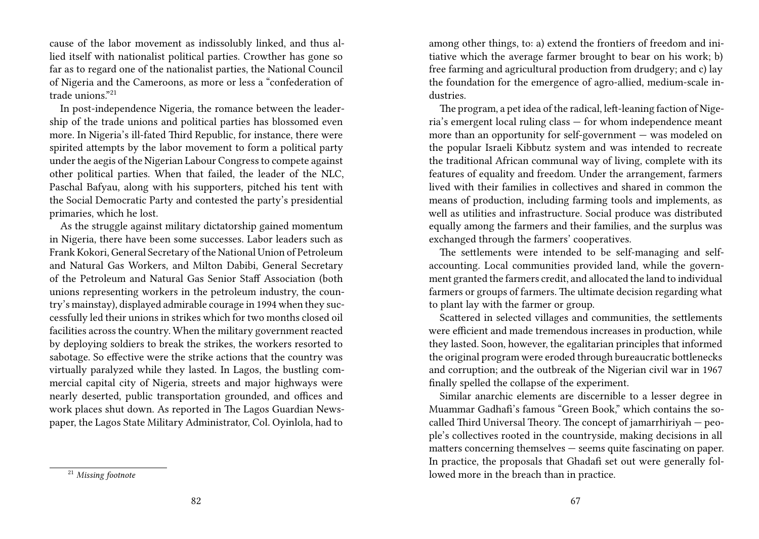cause of the labor movement as indissolubly linked, and thus allied itself with nationalist political parties. Crowther has gone so far as to regard one of the nationalist parties, the National Council of Nigeria and the Cameroons, as more or less a "confederation of trade unions."<sup>21</sup>

In post-independence Nigeria, the romance between the leadership of the trade unions and political parties has blossomed even more. In Nigeria's ill-fated Third Republic, for instance, there were spirited attempts by the labor movement to form a political party under the aegis of the Nigerian Labour Congress to compete against other political parties. When that failed, the leader of the NLC, Paschal Bafyau, along with his supporters, pitched his tent with the Social Democratic Party and contested the party's presidential primaries, which he lost.

As the struggle against military dictatorship gained momentum in Nigeria, there have been some successes. Labor leaders such as Frank Kokori, General Secretary of the National Union of Petroleum and Natural Gas Workers, and Milton Dabibi, General Secretary of the Petroleum and Natural Gas Senior Staff Association (both unions representing workers in the petroleum industry, the country's mainstay), displayed admirable courage in 1994 when they successfully led their unions in strikes which for two months closed oil facilities across the country. When the military government reacted by deploying soldiers to break the strikes, the workers resorted to sabotage. So effective were the strike actions that the country was virtually paralyzed while they lasted. In Lagos, the bustling commercial capital city of Nigeria, streets and major highways were nearly deserted, public transportation grounded, and offices and work places shut down. As reported in The Lagos Guardian Newspaper, the Lagos State Military Administrator, Col. Oyinlola, had to

among other things, to: a) extend the frontiers of freedom and initiative which the average farmer brought to bear on his work; b) free farming and agricultural production from drudgery; and c) lay the foundation for the emergence of agro-allied, medium-scale industries.

The program, a pet idea of the radical, left-leaning faction of Nigeria's emergent local ruling class — for whom independence meant more than an opportunity for self-government — was modeled on the popular Israeli Kibbutz system and was intended to recreate the traditional African communal way of living, complete with its features of equality and freedom. Under the arrangement, farmers lived with their families in collectives and shared in common the means of production, including farming tools and implements, as well as utilities and infrastructure. Social produce was distributed equally among the farmers and their families, and the surplus was exchanged through the farmers' cooperatives.

The settlements were intended to be self-managing and selfaccounting. Local communities provided land, while the government granted the farmers credit, and allocated the land to individual farmers or groups of farmers. The ultimate decision regarding what to plant lay with the farmer or group.

Scattered in selected villages and communities, the settlements were efficient and made tremendous increases in production, while they lasted. Soon, however, the egalitarian principles that informed the original program were eroded through bureaucratic bottlenecks and corruption; and the outbreak of the Nigerian civil war in 1967 finally spelled the collapse of the experiment.

Similar anarchic elements are discernible to a lesser degree in Muammar Gadhafi's famous "Green Book," which contains the socalled Third Universal Theory. The concept of jamarrhiriyah — people's collectives rooted in the countryside, making decisions in all matters concerning themselves — seems quite fascinating on paper. In practice, the proposals that Ghadafi set out were generally followed more in the breach than in practice.

<sup>21</sup> *Missing footnote*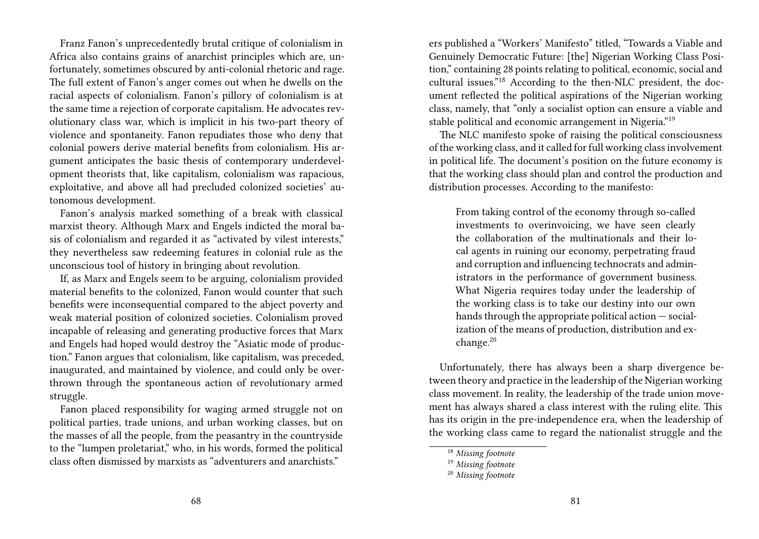Franz Fanon's unprecedentedly brutal critique of colonialism in Africa also contains grains of anarchist principles which are, unfortunately, sometimes obscured by anti-colonial rhetoric and rage. The full extent of Fanon's anger comes out when he dwells on the racial aspects of colonialism. Fanon's pillory of colonialism is at the same time a rejection of corporate capitalism. He advocates revolutionary class war, which is implicit in his two-part theory of violence and spontaneity. Fanon repudiates those who deny that colonial powers derive material benefits from colonialism. His argument anticipates the basic thesis of contemporary underdevelopment theorists that, like capitalism, colonialism was rapacious, exploitative, and above all had precluded colonized societies' autonomous development.

Fanon's analysis marked something of a break with classical marxist theory. Although Marx and Engels indicted the moral basis of colonialism and regarded it as "activated by vilest interests," they nevertheless saw redeeming features in colonial rule as the unconscious tool of history in bringing about revolution.

If, as Marx and Engels seem to be arguing, colonialism provided material benefits to the colonized, Fanon would counter that such benefits were inconsequential compared to the abject poverty and weak material position of colonized societies. Colonialism proved incapable of releasing and generating productive forces that Marx and Engels had hoped would destroy the "Asiatic mode of production." Fanon argues that colonialism, like capitalism, was preceded, inaugurated, and maintained by violence, and could only be overthrown through the spontaneous action of revolutionary armed struggle.

Fanon placed responsibility for waging armed struggle not on political parties, trade unions, and urban working classes, but on the masses of all the people, from the peasantry in the countryside to the "lumpen proletariat," who, in his words, formed the political class often dismissed by marxists as "adventurers and anarchists."

ers published a "Workers' Manifesto" titled, "Towards a Viable and Genuinely Democratic Future: [the] Nigerian Working Class Position," containing 28 points relating to political, economic, social and cultural issues."<sup>18</sup> According to the then-NLC president, the document reflected the political aspirations of the Nigerian working class, namely, that "only a socialist option can ensure a viable and stable political and economic arrangement in Nigeria.<sup>"19</sup>

The NLC manifesto spoke of raising the political consciousness of the working class, and it called for full working class involvement in political life. The document's position on the future economy is that the working class should plan and control the production and distribution processes. According to the manifesto:

From taking control of the economy through so-called investments to overinvoicing, we have seen clearly the collaboration of the multinationals and their local agents in ruining our economy, perpetrating fraud and corruption and influencing technocrats and administrators in the performance of government business. What Nigeria requires today under the leadership of the working class is to take our destiny into our own hands through the appropriate political action — socialization of the means of production, distribution and exchange.<sup>20</sup>

Unfortunately, there has always been a sharp divergence between theory and practice in the leadership of the Nigerian working class movement. In reality, the leadership of the trade union movement has always shared a class interest with the ruling elite. This has its origin in the pre-independence era, when the leadership of the working class came to regard the nationalist struggle and the

<sup>18</sup> *Missing footnote*

<sup>19</sup> *Missing footnote*

<sup>20</sup> *Missing footnote*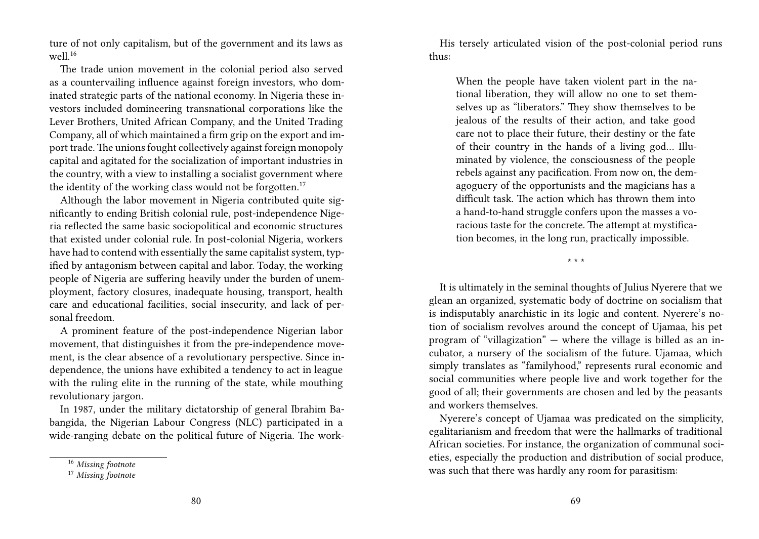ture of not only capitalism, but of the government and its laws as well.<sup>16</sup>

The trade union movement in the colonial period also served as a countervailing influence against foreign investors, who dominated strategic parts of the national economy. In Nigeria these investors included domineering transnational corporations like the Lever Brothers, United African Company, and the United Trading Company, all of which maintained a firm grip on the export and import trade. The unions fought collectively against foreign monopoly capital and agitated for the socialization of important industries in the country, with a view to installing a socialist government where the identity of the working class would not be forgotten.<sup>17</sup>

Although the labor movement in Nigeria contributed quite significantly to ending British colonial rule, post-independence Nigeria reflected the same basic sociopolitical and economic structures that existed under colonial rule. In post-colonial Nigeria, workers have had to contend with essentially the same capitalist system, typified by antagonism between capital and labor. Today, the working people of Nigeria are suffering heavily under the burden of unemployment, factory closures, inadequate housing, transport, health care and educational facilities, social insecurity, and lack of personal freedom.

A prominent feature of the post-independence Nigerian labor movement, that distinguishes it from the pre-independence movement, is the clear absence of a revolutionary perspective. Since independence, the unions have exhibited a tendency to act in league with the ruling elite in the running of the state, while mouthing revolutionary jargon.

In 1987, under the military dictatorship of general Ibrahim Babangida, the Nigerian Labour Congress (NLC) participated in a wide-ranging debate on the political future of Nigeria. The work-

<sup>16</sup> *Missing footnote*

His tersely articulated vision of the post-colonial period runs thus:

When the people have taken violent part in the national liberation, they will allow no one to set themselves up as "liberators." They show themselves to be jealous of the results of their action, and take good care not to place their future, their destiny or the fate of their country in the hands of a living god… Illuminated by violence, the consciousness of the people rebels against any pacification. From now on, the demagoguery of the opportunists and the magicians has a difficult task. The action which has thrown them into a hand-to-hand struggle confers upon the masses a voracious taste for the concrete. The attempt at mystification becomes, in the long run, practically impossible.

\* \* \*

It is ultimately in the seminal thoughts of Julius Nyerere that we glean an organized, systematic body of doctrine on socialism that is indisputably anarchistic in its logic and content. Nyerere's notion of socialism revolves around the concept of Ujamaa, his pet program of "villagization" — where the village is billed as an incubator, a nursery of the socialism of the future. Ujamaa, which simply translates as "familyhood," represents rural economic and social communities where people live and work together for the good of all; their governments are chosen and led by the peasants and workers themselves.

Nyerere's concept of Ujamaa was predicated on the simplicity, egalitarianism and freedom that were the hallmarks of traditional African societies. For instance, the organization of communal societies, especially the production and distribution of social produce, was such that there was hardly any room for parasitism:

<sup>17</sup> *Missing footnote*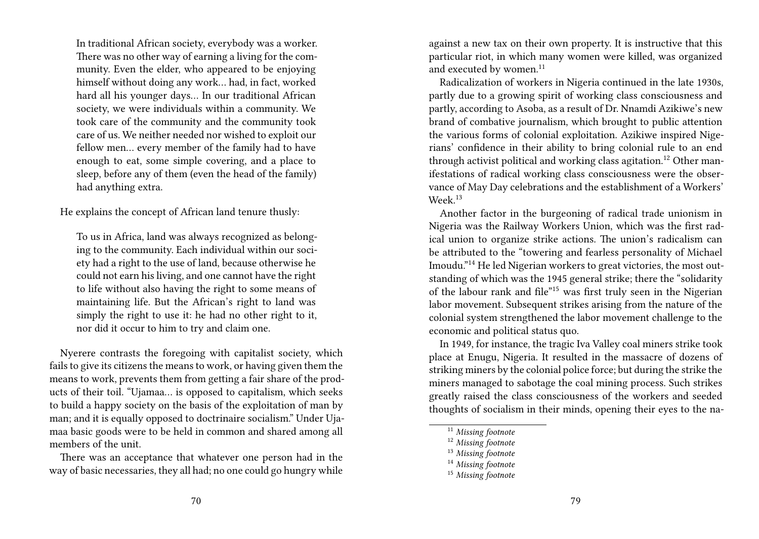In traditional African society, everybody was a worker. There was no other way of earning a living for the community. Even the elder, who appeared to be enjoying himself without doing any work… had, in fact, worked hard all his younger days… In our traditional African society, we were individuals within a community. We took care of the community and the community took care of us. We neither needed nor wished to exploit our fellow men… every member of the family had to have enough to eat, some simple covering, and a place to sleep, before any of them (even the head of the family) had anything extra.

He explains the concept of African land tenure thusly:

To us in Africa, land was always recognized as belonging to the community. Each individual within our society had a right to the use of land, because otherwise he could not earn his living, and one cannot have the right to life without also having the right to some means of maintaining life. But the African's right to land was simply the right to use it: he had no other right to it, nor did it occur to him to try and claim one.

Nyerere contrasts the foregoing with capitalist society, which fails to give its citizens the means to work, or having given them the means to work, prevents them from getting a fair share of the products of their toil. "Ujamaa… is opposed to capitalism, which seeks to build a happy society on the basis of the exploitation of man by man; and it is equally opposed to doctrinaire socialism." Under Ujamaa basic goods were to be held in common and shared among all members of the unit.

There was an acceptance that whatever one person had in the way of basic necessaries, they all had; no one could go hungry while against a new tax on their own property. It is instructive that this particular riot, in which many women were killed, was organized and executed by women.<sup>11</sup>

Radicalization of workers in Nigeria continued in the late 1930s, partly due to a growing spirit of working class consciousness and partly, according to Asoba, as a result of Dr. Nnamdi Azikiwe's new brand of combative journalism, which brought to public attention the various forms of colonial exploitation. Azikiwe inspired Nigerians' confidence in their ability to bring colonial rule to an end through activist political and working class agitation.<sup>12</sup> Other manifestations of radical working class consciousness were the observance of May Day celebrations and the establishment of a Workers' Week.<sup>13</sup>

Another factor in the burgeoning of radical trade unionism in Nigeria was the Railway Workers Union, which was the first radical union to organize strike actions. The union's radicalism can be attributed to the "towering and fearless personality of Michael Imoudu."<sup>14</sup> He led Nigerian workers to great victories, the most outstanding of which was the 1945 general strike; there the "solidarity of the labour rank and file"<sup>15</sup> was first truly seen in the Nigerian labor movement. Subsequent strikes arising from the nature of the colonial system strengthened the labor movement challenge to the economic and political status quo.

In 1949, for instance, the tragic Iva Valley coal miners strike took place at Enugu, Nigeria. It resulted in the massacre of dozens of striking miners by the colonial police force; but during the strike the miners managed to sabotage the coal mining process. Such strikes greatly raised the class consciousness of the workers and seeded thoughts of socialism in their minds, opening their eyes to the na-

<sup>11</sup> *Missing footnote*

<sup>12</sup> *Missing footnote*

<sup>13</sup> *Missing footnote*

<sup>14</sup> *Missing footnote*

<sup>15</sup> *Missing footnote*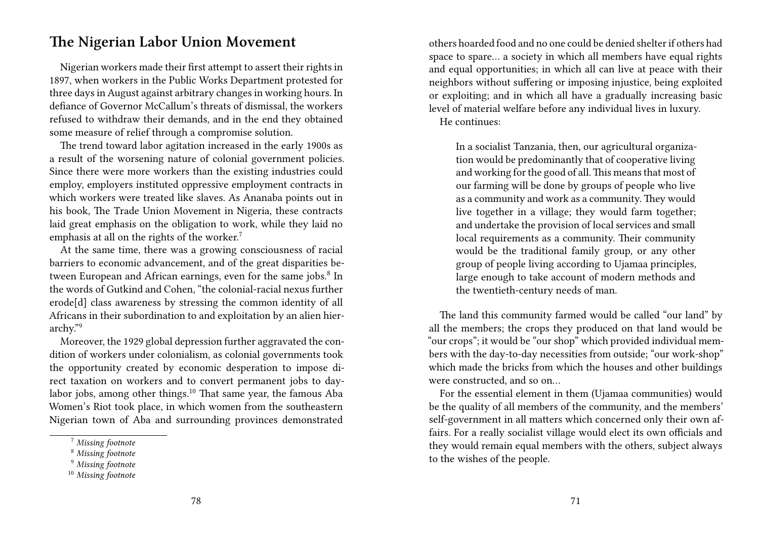## **The Nigerian Labor Union Movement**

Nigerian workers made their first attempt to assert their rights in 1897, when workers in the Public Works Department protested for three days in August against arbitrary changes in working hours. In defiance of Governor McCallum's threats of dismissal, the workers refused to withdraw their demands, and in the end they obtained some measure of relief through a compromise solution.

The trend toward labor agitation increased in the early 1900s as a result of the worsening nature of colonial government policies. Since there were more workers than the existing industries could employ, employers instituted oppressive employment contracts in which workers were treated like slaves. As Ananaba points out in his book, The Trade Union Movement in Nigeria, these contracts laid great emphasis on the obligation to work, while they laid no emphasis at all on the rights of the worker.<sup>7</sup>

At the same time, there was a growing consciousness of racial barriers to economic advancement, and of the great disparities between European and African earnings, even for the same jobs.<sup>8</sup> In the words of Gutkind and Cohen, "the colonial-racial nexus further erode[d] class awareness by stressing the common identity of all Africans in their subordination to and exploitation by an alien hierarchy."<sup>9</sup>

Moreover, the 1929 global depression further aggravated the condition of workers under colonialism, as colonial governments took the opportunity created by economic desperation to impose direct taxation on workers and to convert permanent jobs to daylabor jobs, among other things.<sup>10</sup> That same year, the famous Aba Women's Riot took place, in which women from the southeastern Nigerian town of Aba and surrounding provinces demonstrated

others hoarded food and no one could be denied shelter if others had space to spare… a society in which all members have equal rights and equal opportunities; in which all can live at peace with their neighbors without suffering or imposing injustice, being exploited or exploiting; and in which all have a gradually increasing basic level of material welfare before any individual lives in luxury. He continues:

In a socialist Tanzania, then, our agricultural organization would be predominantly that of cooperative living and working for the good of all.This means that most of our farming will be done by groups of people who live as a community and work as a community. They would live together in a village; they would farm together; and undertake the provision of local services and small local requirements as a community. Their community would be the traditional family group, or any other group of people living according to Ujamaa principles, large enough to take account of modern methods and the twentieth-century needs of man.

The land this community farmed would be called "our land" by all the members; the crops they produced on that land would be "our crops"; it would be "our shop" which provided individual members with the day-to-day necessities from outside; "our work-shop" which made the bricks from which the houses and other buildings were constructed, and so on…

For the essential element in them (Ujamaa communities) would be the quality of all members of the community, and the members' self-government in all matters which concerned only their own affairs. For a really socialist village would elect its own officials and they would remain equal members with the others, subject always to the wishes of the people.

<sup>7</sup> *Missing footnote*

<sup>8</sup> *Missing footnote*

<sup>9</sup> *Missing footnote*

<sup>10</sup> *Missing footnote*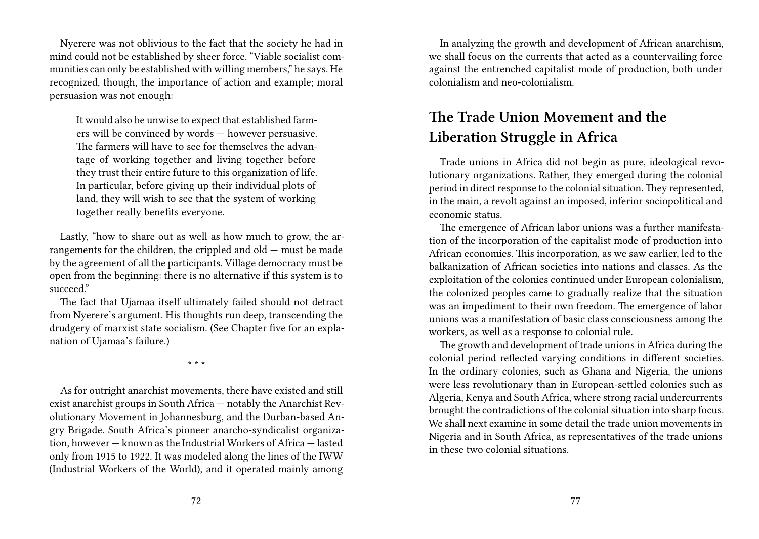Nyerere was not oblivious to the fact that the society he had in mind could not be established by sheer force. "Viable socialist communities can only be established with willing members," he says. He recognized, though, the importance of action and example; moral persuasion was not enough:

It would also be unwise to expect that established farmers will be convinced by words — however persuasive. The farmers will have to see for themselves the advantage of working together and living together before they trust their entire future to this organization of life. In particular, before giving up their individual plots of land, they will wish to see that the system of working together really benefits everyone.

Lastly, "how to share out as well as how much to grow, the arrangements for the children, the crippled and old — must be made by the agreement of all the participants. Village democracy must be open from the beginning: there is no alternative if this system is to succeed"

The fact that Ujamaa itself ultimately failed should not detract from Nyerere's argument. His thoughts run deep, transcending the drudgery of marxist state socialism. (See Chapter five for an explanation of Ujamaa's failure.)

\* \* \*

As for outright anarchist movements, there have existed and still exist anarchist groups in South Africa — notably the Anarchist Revolutionary Movement in Johannesburg, and the Durban-based Angry Brigade. South Africa's pioneer anarcho-syndicalist organization, however — known as the Industrial Workers of Africa — lasted only from 1915 to 1922. It was modeled along the lines of the IWW (Industrial Workers of the World), and it operated mainly among

In analyzing the growth and development of African anarchism, we shall focus on the currents that acted as a countervailing force against the entrenched capitalist mode of production, both under colonialism and neo-colonialism.

# **The Trade Union Movement and the Liberation Struggle in Africa**

Trade unions in Africa did not begin as pure, ideological revolutionary organizations. Rather, they emerged during the colonial period in direct response to the colonial situation. They represented, in the main, a revolt against an imposed, inferior sociopolitical and economic status.

The emergence of African labor unions was a further manifestation of the incorporation of the capitalist mode of production into African economies. This incorporation, as we saw earlier, led to the balkanization of African societies into nations and classes. As the exploitation of the colonies continued under European colonialism, the colonized peoples came to gradually realize that the situation was an impediment to their own freedom. The emergence of labor unions was a manifestation of basic class consciousness among the workers, as well as a response to colonial rule.

The growth and development of trade unions in Africa during the colonial period reflected varying conditions in different societies. In the ordinary colonies, such as Ghana and Nigeria, the unions were less revolutionary than in European-settled colonies such as Algeria, Kenya and South Africa, where strong racial undercurrents brought the contradictions of the colonial situation into sharp focus. We shall next examine in some detail the trade union movements in Nigeria and in South Africa, as representatives of the trade unions in these two colonial situations.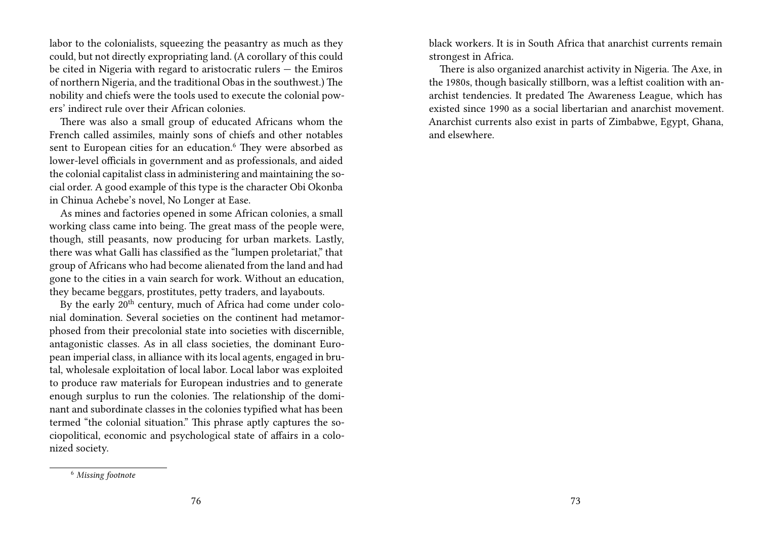labor to the colonialists, squeezing the peasantry as much as they could, but not directly expropriating land. (A corollary of this could be cited in Nigeria with regard to aristocratic rulers — the Emiros of northern Nigeria, and the traditional Obas in the southwest.) The nobility and chiefs were the tools used to execute the colonial powers' indirect rule over their African colonies.

There was also a small group of educated Africans whom the French called assimiles, mainly sons of chiefs and other notables sent to European cities for an education.<sup>6</sup> They were absorbed as lower-level officials in government and as professionals, and aided the colonial capitalist class in administering and maintaining the social order. A good example of this type is the character Obi Okonba in Chinua Achebe's novel, No Longer at Ease.

As mines and factories opened in some African colonies, a small working class came into being. The great mass of the people were, though, still peasants, now producing for urban markets. Lastly, there was what Galli has classified as the "lumpen proletariat," that group of Africans who had become alienated from the land and had gone to the cities in a vain search for work. Without an education, they became beggars, prostitutes, petty traders, and layabouts.

By the early 20<sup>th</sup> century, much of Africa had come under colonial domination. Several societies on the continent had metamorphosed from their precolonial state into societies with discernible, antagonistic classes. As in all class societies, the dominant European imperial class, in alliance with its local agents, engaged in brutal, wholesale exploitation of local labor. Local labor was exploited to produce raw materials for European industries and to generate enough surplus to run the colonies. The relationship of the dominant and subordinate classes in the colonies typified what has been termed "the colonial situation." This phrase aptly captures the sociopolitical, economic and psychological state of affairs in a colonized society.

black workers. It is in South Africa that anarchist currents remain strongest in Africa.

There is also organized anarchist activity in Nigeria. The Axe, in the 1980s, though basically stillborn, was a leftist coalition with anarchist tendencies. It predated The Awareness League, which has existed since 1990 as a social libertarian and anarchist movement. Anarchist currents also exist in parts of Zimbabwe, Egypt, Ghana, and elsewhere.

<sup>6</sup> *Missing footnote*